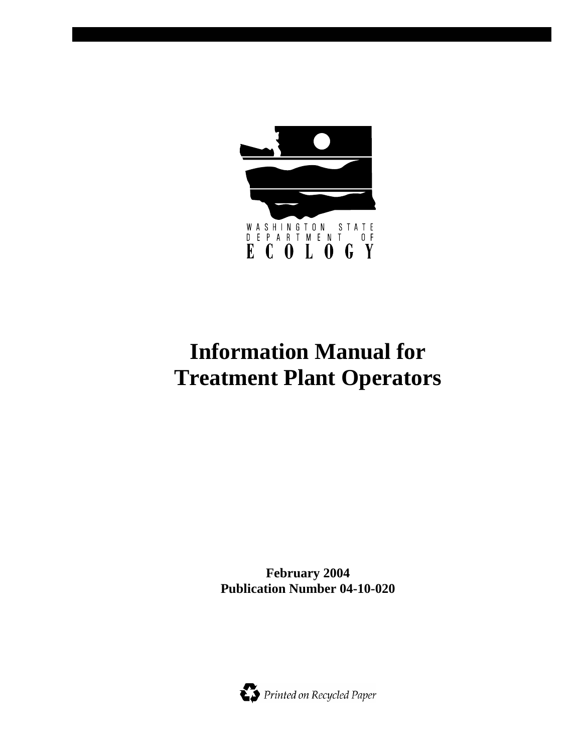

# **Information Manual for Treatment Plant Operators**

**February 2004 Publication Number 04-10-020** 

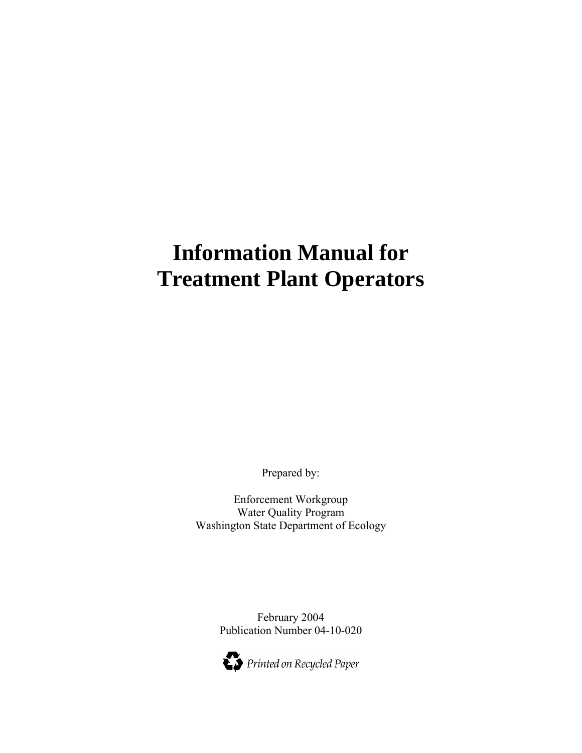# **Information Manual for Treatment Plant Operators**

Prepared by:

Enforcement Workgroup Water Quality Program Washington State Department of Ecology

> February 2004 Publication Number 04-10-020

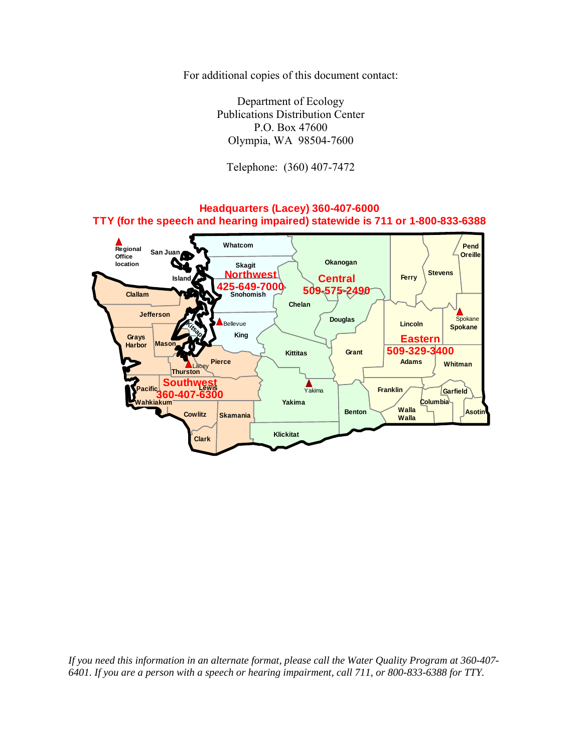For additional copies of this document contact:

Department of Ecology Publications Distribution Center P.O. Box 47600 Olympia, WA 98504-7600

Telephone: (360) 407-7472

#### **Adams Benton Walla**  $\Box$  **Asotin Chelan Clallam Clark Columbia Cowlitz Douglas Ferry Franklin Garfield Grant Grays Harbor Island Jefferson King Kitsap Kittitas Klickitat Pacific Southwest Lincoln Masc Okanogan Pend Oreille Pierce San Juan Skagit Skamania Snohomish 425-649-7000 Spokane Stevens Thurston Wahkiakum Walla Walla Whatcom Whitman Yakima Northwest 360-407-6300 Eastern 509-329-3400 Central 509-575-2490 Headquarters (Lacey) 360-407-6000 TTY (for the speech and hearing impaired) statewide is 711 or 1-800-833-6388 Regional Office location** Spokane Yakima Lacey levue

*If you need this information in an alternate format, please call the Water Quality Program at 360-407- 6401. If you are a person with a speech or hearing impairment, call 711, or 800-833-6388 for TTY.*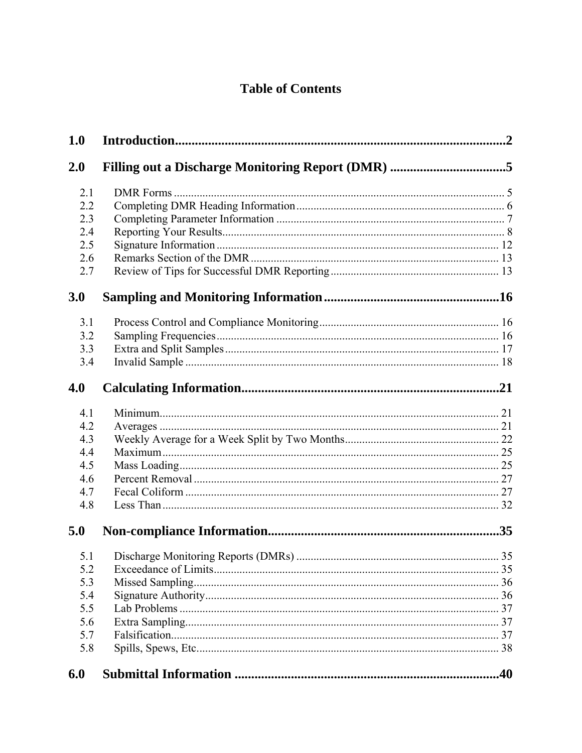# **Table of Contents**

| 1.0 |                                                   |  |
|-----|---------------------------------------------------|--|
| 2.0 | Filling out a Discharge Monitoring Report (DMR) 5 |  |
| 2.1 |                                                   |  |
| 2.2 |                                                   |  |
| 2.3 |                                                   |  |
| 2.4 |                                                   |  |
| 2.5 |                                                   |  |
| 2.6 |                                                   |  |
| 2.7 |                                                   |  |
| 3.0 |                                                   |  |
| 3.1 |                                                   |  |
| 3.2 |                                                   |  |
| 3.3 |                                                   |  |
| 3.4 |                                                   |  |
| 4.0 |                                                   |  |
| 4.1 |                                                   |  |
| 4.2 |                                                   |  |
| 4.3 |                                                   |  |
| 4.4 |                                                   |  |
| 4.5 |                                                   |  |
| 4.6 |                                                   |  |
| 4.7 |                                                   |  |
| 4.8 |                                                   |  |
| 5.0 |                                                   |  |
|     |                                                   |  |
| 5.2 |                                                   |  |
| 5.3 |                                                   |  |
| 5.4 |                                                   |  |
| 5.5 |                                                   |  |
| 5.6 |                                                   |  |
| 5.7 |                                                   |  |
| 5.8 |                                                   |  |
| 6.0 |                                                   |  |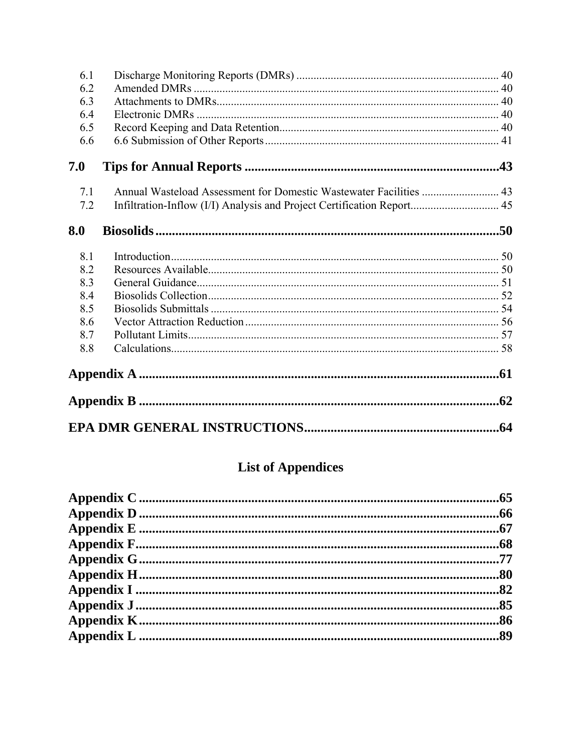| 6.1 |                                                                        |  |
|-----|------------------------------------------------------------------------|--|
| 6.2 |                                                                        |  |
| 6.3 |                                                                        |  |
| 6.4 |                                                                        |  |
| 6.5 |                                                                        |  |
| 6.6 |                                                                        |  |
| 7.0 |                                                                        |  |
| 7.1 | Annual Wasteload Assessment for Domestic Wastewater Facilities  43     |  |
| 7.2 | Infiltration-Inflow (I/I) Analysis and Project Certification Report 45 |  |
| 8.0 |                                                                        |  |
| 8.1 |                                                                        |  |
| 8.2 |                                                                        |  |
| 8.3 |                                                                        |  |
| 8.4 |                                                                        |  |
| 8.5 |                                                                        |  |
| 8.6 |                                                                        |  |
| 8.7 |                                                                        |  |
| 8.8 |                                                                        |  |
|     |                                                                        |  |
|     |                                                                        |  |
|     |                                                                        |  |

# **List of Appendices**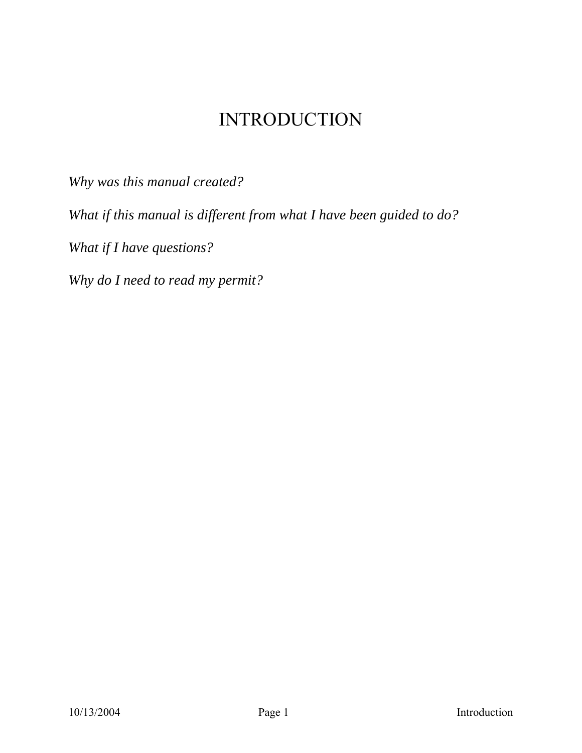# INTRODUCTION

*Why was this manual created?* 

*What if this manual is different from what I have been guided to do?* 

*What if I have questions?* 

*Why do I need to read my permit?*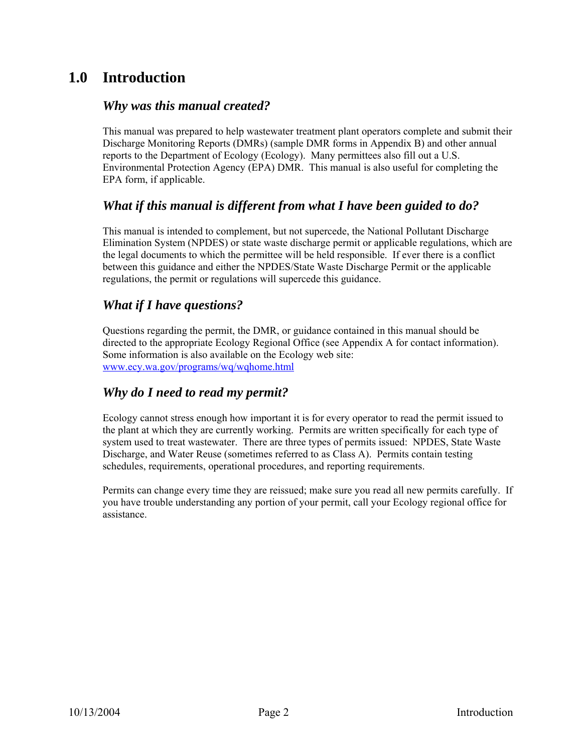# **1.0 Introduction**

#### *Why was this manual created?*

This manual was prepared to help wastewater treatment plant operators complete and submit their Discharge Monitoring Reports (DMRs) (sample DMR forms in Appendix B) and other annual reports to the Department of Ecology (Ecology). Many permittees also fill out a U.S. Environmental Protection Agency (EPA) DMR. This manual is also useful for completing the EPA form, if applicable.

#### *What if this manual is different from what I have been guided to do?*

This manual is intended to complement, but not supercede, the National Pollutant Discharge Elimination System (NPDES) or state waste discharge permit or applicable regulations, which are the legal documents to which the permittee will be held responsible. If ever there is a conflict between this guidance and either the NPDES/State Waste Discharge Permit or the applicable regulations, the permit or regulations will supercede this guidance.

#### *What if I have questions?*

Questions regarding the permit, the DMR, or guidance contained in this manual should be directed to the appropriate Ecology Regional Office (see Appendix A for contact information). Some information is also available on the Ecology web site: www.ecy.wa.gov/programs/wq/wqhome.html

#### *Why do I need to read my permit?*

Ecology cannot stress enough how important it is for every operator to read the permit issued to the plant at which they are currently working. Permits are written specifically for each type of system used to treat wastewater. There are three types of permits issued: NPDES, State Waste Discharge, and Water Reuse (sometimes referred to as Class A). Permits contain testing schedules, requirements, operational procedures, and reporting requirements.

Permits can change every time they are reissued; make sure you read all new permits carefully. If you have trouble understanding any portion of your permit, call your Ecology regional office for assistance.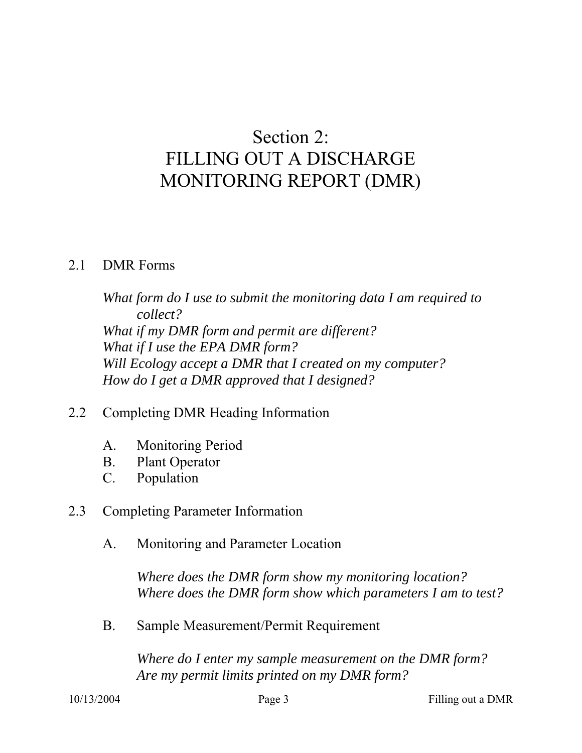# Section 2: FILLING OUT A DISCHARGE MONITORING REPORT (DMR)

# 2.1 DMR Forms

*What form do I use to submit the monitoring data I am required to collect? What if my DMR form and permit are different? What if I use the EPA DMR form? Will Ecology accept a DMR that I created on my computer? How do I get a DMR approved that I designed?* 

# 2.2 Completing DMR Heading Information

- A. Monitoring Period
- B. Plant Operator
- C. Population

# 2.3 Completing Parameter Information

A. Monitoring and Parameter Location

*Where does the DMR form show my monitoring location? Where does the DMR form show which parameters I am to test?* 

B. Sample Measurement/Permit Requirement

*Where do I enter my sample measurement on the DMR form? Are my permit limits printed on my DMR form?*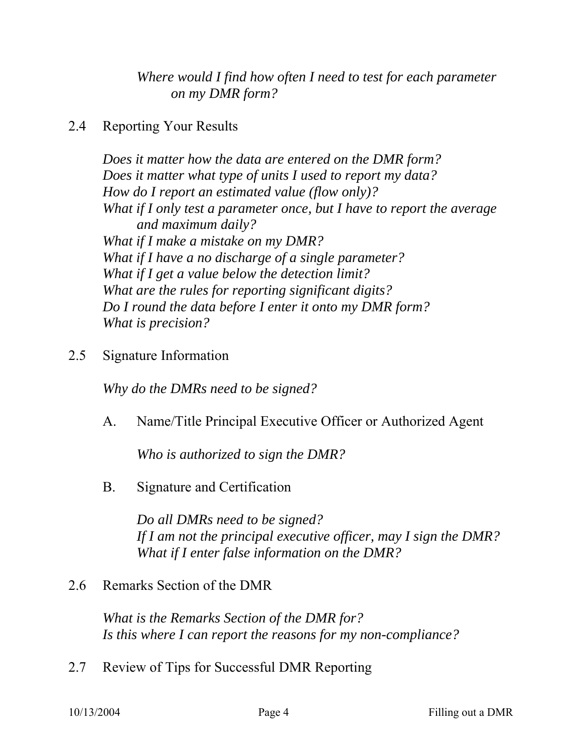*Where would I find how often I need to test for each parameter on my DMR form?* 

# 2.4 Reporting Your Results

*Does it matter how the data are entered on the DMR form? Does it matter what type of units I used to report my data? How do I report an estimated value (flow only)? What if I only test a parameter once, but I have to report the average and maximum daily? What if I make a mistake on my DMR? What if I have a no discharge of a single parameter? What if I get a value below the detection limit? What are the rules for reporting significant digits? Do I round the data before I enter it onto my DMR form? What is precision?* 

2.5 Signature Information

*Why do the DMRs need to be signed?*

A. Name/Title Principal Executive Officer or Authorized Agent

*Who is authorized to sign the DMR?* 

B. Signature and Certification

*Do all DMRs need to be signed? If I am not the principal executive officer, may I sign the DMR? What if I enter false information on the DMR?* 

2.6 Remarks Section of the DMR

*What is the Remarks Section of the DMR for? Is this where I can report the reasons for my non-compliance?* 

2.7 Review of Tips for Successful DMR Reporting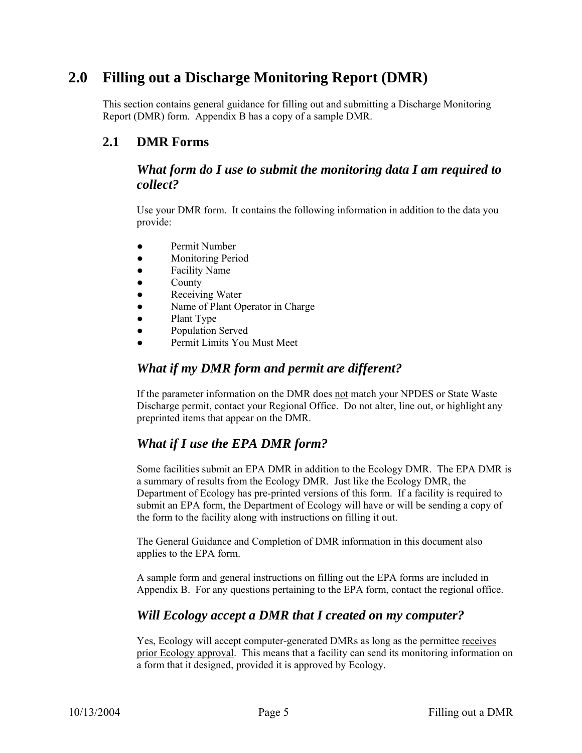# **2.0 Filling out a Discharge Monitoring Report (DMR)**

This section contains general guidance for filling out and submitting a Discharge Monitoring Report (DMR) form. Appendix B has a copy of a sample DMR.

#### **2.1 DMR Forms**

#### *What form do I use to submit the monitoring data I am required to collect?*

Use your DMR form. It contains the following information in addition to the data you provide:

- Permit Number
- Monitoring Period
- Facility Name
- **County**
- **Receiving Water**
- Name of Plant Operator in Charge
- Plant Type
- Population Served
- Permit Limits You Must Meet

#### *What if my DMR form and permit are different?*

If the parameter information on the DMR does not match your NPDES or State Waste Discharge permit, contact your Regional Office. Do not alter, line out, or highlight any preprinted items that appear on the DMR.

#### *What if I use the EPA DMR form?*

Some facilities submit an EPA DMR in addition to the Ecology DMR. The EPA DMR is a summary of results from the Ecology DMR. Just like the Ecology DMR, the Department of Ecology has pre-printed versions of this form. If a facility is required to submit an EPA form, the Department of Ecology will have or will be sending a copy of the form to the facility along with instructions on filling it out.

The General Guidance and Completion of DMR information in this document also applies to the EPA form.

A sample form and general instructions on filling out the EPA forms are included in Appendix B. For any questions pertaining to the EPA form, contact the regional office.

#### *Will Ecology accept a DMR that I created on my computer?*

Yes, Ecology will accept computer-generated DMRs as long as the permittee receives prior Ecology approval. This means that a facility can send its monitoring information on a form that it designed, provided it is approved by Ecology.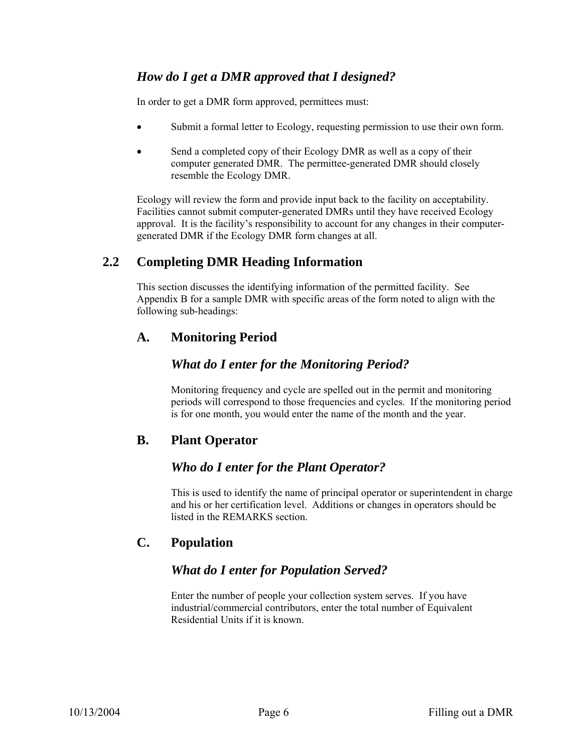#### *How do I get a DMR approved that I designed?*

In order to get a DMR form approved, permittees must:

- Submit a formal letter to Ecology, requesting permission to use their own form.
- Send a completed copy of their Ecology DMR as well as a copy of their computer generated DMR. The permittee-generated DMR should closely resemble the Ecology DMR.

Ecology will review the form and provide input back to the facility on acceptability. Facilities cannot submit computer-generated DMRs until they have received Ecology approval. It is the facility's responsibility to account for any changes in their computergenerated DMR if the Ecology DMR form changes at all.

#### **2.2 Completing DMR Heading Information**

This section discusses the identifying information of the permitted facility. See Appendix B for a sample DMR with specific areas of the form noted to align with the following sub-headings:

#### **A. Monitoring Period**

#### *What do I enter for the Monitoring Period?*

Monitoring frequency and cycle are spelled out in the permit and monitoring periods will correspond to those frequencies and cycles. If the monitoring period is for one month, you would enter the name of the month and the year.

#### **B. Plant Operator**

#### *Who do I enter for the Plant Operator?*

This is used to identify the name of principal operator or superintendent in charge and his or her certification level. Additions or changes in operators should be listed in the REMARKS section.

#### **C. Population**

#### *What do I enter for Population Served?*

Enter the number of people your collection system serves. If you have industrial/commercial contributors, enter the total number of Equivalent Residential Units if it is known.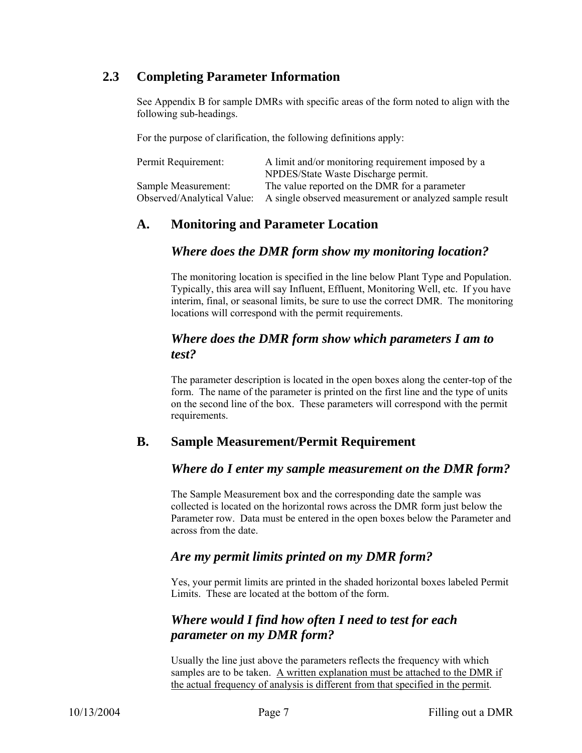#### **2.3 Completing Parameter Information**

See Appendix B for sample DMRs with specific areas of the form noted to align with the following sub-headings.

For the purpose of clarification, the following definitions apply:

| Permit Requirement:        | A limit and/or monitoring requirement imposed by a      |
|----------------------------|---------------------------------------------------------|
|                            | NPDES/State Waste Discharge permit.                     |
| Sample Measurement:        | The value reported on the DMR for a parameter           |
| Observed/Analytical Value: | A single observed measurement or analyzed sample result |

#### **A. Monitoring and Parameter Location**

#### *Where does the DMR form show my monitoring location?*

The monitoring location is specified in the line below Plant Type and Population. Typically, this area will say Influent, Effluent, Monitoring Well, etc. If you have interim, final, or seasonal limits, be sure to use the correct DMR. The monitoring locations will correspond with the permit requirements.

#### *Where does the DMR form show which parameters I am to test?*

The parameter description is located in the open boxes along the center-top of the form. The name of the parameter is printed on the first line and the type of units on the second line of the box. These parameters will correspond with the permit requirements.

#### **B. Sample Measurement/Permit Requirement**

#### *Where do I enter my sample measurement on the DMR form?*

The Sample Measurement box and the corresponding date the sample was collected is located on the horizontal rows across the DMR form just below the Parameter row. Data must be entered in the open boxes below the Parameter and across from the date.

#### *Are my permit limits printed on my DMR form?*

Yes, your permit limits are printed in the shaded horizontal boxes labeled Permit Limits. These are located at the bottom of the form.

### *Where would I find how often I need to test for each parameter on my DMR form?*

Usually the line just above the parameters reflects the frequency with which samples are to be taken. A written explanation must be attached to the DMR if the actual frequency of analysis is different from that specified in the permit.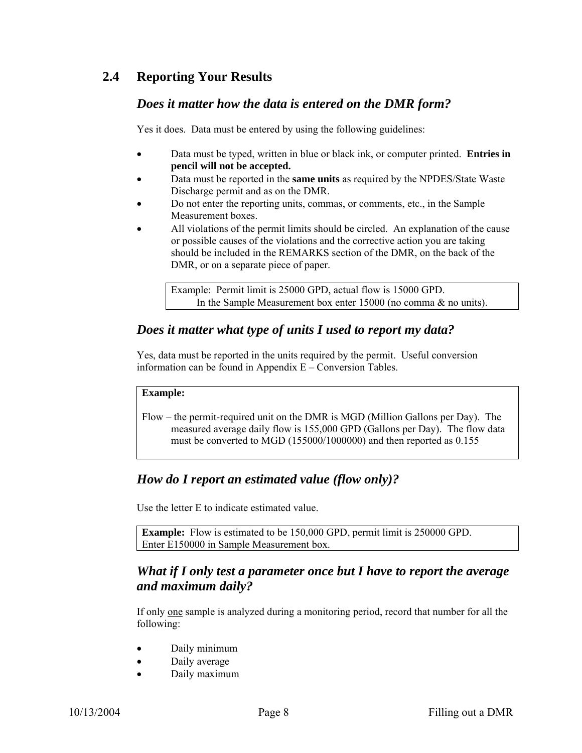#### **2.4 Reporting Your Results**

#### *Does it matter how the data is entered on the DMR form?*

Yes it does. Data must be entered by using the following guidelines:

- Data must be typed, written in blue or black ink, or computer printed. **Entries in pencil will not be accepted.**
- Data must be reported in the **same units** as required by the NPDES/State Waste Discharge permit and as on the DMR.
- Do not enter the reporting units, commas, or comments, etc., in the Sample Measurement boxes.
- All violations of the permit limits should be circled. An explanation of the cause or possible causes of the violations and the corrective action you are taking should be included in the REMARKS section of the DMR, on the back of the DMR, or on a separate piece of paper.

Example: Permit limit is 25000 GPD, actual flow is 15000 GPD. In the Sample Measurement box enter 15000 (no comma & no units).

#### *Does it matter what type of units I used to report my data?*

Yes, data must be reported in the units required by the permit. Useful conversion information can be found in Appendix E – Conversion Tables.

#### **Example:**

Flow – the permit-required unit on the DMR is MGD (Million Gallons per Day). The measured average daily flow is 155,000 GPD (Gallons per Day). The flow data must be converted to MGD (155000/1000000) and then reported as 0.155

### *How do I report an estimated value (flow only)?*

Use the letter E to indicate estimated value.

**Example:** Flow is estimated to be 150,000 GPD, permit limit is 250000 GPD. Enter E150000 in Sample Measurement box.

#### *What if I only test a parameter once but I have to report the average and maximum daily?*

If only one sample is analyzed during a monitoring period, record that number for all the following:

- Daily minimum
- Daily average
- Daily maximum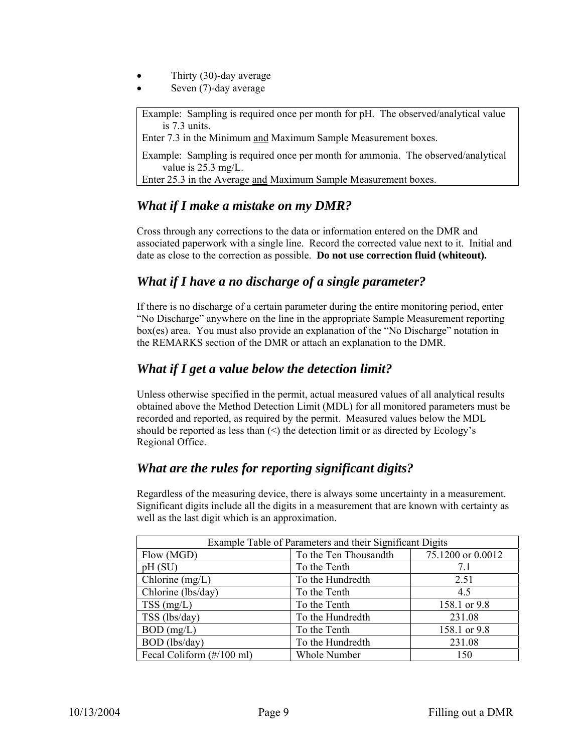- Thirty (30)-day average
- Seven (7)-day average

Example: Sampling is required once per month for pH. The observed/analytical value is 7.3 units.

Enter 7.3 in the Minimum and Maximum Sample Measurement boxes.

Example: Sampling is required once per month for ammonia. The observed/analytical value is 25.3 mg/L.

Enter 25.3 in the Average and Maximum Sample Measurement boxes.

#### *What if I make a mistake on my DMR?*

Cross through any corrections to the data or information entered on the DMR and associated paperwork with a single line. Record the corrected value next to it. Initial and date as close to the correction as possible. **Do not use correction fluid (whiteout).**

#### *What if I have a no discharge of a single parameter?*

If there is no discharge of a certain parameter during the entire monitoring period, enter "No Discharge" anywhere on the line in the appropriate Sample Measurement reporting box(es) area. You must also provide an explanation of the "No Discharge" notation in the REMARKS section of the DMR or attach an explanation to the DMR.

#### *What if I get a value below the detection limit?*

Unless otherwise specified in the permit, actual measured values of all analytical results obtained above the Method Detection Limit (MDL) for all monitored parameters must be recorded and reported, as required by the permit. Measured values below the MDL should be reported as less than  $(\leq)$  the detection limit or as directed by Ecology's Regional Office.

#### *What are the rules for reporting significant digits?*

Regardless of the measuring device, there is always some uncertainty in a measurement. Significant digits include all the digits in a measurement that are known with certainty as well as the last digit which is an approximation.

| Example Table of Parameters and their Significant Digits |                     |              |  |  |  |  |
|----------------------------------------------------------|---------------------|--------------|--|--|--|--|
| Flow (MGD)                                               | 75.1200 or 0.0012   |              |  |  |  |  |
| pH(SU)                                                   | To the Tenth        | 7.1          |  |  |  |  |
| Chlorine $(mg/L)$                                        | To the Hundredth    | 2.51         |  |  |  |  |
| Chlorine (lbs/day)                                       | To the Tenth        | 4.5          |  |  |  |  |
| $TSS$ (mg/L)                                             | To the Tenth        | 158.1 or 9.8 |  |  |  |  |
| TSS (lbs/day)                                            | To the Hundredth    | 231.08       |  |  |  |  |
| $BOD$ (mg/L)                                             | To the Tenth        | 158.1 or 9.8 |  |  |  |  |
| BOD (lbs/day)                                            | To the Hundredth    | 231.08       |  |  |  |  |
| Fecal Coliform (#/100 ml)                                | <b>Whole Number</b> | 150          |  |  |  |  |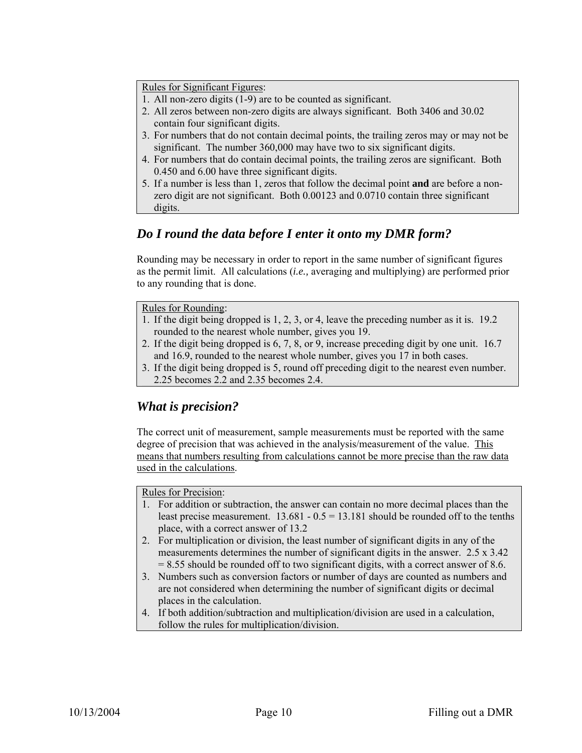Rules for Significant Figures:

- 1. All non-zero digits (1-9) are to be counted as significant.
- 2. All zeros between non-zero digits are always significant. Both 3406 and 30.02
- contain four significant digits.
- 3. For numbers that do not contain decimal points, the trailing zeros may or may not be significant. The number 360,000 may have two to six significant digits.
- 4. For numbers that do contain decimal points, the trailing zeros are significant. Both 0.450 and 6.00 have three significant digits.
- 5. If a number is less than 1, zeros that follow the decimal point **and** are before a nonzero digit are not significant. Both 0.00123 and 0.0710 contain three significant digits.

# *Do I round the data before I enter it onto my DMR form?*

Rounding may be necessary in order to report in the same number of significant figures as the permit limit. All calculations (*i.e.,* averaging and multiplying) are performed prior to any rounding that is done.

#### Rules for Rounding:

- 1. If the digit being dropped is 1, 2, 3, or 4, leave the preceding number as it is. 19.2 rounded to the nearest whole number, gives you 19.
- 2. If the digit being dropped is 6, 7, 8, or 9, increase preceding digit by one unit. 16.7 and 16.9, rounded to the nearest whole number, gives you 17 in both cases.
- 3. If the digit being dropped is 5, round off preceding digit to the nearest even number. 2.25 becomes 2.2 and 2.35 becomes 2.4.

### *What is precision?*

The correct unit of measurement, sample measurements must be reported with the same degree of precision that was achieved in the analysis/measurement of the value. This means that numbers resulting from calculations cannot be more precise than the raw data used in the calculations.

#### Rules for Precision:

- 1. For addition or subtraction, the answer can contain no more decimal places than the least precise measurement.  $13.681 - 0.5 = 13.181$  should be rounded off to the tenths place, with a correct answer of 13.2
- 2. For multiplication or division, the least number of significant digits in any of the measurements determines the number of significant digits in the answer. 2.5 x 3.42 = 8.55 should be rounded off to two significant digits, with a correct answer of 8.6.
- 3. Numbers such as conversion factors or number of days are counted as numbers and are not considered when determining the number of significant digits or decimal places in the calculation.
- 4. If both addition/subtraction and multiplication/division are used in a calculation, follow the rules for multiplication/division.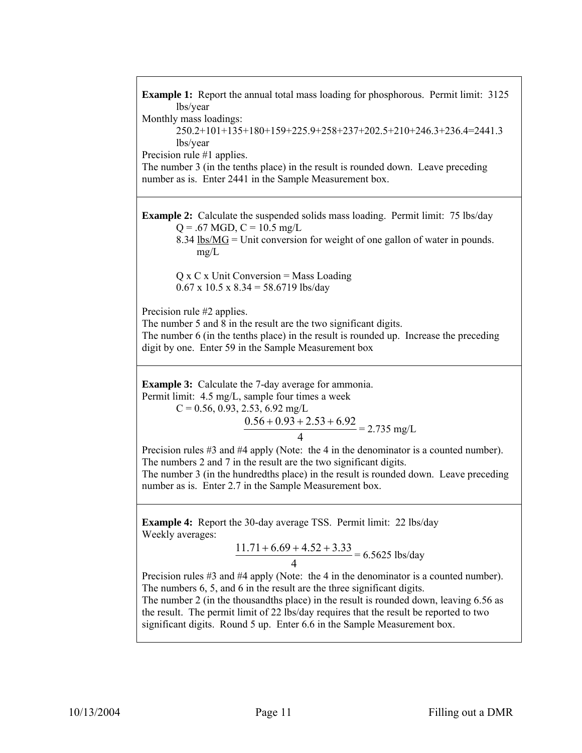**Example 1:** Report the annual total mass loading for phosphorous. Permit limit: 3125 lbs/year Monthly mass loadings: 250.2+101+135+180+159+225.9+258+237+202.5+210+246.3+236.4=2441.3 lbs/year Precision rule #1 applies. The number 3 (in the tenths place) in the result is rounded down. Leave preceding number as is. Enter 2441 in the Sample Measurement box. **Example 2:** Calculate the suspended solids mass loading. Permit limit: 75 lbs/day  $Q = .67$  MGD,  $C = 10.5$  mg/L 8.34  $lbs/MG = Unit conversion for weight of one gallon of water in pounds.$ </u> mg/L  $Q$  x  $C$  x Unit Conversion = Mass Loading  $0.67$  x  $10.5$  x  $8.34 = 58.6719$  lbs/day Precision rule #2 applies. The number 5 and 8 in the result are the two significant digits. The number 6 (in the tenths place) in the result is rounded up. Increase the preceding digit by one. Enter 59 in the Sample Measurement box **Example 3:** Calculate the 7-day average for ammonia. Permit limit: 4.5 mg/L, sample four times a week  $C = 0.56, 0.93, 2.53, 6.92$  mg/L 4  $\frac{0.56 + 0.93 + 2.53 + 6.92}{0.56 + 0.93 + 2.53 + 6.92} = 2.735$  mg/L Precision rules #3 and #4 apply (Note: the 4 in the denominator is a counted number). The numbers 2 and 7 in the result are the two significant digits. The number 3 (in the hundredths place) in the result is rounded down. Leave preceding number as is. Enter 2.7 in the Sample Measurement box. **Example 4:** Report the 30-day average TSS. Permit limit: 22 lbs/day Weekly averages: 4  $\frac{11.71 + 6.69 + 4.52 + 3.33}{6.5625}$  lbs/day Precision rules #3 and #4 apply (Note: the 4 in the denominator is a counted number). The numbers 6, 5, and 6 in the result are the three significant digits. The number 2 (in the thousandths place) in the result is rounded down, leaving 6.56 as the result. The permit limit of 22 lbs/day requires that the result be reported to two significant digits. Round 5 up. Enter 6.6 in the Sample Measurement box.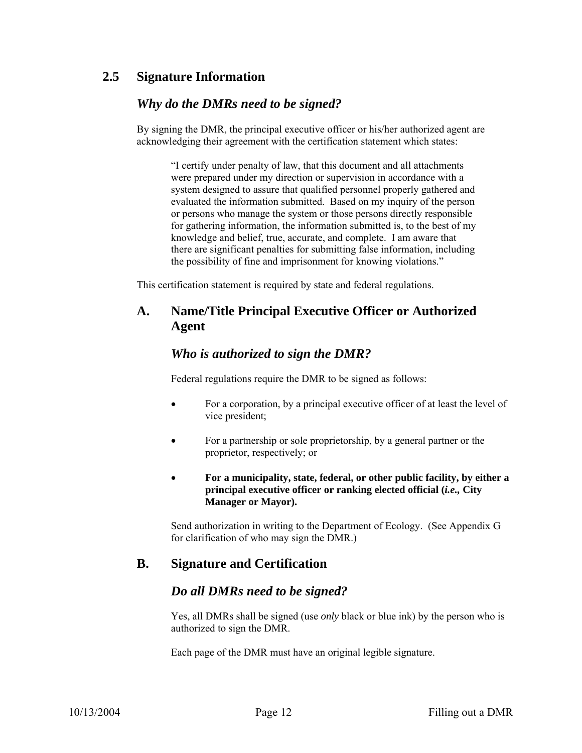#### **2.5 Signature Information**

#### *Why do the DMRs need to be signed?*

By signing the DMR, the principal executive officer or his/her authorized agent are acknowledging their agreement with the certification statement which states:

"I certify under penalty of law, that this document and all attachments were prepared under my direction or supervision in accordance with a system designed to assure that qualified personnel properly gathered and evaluated the information submitted. Based on my inquiry of the person or persons who manage the system or those persons directly responsible for gathering information, the information submitted is, to the best of my knowledge and belief, true, accurate, and complete. I am aware that there are significant penalties for submitting false information, including the possibility of fine and imprisonment for knowing violations."

This certification statement is required by state and federal regulations.

#### **A. Name/Title Principal Executive Officer or Authorized Agent**

#### *Who is authorized to sign the DMR?*

Federal regulations require the DMR to be signed as follows:

- For a corporation, by a principal executive officer of at least the level of vice president;
- For a partnership or sole proprietorship, by a general partner or the proprietor, respectively; or
- **For a municipality, state, federal, or other public facility, by either a principal executive officer or ranking elected official (***i.e.,* **City Manager or Mayor).**

Send authorization in writing to the Department of Ecology. (See Appendix G for clarification of who may sign the DMR.)

#### **B. Signature and Certification**

#### *Do all DMRs need to be signed?*

Yes, all DMRs shall be signed (use *only* black or blue ink) by the person who is authorized to sign the DMR.

Each page of the DMR must have an original legible signature.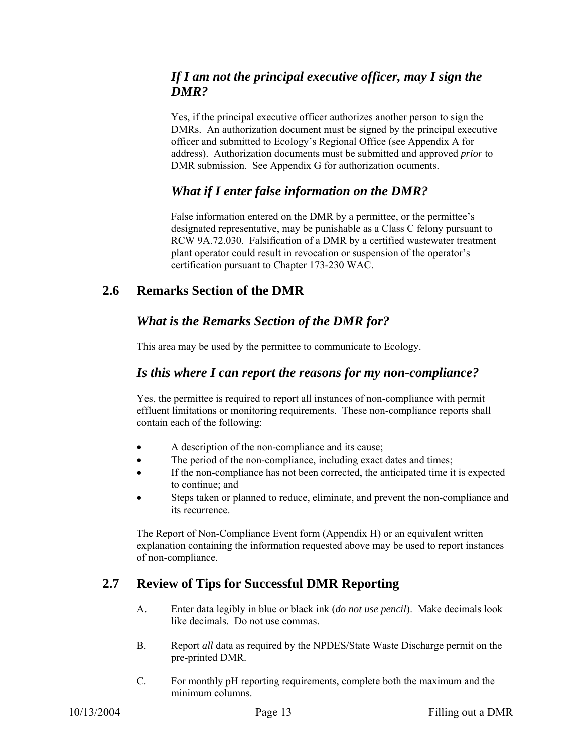#### *If I am not the principal executive officer, may I sign the DMR?*

Yes, if the principal executive officer authorizes another person to sign the DMRs. An authorization document must be signed by the principal executive officer and submitted to Ecology's Regional Office (see Appendix A for address). Authorization documents must be submitted and approved *prior* to DMR submission. See Appendix G for authorization ocuments.

#### *What if I enter false information on the DMR?*

False information entered on the DMR by a permittee, or the permittee's designated representative, may be punishable as a Class C felony pursuant to RCW 9A.72.030. Falsification of a DMR by a certified wastewater treatment plant operator could result in revocation or suspension of the operator's certification pursuant to Chapter 173-230 WAC.

#### **2.6 Remarks Section of the DMR**

#### *What is the Remarks Section of the DMR for?*

This area may be used by the permittee to communicate to Ecology.

#### *Is this where I can report the reasons for my non-compliance?*

Yes, the permittee is required to report all instances of non-compliance with permit effluent limitations or monitoring requirements. These non-compliance reports shall contain each of the following:

- A description of the non-compliance and its cause;
- The period of the non-compliance, including exact dates and times;
- If the non-compliance has not been corrected, the anticipated time it is expected to continue; and
- Steps taken or planned to reduce, eliminate, and prevent the non-compliance and its recurrence.

The Report of Non-Compliance Event form (Appendix H) or an equivalent written explanation containing the information requested above may be used to report instances of non-compliance.

#### **2.7 Review of Tips for Successful DMR Reporting**

- A. Enter data legibly in blue or black ink (*do not use pencil*). Make decimals look like decimals. Do not use commas.
- B. Report *all* data as required by the NPDES/State Waste Discharge permit on the pre-printed DMR.
- C. For monthly pH reporting requirements, complete both the maximum and the minimum columns.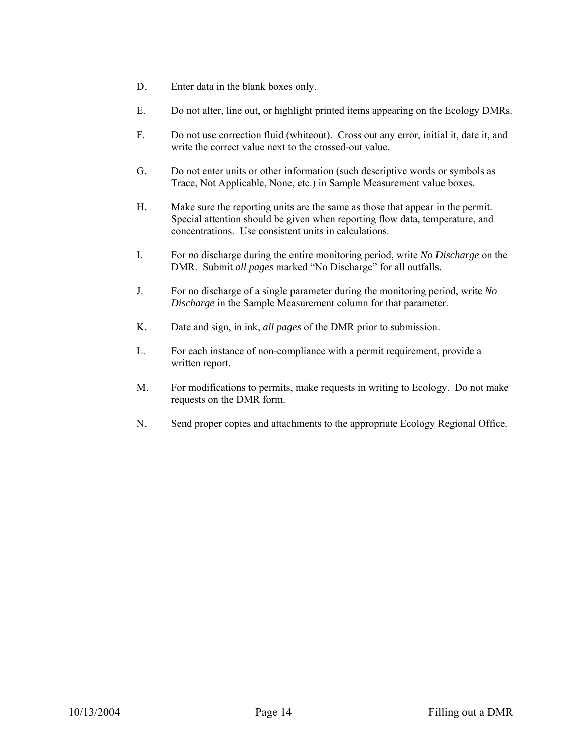- D. Enter data in the blank boxes only.
- E. Do not alter, line out, or highlight printed items appearing on the Ecology DMRs.
- F. Do not use correction fluid (whiteout). Cross out any error, initial it, date it, and write the correct value next to the crossed-out value.
- G. Do not enter units or other information (such descriptive words or symbols as Trace, Not Applicable, None, etc.) in Sample Measurement value boxes.
- H. Make sure the reporting units are the same as those that appear in the permit. Special attention should be given when reporting flow data, temperature, and concentrations. Use consistent units in calculations.
- I. For *no* discharge during the entire monitoring period, write *No Discharge* on the DMR. Submit *all pages* marked "No Discharge" for all outfalls.
- J. For no discharge of a single parameter during the monitoring period, write *No Discharge* in the Sample Measurement column for that parameter.
- K. Date and sign, in ink, *all pages* of the DMR prior to submission.
- L. For each instance of non-compliance with a permit requirement, provide a written report.
- M. For modifications to permits, make requests in writing to Ecology. Do not make requests on the DMR form.
- N. Send proper copies and attachments to the appropriate Ecology Regional Office.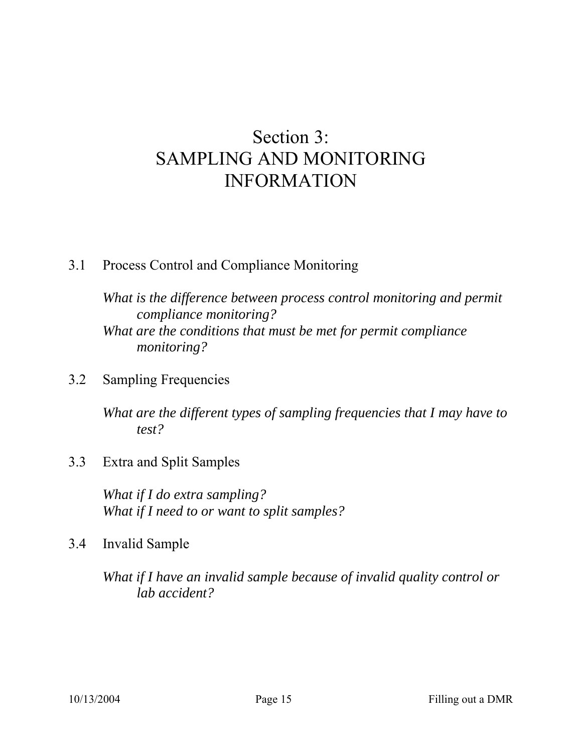# Section 3: SAMPLING AND MONITORING INFORMATION

# 3.1 Process Control and Compliance Monitoring

*What is the difference between process control monitoring and permit compliance monitoring? What are the conditions that must be met for permit compliance monitoring?* 

# 3.2 Sampling Frequencies

*What are the different types of sampling frequencies that I may have to test?* 

# 3.3 Extra and Split Samples

*What if I do extra sampling? What if I need to or want to split samples?* 

# 3.4 Invalid Sample

*What if I have an invalid sample because of invalid quality control or lab accident?*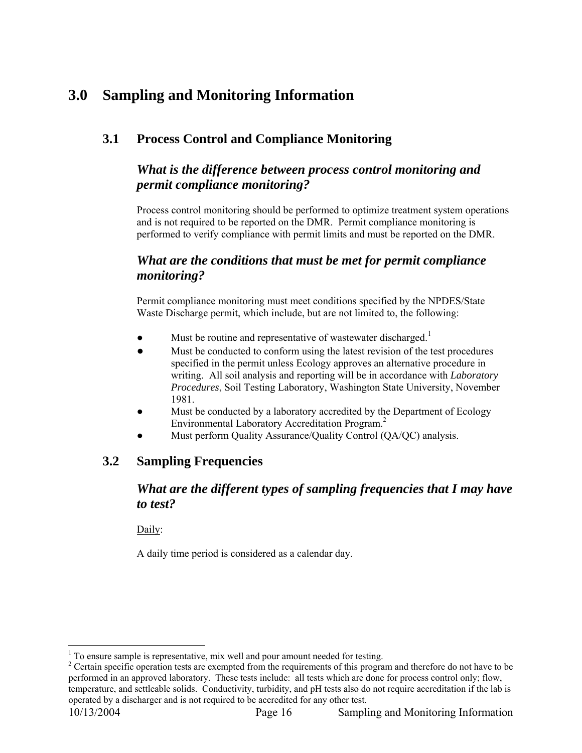# **3.0 Sampling and Monitoring Information**

### **3.1 Process Control and Compliance Monitoring**

#### *What is the difference between process control monitoring and permit compliance monitoring?*

Process control monitoring should be performed to optimize treatment system operations and is not required to be reported on the DMR. Permit compliance monitoring is performed to verify compliance with permit limits and must be reported on the DMR.

#### *What are the conditions that must be met for permit compliance monitoring?*

Permit compliance monitoring must meet conditions specified by the NPDES/State Waste Discharge permit, which include, but are not limited to, the following:

- Must be routine and representative of wastewater discharged.<sup>1</sup>
- Must be conducted to conform using the latest revision of the test procedures specified in the permit unless Ecology approves an alternative procedure in writing. All soil analysis and reporting will be in accordance with *Laboratory Procedures*, Soil Testing Laboratory, Washington State University, November 1981.
- Must be conducted by a laboratory accredited by the Department of Ecology Environmental Laboratory Accreditation Program.2
- Must perform Quality Assurance/Quality Control (QA/QC) analysis.

#### **3.2 Sampling Frequencies**

### *What are the different types of sampling frequencies that I may have to test?*

Daily:

A daily time period is considered as a calendar day.

 1 To ensure sample is representative, mix well and pour amount needed for testing.

 $2^2$  Certain specific operation tests are exempted from the requirements of this program and therefore do not have to be performed in an approved laboratory. These tests include: all tests which are done for process control only; flow, temperature, and settleable solids. Conductivity, turbidity, and pH tests also do not require accreditation if the lab is operated by a discharger and is not required to be accredited for any other test.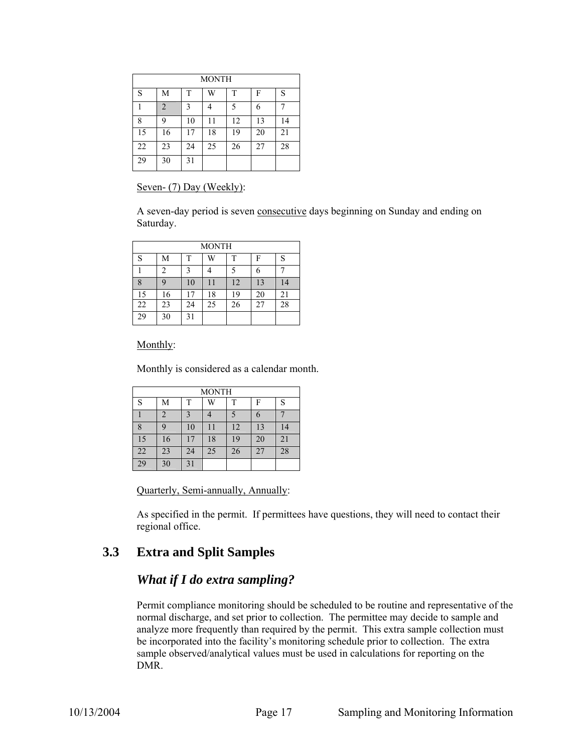| <b>MONTH</b> |    |    |    |    |    |    |  |  |
|--------------|----|----|----|----|----|----|--|--|
| S            | M  | T  | W  | T  | F  | S  |  |  |
|              | 2  | 3  |    | 5  | 6  |    |  |  |
| 8            | 9  | 10 | 11 | 12 | 13 | 14 |  |  |
| 15           | 16 | 17 | 18 | 19 | 20 | 21 |  |  |
| 22           | 23 | 24 | 25 | 26 | 27 | 28 |  |  |
| 29           | 30 | 31 |    |    |    |    |  |  |

#### Seven- (7) Day (Weekly):

A seven-day period is seven consecutive days beginning on Sunday and ending on Saturday.

| <b>MONTH</b> |    |    |    |    |    |    |  |  |
|--------------|----|----|----|----|----|----|--|--|
| S            | М  | T  | W  | T  | F  | S  |  |  |
|              | 2  |    |    |    | 6  |    |  |  |
| 8            | 9  | 10 | 11 | 12 | 13 | 14 |  |  |
| 15           | 16 | 17 | 18 | 19 | 20 | 21 |  |  |
| 22           | 23 | 24 | 25 | 26 | 27 | 28 |  |  |
| 29           | 30 | 31 |    |    |    |    |  |  |

Monthly:

Monthly is considered as a calendar month.

| MONTH |    |    |    |    |    |    |  |  |
|-------|----|----|----|----|----|----|--|--|
| S     | Μ  | Т  | W  | T  | F  | S  |  |  |
|       | 2  |    |    |    | 6  |    |  |  |
| 8     | 9  | 10 | 11 | 12 | 13 | 14 |  |  |
| 15    | 16 |    | 18 | 19 | 20 | 21 |  |  |
| 22    | 23 | 24 | 25 | 26 | 27 | 28 |  |  |
| 29    | 30 | 31 |    |    |    |    |  |  |

Quarterly, Semi-annually, Annually:

As specified in the permit. If permittees have questions, they will need to contact their regional office.

#### **3.3 Extra and Split Samples**

#### *What if I do extra sampling?*

Permit compliance monitoring should be scheduled to be routine and representative of the normal discharge, and set prior to collection. The permittee may decide to sample and analyze more frequently than required by the permit. This extra sample collection must be incorporated into the facility's monitoring schedule prior to collection. The extra sample observed/analytical values must be used in calculations for reporting on the DMR.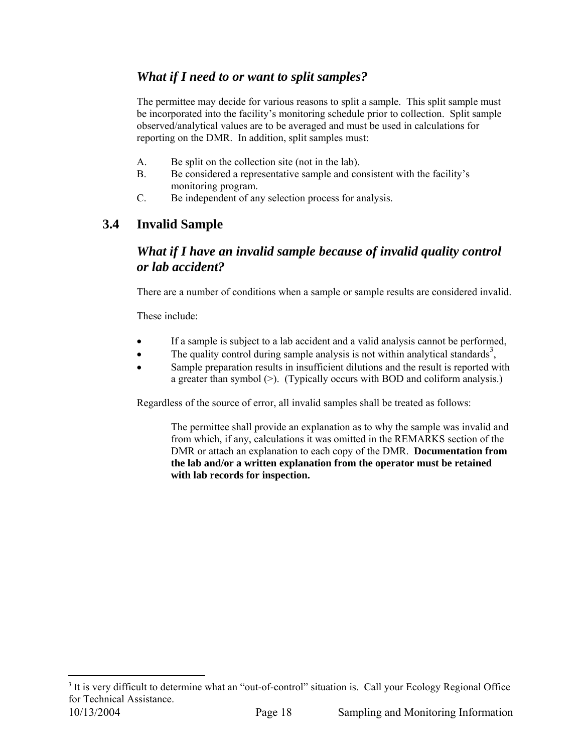#### *What if I need to or want to split samples?*

The permittee may decide for various reasons to split a sample. This split sample must be incorporated into the facility's monitoring schedule prior to collection. Split sample observed/analytical values are to be averaged and must be used in calculations for reporting on the DMR. In addition, split samples must:

- A. Be split on the collection site (not in the lab).
- B. Be considered a representative sample and consistent with the facility's monitoring program.
- C. Be independent of any selection process for analysis.

### **3.4 Invalid Sample**

#### *What if I have an invalid sample because of invalid quality control or lab accident?*

There are a number of conditions when a sample or sample results are considered invalid.

These include:

 $\overline{a}$ 

- If a sample is subject to a lab accident and a valid analysis cannot be performed,
- The quality control during sample analysis is not within analytical standards<sup>3</sup>,
- Sample preparation results in insufficient dilutions and the result is reported with a greater than symbol (>). (Typically occurs with BOD and coliform analysis.)

Regardless of the source of error, all invalid samples shall be treated as follows:

The permittee shall provide an explanation as to why the sample was invalid and from which, if any, calculations it was omitted in the REMARKS section of the DMR or attach an explanation to each copy of the DMR. **Documentation from the lab and/or a written explanation from the operator must be retained with lab records for inspection.**

<sup>10/13/2004</sup> Page 18 Sampling and Monitoring Information <sup>3</sup> It is very difficult to determine what an "out-of-control" situation is. Call your Ecology Regional Office for Technical Assistance.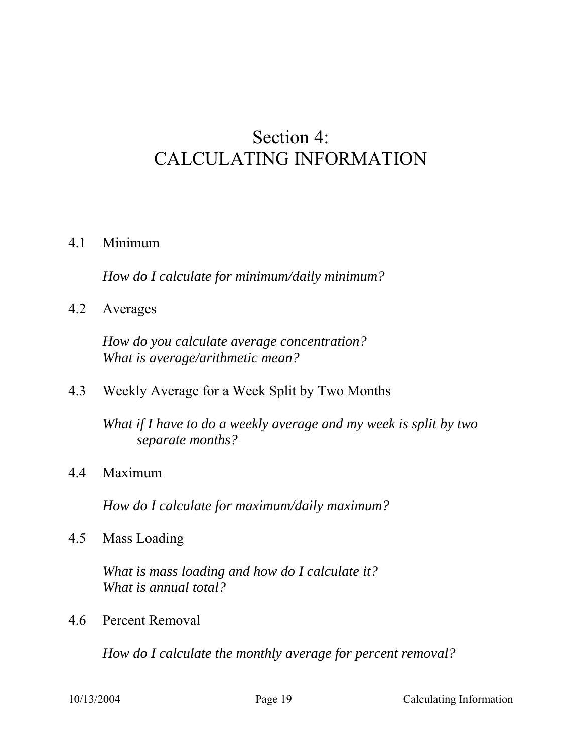# Section 4: CALCULATING INFORMATION

### 4.1 Minimum

*How do I calculate for minimum/daily minimum?* 

4.2 Averages

*How do you calculate average concentration? What is average/arithmetic mean?* 

4.3 Weekly Average for a Week Split by Two Months

*What if I have to do a weekly average and my week is split by two separate months?* 

4.4 Maximum

*How do I calculate for maximum/daily maximum?* 

4.5 Mass Loading

*What is mass loading and how do I calculate it? What is annual total?* 

4.6 Percent Removal

*How do I calculate the monthly average for percent removal?*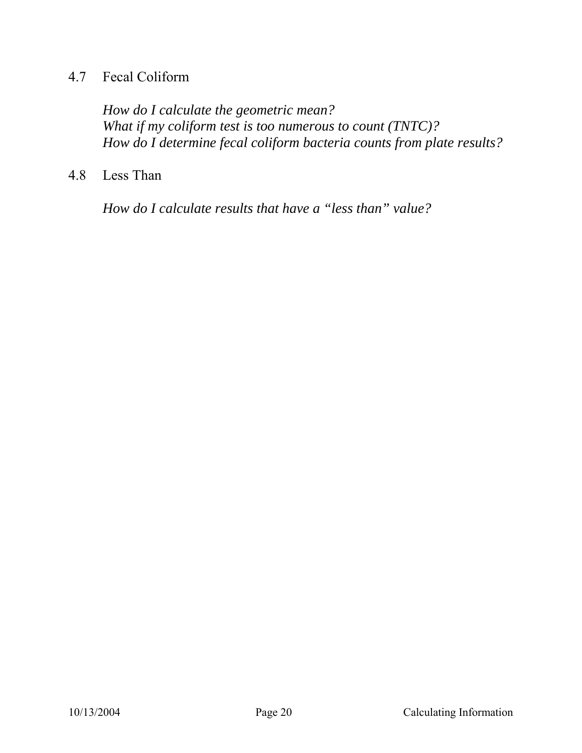# 4.7 Fecal Coliform

*How do I calculate the geometric mean? What if my coliform test is too numerous to count (TNTC)? How do I determine fecal coliform bacteria counts from plate results?* 

# 4.8 Less Than

*How do I calculate results that have a "less than" value?*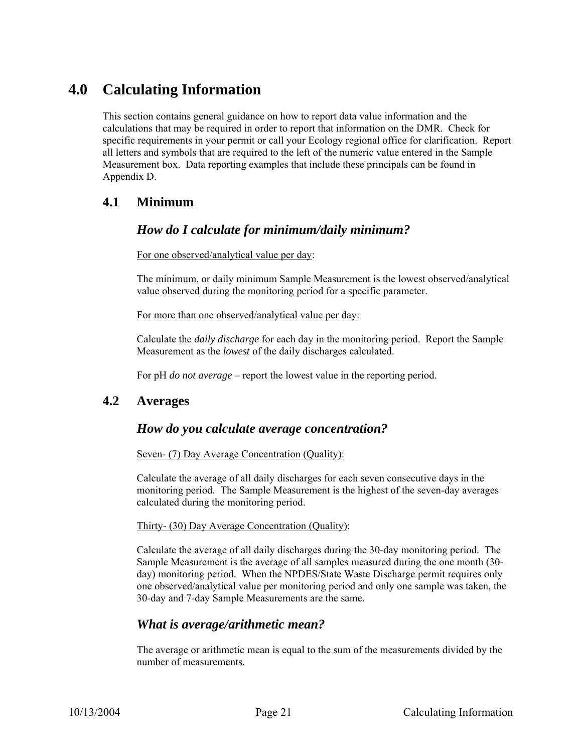# **4.0 Calculating Information**

This section contains general guidance on how to report data value information and the calculations that may be required in order to report that information on the DMR. Check for specific requirements in your permit or call your Ecology regional office for clarification. Report all letters and symbols that are required to the left of the numeric value entered in the Sample Measurement box. Data reporting examples that include these principals can be found in Appendix D.

#### **4.1 Minimum**

#### *How do I calculate for minimum/daily minimum?*

For one observed/analytical value per day:

The minimum, or daily minimum Sample Measurement is the lowest observed/analytical value observed during the monitoring period for a specific parameter.

For more than one observed/analytical value per day:

Calculate the *daily discharge* for each day in the monitoring period. Report the Sample Measurement as the *lowest* of the daily discharges calculated.

For pH *do not average* – report the lowest value in the reporting period.

#### **4.2 Averages**

#### *How do you calculate average concentration?*

#### Seven- (7) Day Average Concentration (Quality):

Calculate the average of all daily discharges for each seven consecutive days in the monitoring period. The Sample Measurement is the highest of the seven-day averages calculated during the monitoring period.

#### Thirty- (30) Day Average Concentration (Quality):

Calculate the average of all daily discharges during the 30-day monitoring period. The Sample Measurement is the average of all samples measured during the one month (30 day) monitoring period. When the NPDES/State Waste Discharge permit requires only one observed/analytical value per monitoring period and only one sample was taken, the 30-day and 7-day Sample Measurements are the same.

#### *What is average/arithmetic mean?*

The average or arithmetic mean is equal to the sum of the measurements divided by the number of measurements.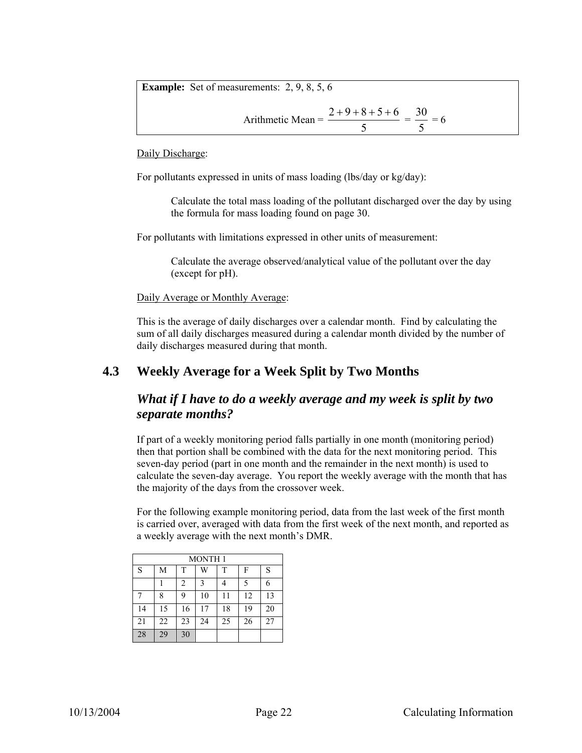|  | <b>Example:</b> Set of measurements: $2, 9, 8, 5, 6$ |  |  |  |  |  |
|--|------------------------------------------------------|--|--|--|--|--|
|--|------------------------------------------------------|--|--|--|--|--|

Arithmetic Mean = 
$$
\frac{2+9+8+5+6}{5} = \frac{30}{5} = 6
$$

Daily Discharge:

For pollutants expressed in units of mass loading (lbs/day or kg/day):

Calculate the total mass loading of the pollutant discharged over the day by using the formula for mass loading found on page 30.

For pollutants with limitations expressed in other units of measurement:

Calculate the average observed/analytical value of the pollutant over the day (except for pH).

Daily Average or Monthly Average:

This is the average of daily discharges over a calendar month. Find by calculating the sum of all daily discharges measured during a calendar month divided by the number of daily discharges measured during that month.

#### **4.3 Weekly Average for a Week Split by Two Months**

#### *What if I have to do a weekly average and my week is split by two separate months?*

If part of a weekly monitoring period falls partially in one month (monitoring period) then that portion shall be combined with the data for the next monitoring period. This seven-day period (part in one month and the remainder in the next month) is used to calculate the seven-day average. You report the weekly average with the month that has the majority of the days from the crossover week.

For the following example monitoring period, data from the last week of the first month is carried over, averaged with data from the first week of the next month, and reported as a weekly average with the next month's DMR.

| <b>MONTH1</b> |    |    |    |    |    |    |  |  |
|---------------|----|----|----|----|----|----|--|--|
| S             | М  | T  | W  | T  | F  | S  |  |  |
|               |    | 2  | 3  |    | 5  | 6  |  |  |
| 7             | 8  | 9  | 10 | 11 | 12 | 13 |  |  |
| 14            | 15 | 16 | 17 | 18 | 19 | 20 |  |  |
| 21            | 22 | 23 | 24 | 25 | 26 | 27 |  |  |
| 28            | 29 | 30 |    |    |    |    |  |  |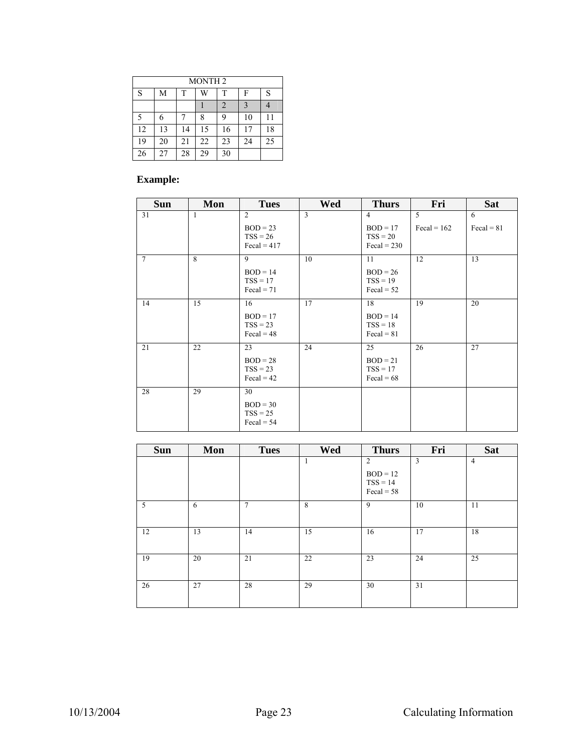| <b>MONTH2</b> |    |    |    |    |    |    |  |  |
|---------------|----|----|----|----|----|----|--|--|
| S             | М  | T  | W  | T  | F  | S  |  |  |
|               |    |    |    | 2  | 3  |    |  |  |
| 5             | 6  |    | 8  | 9  | 10 |    |  |  |
| 12            | 13 | 14 | 15 | 16 | 17 | 18 |  |  |
| 19            | 20 | 21 | 22 | 23 | 24 | 25 |  |  |
| 26            | 27 | 28 | 29 | 30 |    |    |  |  |

#### **Example:**

| <b>Sun</b>      | Mon | <b>Tues</b>                                                        | Wed | <b>Thurs</b>                                                       | Fri                | <b>Sat</b>               |
|-----------------|-----|--------------------------------------------------------------------|-----|--------------------------------------------------------------------|--------------------|--------------------------|
| 31              | 1   | $\overline{2}$<br>$BOD = 23$<br>$TSS = 26$<br>$\text{Fegal} = 417$ | 3   | $\overline{4}$<br>$BOD = 17$<br>$TSS = 20$<br>$\text{Fegal} = 230$ | 5<br>Fecal = $162$ | 6<br>$\text{Fegal} = 81$ |
| $7\phantom{.0}$ | 8   | 9<br>$BOD = 14$<br>$TSS = 17$<br>$\text{Fegal} = 71$               | 10  | 11<br>$BOD = 26$<br>$TSS = 19$<br>$\text{Fegal} = 52$              | 12                 | 13                       |
| 14              | 15  | 16<br>$BOD = 17$<br>$TSS = 23$<br>$\text{Fegal} = 48$              | 17  | 18<br>$BOD = 14$<br>$TSS = 18$<br>$\text{Fegal} = 81$              | 19                 | 20                       |
| 21              | 22  | 23<br>$BOD = 28$<br>$TSS = 23$<br>$\text{Fegal} = 42$              | 24  | 25<br>$BOD = 21$<br>$TSS = 17$<br>$\text{Fegal} = 68$              | 26                 | 27                       |
| 28              | 29  | 30<br>$BOD = 30$<br>$TSS = 25$<br>$\text{Fegal} = 54$              |     |                                                                    |                    |                          |

| <b>Sun</b> | Mon | <b>Tues</b>    | Wed | <b>Thurs</b>                                                      | Fri | <b>Sat</b>     |
|------------|-----|----------------|-----|-------------------------------------------------------------------|-----|----------------|
|            |     |                | 1   | $\overline{2}$<br>$BOD = 12$<br>$TSS = 14$<br>$\text{Fegal} = 58$ | 3   | $\overline{4}$ |
| 5          | 6   | $\overline{7}$ | 8   | 9                                                                 | 10  | 11             |
| 12         | 13  | 14             | 15  | 16                                                                | 17  | 18             |
| 19         | 20  | 21             | 22  | 23                                                                | 24  | 25             |
| 26         | 27  | 28             | 29  | 30                                                                | 31  |                |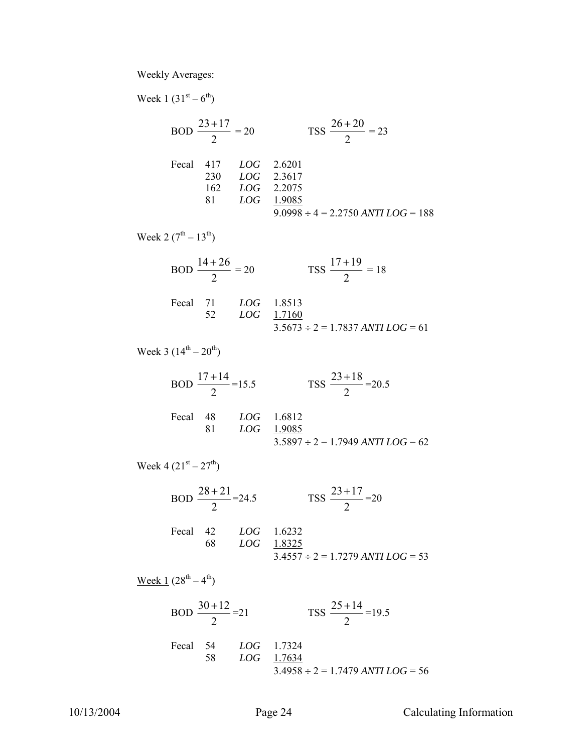Weekly Averages:

Week  $1 (31^{st} - 6^{th})$ 

BOD 
$$
\frac{23+17}{2} = 20
$$
 TSS  $\frac{26+20}{2} = 23$   
\nFecal 417 *LOG* 2.6201  
\n230 *LOG* 2.3617  
\n162 *LOG* 2.2075  
\n81 *LOG* 1.9085  
\n9.0998 ÷ 4 = 2.2750 *ANTI LOG* = 188

Week 2  $(7^{th} - 13^{th})$ 

$$
BOD \frac{14+26}{2} = 20
$$
\n
$$
TSS \frac{17+19}{2} = 18
$$
\n
$$
52 \quad LOG \quad 1.8513
$$
\n
$$
52 \quad LOG \quad \frac{1.7160}{3.5673 \div 2} = 1.7837 \text{ ANTI } LOG = 61
$$

Week 3  $(14^{th} - 20^{th})$ 

BOD 
$$
\frac{17+14}{2}
$$
 = 15.5  
\n
$$
\text{res } \frac{23+18}{2} = 20.5
$$
\n
$$
\text{Fecal } 48 \quad \text{LOG } 1.6812
$$
\n
$$
81 \quad \text{LOG } \frac{1.9085}{3.5897 \div 2} = 1.7949 \text{ ANTI } LOG = 62
$$

Week 4  $(21^{st} – 27^{th})$ 

BOD 
$$
\frac{28+21}{2}
$$
 = 24.5 TSS  $\frac{23+17}{2}$  = 20  
Fecal 42 *LOG* 1.6232  
68 *LOG* 1.8325  
3.4557 ÷ 2 = 1.7279 *ANTILOG* = 53

Week  $1 (28^{th} - 4^{th})$ 

BOD 
$$
\frac{30+12}{2}
$$
 = 21  
\n
$$
\text{res } \frac{25+14}{2} = 19.5
$$
\n
$$
\text{Fecal } 54 \quad LOG \quad 1.7324
$$
\n
$$
58 \quad LOG \quad \frac{1.7634}{3.4958 \div 2} = 1.7479 \text{ ANTI } LOG = 56
$$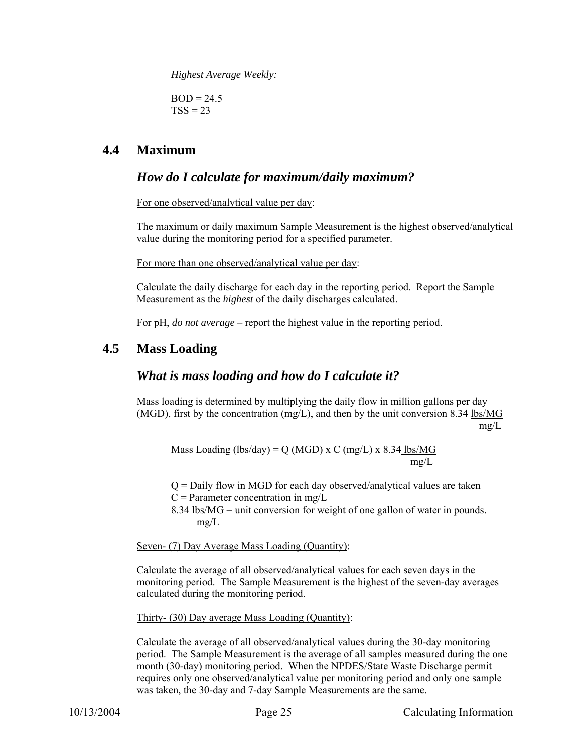*Highest Average Weekly:* 

 $BOD = 24.5$  $TSS = 23$ 

#### **4.4 Maximum**

#### *How do I calculate for maximum/daily maximum?*

For one observed/analytical value per day:

The maximum or daily maximum Sample Measurement is the highest observed/analytical value during the monitoring period for a specified parameter.

For more than one observed/analytical value per day:

Calculate the daily discharge for each day in the reporting period. Report the Sample Measurement as the *highest* of the daily discharges calculated.

For pH, *do not average* – report the highest value in the reporting period.

#### **4.5 Mass Loading**

#### *What is mass loading and how do I calculate it?*

Mass loading is determined by multiplying the daily flow in million gallons per day (MGD), first by the concentration  $(mg/L)$ , and then by the unit conversion 8.34 lbs/MG mg/L

Mass Loading (lbs/day) = Q (MGD) x C (mg/L) x 8.34 lbs/MG mg/L mg/L

Q = Daily flow in MGD for each day observed/analytical values are taken

- $C =$  Parameter concentration in mg/L
- 8.34 lbs/MG = unit conversion for weight of one gallon of water in pounds. mg/L

Seven- (7) Day Average Mass Loading (Quantity):

Calculate the average of all observed/analytical values for each seven days in the monitoring period. The Sample Measurement is the highest of the seven-day averages calculated during the monitoring period.

Thirty- (30) Day average Mass Loading (Quantity):

Calculate the average of all observed/analytical values during the 30-day monitoring period. The Sample Measurement is the average of all samples measured during the one month (30-day) monitoring period. When the NPDES/State Waste Discharge permit requires only one observed/analytical value per monitoring period and only one sample was taken, the 30-day and 7-day Sample Measurements are the same.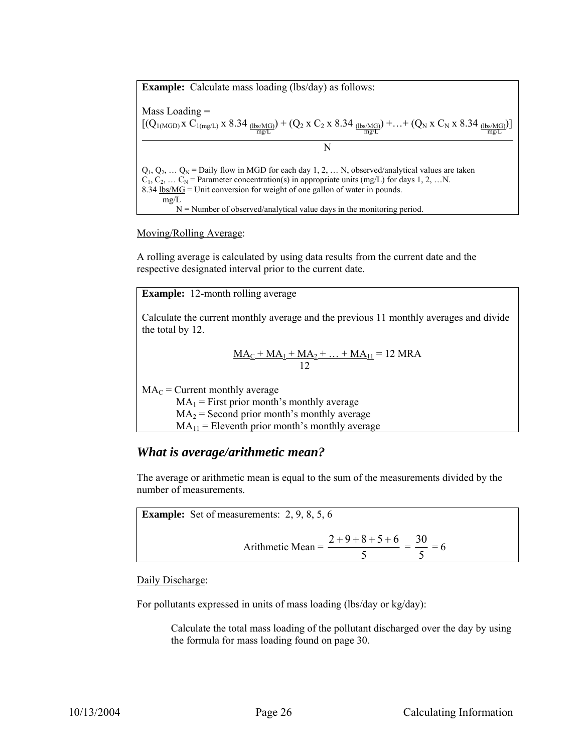**Example:** Calculate mass loading (lbs/day) as follows: Mass Loading =  $[(Q_{1(MGD)} \times C_{1(mg/L)} \times 8.34 \frac{\text{(lbs/MG)}}{\text{mg/L}}) + (Q_2 \times C_2 \times 8.34 \frac{\text{(lbs/MG)}}{\text{mg/L}}) + ... + (Q_N \times C_N \times 8.34 \frac{\text{(lbs/MG)}}{\text{mg/L}})]$ N  $Q_1, Q_2, \ldots Q_N$  = Daily flow in MGD for each day 1, 2, ... N, observed/analytical values are taken  $C_1, C_2, \ldots C_N$  = Parameter concentration(s) in appropriate units (mg/L) for days 1, 2, …N. 8.34  $\frac{1}{6}$  lbs/MG = Unit conversion for weight of one gallon of water in pounds. mg/L  $N =$  Number of observed/analytical value days in the monitoring period.

Moving/Rolling Average:

A rolling average is calculated by using data results from the current date and the respective designated interval prior to the current date.

**Example:** 12-month rolling average

Calculate the current monthly average and the previous 11 monthly averages and divide the total by 12.

$$
\frac{MA_C + MA_1 + MA_2 + ... + MA_{11}}{12} = 12 \text{ MRA}
$$

 $MA_C$  = Current monthly average

 $MA_1$  = First prior month's monthly average

 $MA<sub>2</sub> = Second prior month's monthly average$ 

 $MA<sub>11</sub>$  = Eleventh prior month's monthly average

#### *What is average/arithmetic mean?*

The average or arithmetic mean is equal to the sum of the measurements divided by the number of measurements.

**Example:** Set of measurements: 2, 9, 8, 5, 6 Arithmetic Mean = 5  $\frac{2+9+8+5+6}{2}$  = 5  $\frac{30}{5} = 6$ 

Daily Discharge:

For pollutants expressed in units of mass loading (lbs/day or kg/day):

Calculate the total mass loading of the pollutant discharged over the day by using the formula for mass loading found on page 30.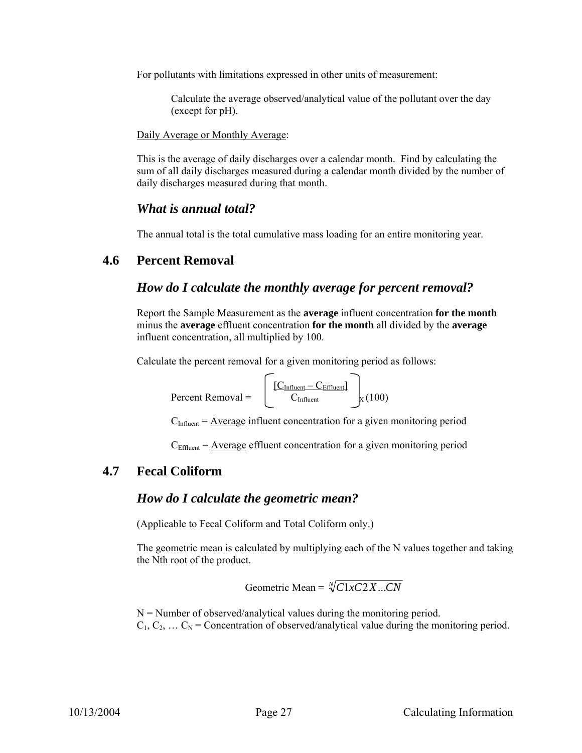For pollutants with limitations expressed in other units of measurement:

Calculate the average observed/analytical value of the pollutant over the day (except for pH).

Daily Average or Monthly Average:

This is the average of daily discharges over a calendar month. Find by calculating the sum of all daily discharges measured during a calendar month divided by the number of daily discharges measured during that month.

#### *What is annual total?*

The annual total is the total cumulative mass loading for an entire monitoring year.

#### **4.6 Percent Removal**

#### *How do I calculate the monthly average for percent removal?*

Report the Sample Measurement as the **average** influent concentration **for the month** minus the **average** effluent concentration **for the month** all divided by the **average** influent concentration, all multiplied by 100.

Calculate the percent removal for a given monitoring period as follows:

$$
Percent Removal = \left[ \frac{[C_{Influent} - C_{Effuent}]}{C_{Influent}} \right]_X (100)
$$

 $C<sub>Influent</sub> = \underline{Average}$  influent concentration for a given monitoring period

 $C_{\text{Effluent}} = \text{Average eff}$  effluent concentration for a given monitoring period

#### **4.7 Fecal Coliform**

#### *How do I calculate the geometric mean?*

(Applicable to Fecal Coliform and Total Coliform only.)

The geometric mean is calculated by multiplying each of the N values together and taking the Nth root of the product.

Geometric Mean =  $\sqrt[N]{C1xC2X...CN}$ 

 $N =$  Number of observed/analytical values during the monitoring period.  $C_1, C_2, \ldots C_N$  = Concentration of observed/analytical value during the monitoring period.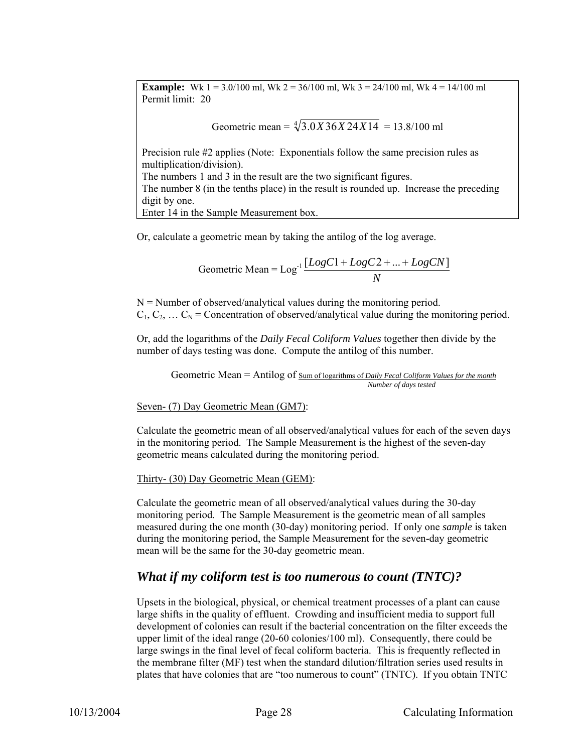**Example:** Wk  $1 = 3.0/100$  ml, Wk  $2 = 36/100$  ml, Wk  $3 = 24/100$  ml, Wk  $4 = 14/100$  ml Permit limit: 20

Geometric mean =  $\sqrt[4]{3.0X36X24X14}$  = 13.8/100 ml

Precision rule #2 applies (Note: Exponentials follow the same precision rules as multiplication/division). The numbers 1 and 3 in the result are the two significant figures.

The number 8 (in the tenths place) in the result is rounded up. Increase the preceding digit by one.

Enter 14 in the Sample Measurement box.

Or, calculate a geometric mean by taking the antilog of the log average.

Geometric Mean = 
$$
Log^{-1} \frac{[LogC1 + LogC2 + ... + LogCN]}{N}
$$

 $N =$  Number of observed/analytical values during the monitoring period.  $C_1, C_2, \ldots C_N$  = Concentration of observed/analytical value during the monitoring period.

Or, add the logarithms of the *Daily Fecal Coliform Values* together then divide by the number of days testing was done. Compute the antilog of this number.

Geometric Mean = Antilog of Sum of logarithms of *Daily Fecal Coliform Values for the month Number of days tested* 

Seven- (7) Day Geometric Mean (GM7):

Calculate the geometric mean of all observed/analytical values for each of the seven days in the monitoring period. The Sample Measurement is the highest of the seven-day geometric means calculated during the monitoring period.

Thirty- (30) Day Geometric Mean (GEM):

Calculate the geometric mean of all observed/analytical values during the 30-day monitoring period. The Sample Measurement is the geometric mean of all samples measured during the one month (30-day) monitoring period. If only one *sample* is taken during the monitoring period, the Sample Measurement for the seven-day geometric mean will be the same for the 30-day geometric mean.

#### *What if my coliform test is too numerous to count (TNTC)?*

Upsets in the biological, physical, or chemical treatment processes of a plant can cause large shifts in the quality of effluent. Crowding and insufficient media to support full development of colonies can result if the bacterial concentration on the filter exceeds the upper limit of the ideal range (20-60 colonies/100 ml). Consequently, there could be large swings in the final level of fecal coliform bacteria. This is frequently reflected in the membrane filter (MF) test when the standard dilution/filtration series used results in plates that have colonies that are "too numerous to count" (TNTC). If you obtain TNTC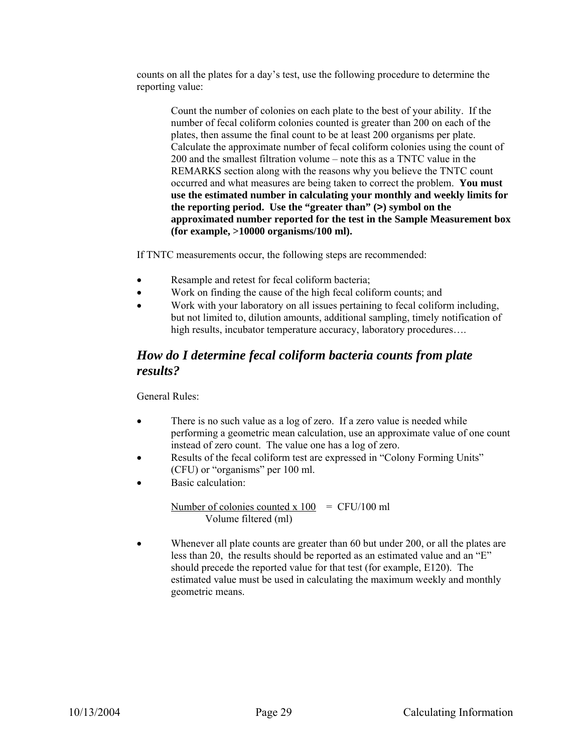counts on all the plates for a day's test, use the following procedure to determine the reporting value:

Count the number of colonies on each plate to the best of your ability. If the number of fecal coliform colonies counted is greater than 200 on each of the plates, then assume the final count to be at least 200 organisms per plate. Calculate the approximate number of fecal coliform colonies using the count of 200 and the smallest filtration volume – note this as a TNTC value in the REMARKS section along with the reasons why you believe the TNTC count occurred and what measures are being taken to correct the problem. **You must use the estimated number in calculating your monthly and weekly limits for the reporting period. Use the "greater than" (>) symbol on the approximated number reported for the test in the Sample Measurement box (for example, >10000 organisms/100 ml).**

If TNTC measurements occur, the following steps are recommended:

- Resample and retest for fecal coliform bacteria;
- Work on finding the cause of the high fecal coliform counts; and
- Work with your laboratory on all issues pertaining to fecal coliform including, but not limited to, dilution amounts, additional sampling, timely notification of high results, incubator temperature accuracy, laboratory procedures....

#### *How do I determine fecal coliform bacteria counts from plate results?*

General Rules:

- There is no such value as a log of zero. If a zero value is needed while performing a geometric mean calculation, use an approximate value of one count instead of zero count. The value one has a log of zero.
- Results of the fecal coliform test are expressed in "Colony Forming Units" (CFU) or "organisms" per 100 ml.
- Basic calculation:

Number of colonies counted x  $100 = CFU/100$  ml Volume filtered (ml)

Whenever all plate counts are greater than 60 but under 200, or all the plates are less than 20, the results should be reported as an estimated value and an "E" should precede the reported value for that test (for example, E120). The estimated value must be used in calculating the maximum weekly and monthly geometric means.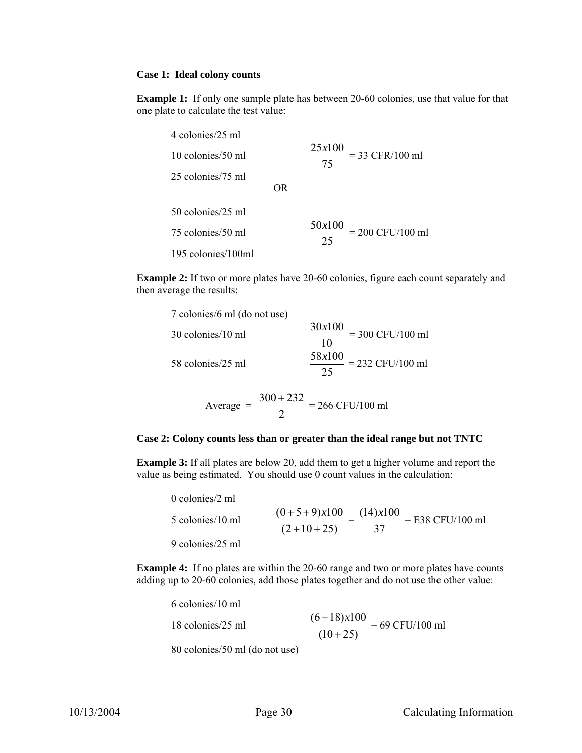#### **Case 1: Ideal colony counts**

**Example 1:** If only one sample plate has between 20-60 colonies, use that value for that one plate to calculate the test value:

| 4 colonies/25 ml   |     |                                    |
|--------------------|-----|------------------------------------|
| 10 colonies/50 ml  |     | 25x100<br>$=$ 33 CFR/100 ml<br>75  |
| 25 colonies/75 ml  |     |                                    |
|                    | OR. |                                    |
| 50 colonies/25 ml  |     |                                    |
| 75 colonies/50 ml  |     | 50x100<br>$= 200$ CFU/100 ml<br>25 |
| 195 colonies/100ml |     |                                    |

**Example 2:** If two or more plates have 20-60 colonies, figure each count separately and then average the results:

| 7 colonies/6 ml (do not use) |                                                           |
|------------------------------|-----------------------------------------------------------|
| 30 colonies/10 ml            | $\frac{30x100}{2} = 300$ CFU/100 ml<br>10                 |
| 58 colonies/25 ml            | 58x100<br>$\frac{30\lambda100}{2}$ = 232 CFU/100 ml<br>25 |

Average = 
$$
\frac{300 + 232}{2} = 266 \text{ CFU}/100 \text{ ml}
$$

#### **Case 2: Colony counts less than or greater than the ideal range but not TNTC**

**Example 3:** If all plates are below 20, add them to get a higher volume and report the value as being estimated. You should use 0 count values in the calculation:

0 colonies/2 ml 5 colonies/10 ml  $(2+10+25)$  $(0+5+9)x100$  $+10+$  $\frac{+5+9}{10}$  = 37  $\frac{(14)x100}{27}$  = E38 CFU/100 ml 9 colonies/25 ml

**Example 4:** If no plates are within the 20-60 range and two or more plates have counts adding up to 20-60 colonies, add those plates together and do not use the other value:

| 6 colonies/10 ml               |                                                              |
|--------------------------------|--------------------------------------------------------------|
| 18 colonies/25 ml              | $\frac{(6+18)x100}{(6+18)x100} = 69$ CFU/100 ml<br>$(10+25)$ |
| 80 colonies/50 ml (do not use) |                                                              |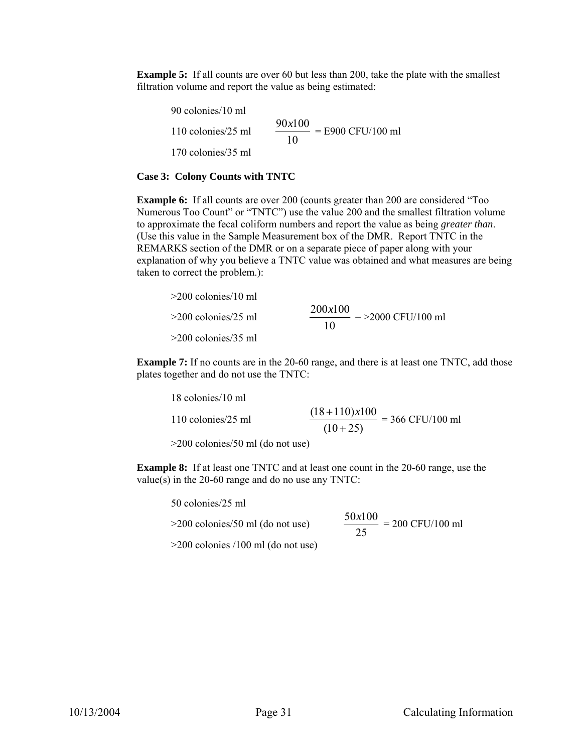**Example 5:** If all counts are over 60 but less than 200, take the plate with the smallest filtration volume and report the value as being estimated:

90 colonies/10 ml 110 colonies/25 ml 10  $\frac{90x100}{100}$  = E900 CFU/100 ml 170 colonies/35 ml

#### **Case 3: Colony Counts with TNTC**

**Example 6:** If all counts are over 200 (counts greater than 200 are considered "Too Numerous Too Count" or "TNTC") use the value 200 and the smallest filtration volume to approximate the fecal coliform numbers and report the value as being *greater than*. (Use this value in the Sample Measurement box of the DMR. Report TNTC in the REMARKS section of the DMR or on a separate piece of paper along with your explanation of why you believe a TNTC value was obtained and what measures are being taken to correct the problem.):

| $>200$ colonies/10 ml |                                       |
|-----------------------|---------------------------------------|
| $>200$ colonies/25 ml | 200x100<br>$=$ >2000 CFU/100 ml<br>10 |
| $>200$ colonies/35 ml |                                       |

**Example 7:** If no counts are in the 20-60 range, and there is at least one TNTC, add those plates together and do not use the TNTC:

| 18 colonies/10 ml  |                                                          |
|--------------------|----------------------------------------------------------|
| 110 colonies/25 ml | $(18+110)x100$ = 366 CFU/100 m <sup>1</sup><br>$(10+25)$ |

>200 colonies/50 ml (do not use)

**Example 8:** If at least one TNTC and at least one count in the 20-60 range, use the value(s) in the 20-60 range and do no use any TNTC:

50 colonies/25 ml

 $>200$  colonies/50 ml (do not use)

$$
\frac{50x100}{25} = 200 \text{ CFU}/100 \text{ ml}
$$

>200 colonies /100 ml (do not use)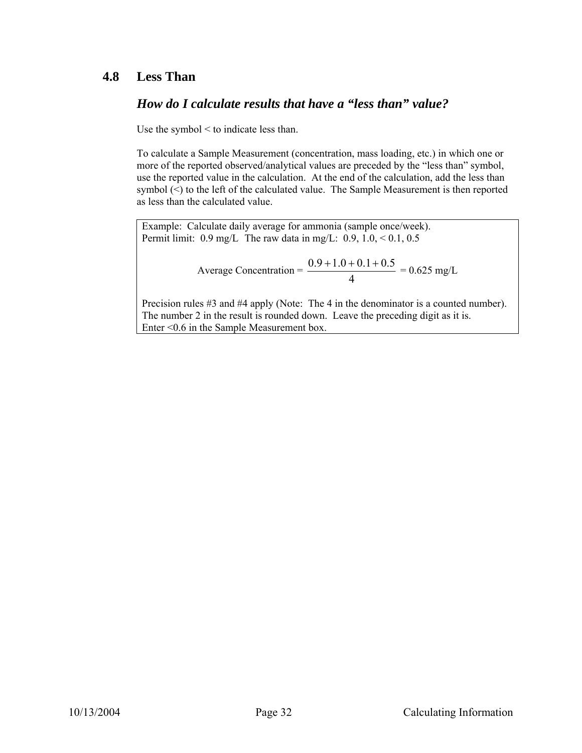### **4.8 Less Than**

## *How do I calculate results that have a "less than" value?*

Use the symbol < to indicate less than.

To calculate a Sample Measurement (concentration, mass loading, etc.) in which one or more of the reported observed/analytical values are preceded by the "less than" symbol, use the reported value in the calculation. At the end of the calculation, add the less than symbol (<) to the left of the calculated value. The Sample Measurement is then reported as less than the calculated value.

Example: Calculate daily average for ammonia (sample once/week). Permit limit:  $0.9 \text{ mg/L}$  The raw data in mg/L:  $0.9, 1.0, < 0.1, 0.5$ 

Average Concentration = 
$$
\frac{0.9 + 1.0 + 0.1 + 0.5}{4} = 0.625 \text{ mg/L}
$$

Precision rules #3 and #4 apply (Note: The 4 in the denominator is a counted number). The number 2 in the result is rounded down. Leave the preceding digit as it is. Enter <0.6 in the Sample Measurement box.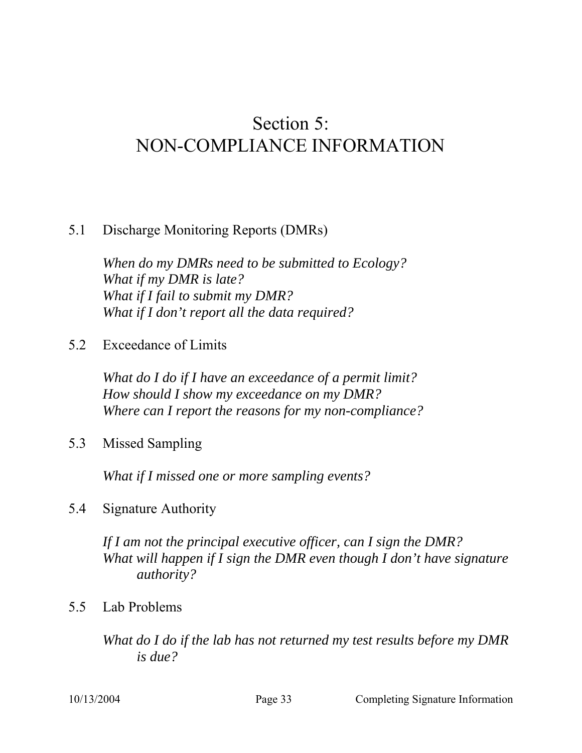# Section 5: NON-COMPLIANCE INFORMATION

## 5.1 Discharge Monitoring Reports (DMRs)

*When do my DMRs need to be submitted to Ecology? What if my DMR is late? What if I fail to submit my DMR? What if I don't report all the data required?* 

5.2 Exceedance of Limits

*What do I do if I have an exceedance of a permit limit? How should I show my exceedance on my DMR? Where can I report the reasons for my non-compliance?* 

5.3 Missed Sampling

*What if I missed one or more sampling events?* 

5.4 Signature Authority

*If I am not the principal executive officer, can I sign the DMR? What will happen if I sign the DMR even though I don't have signature authority?* 

5.5 Lab Problems

*What do I do if the lab has not returned my test results before my DMR is due?*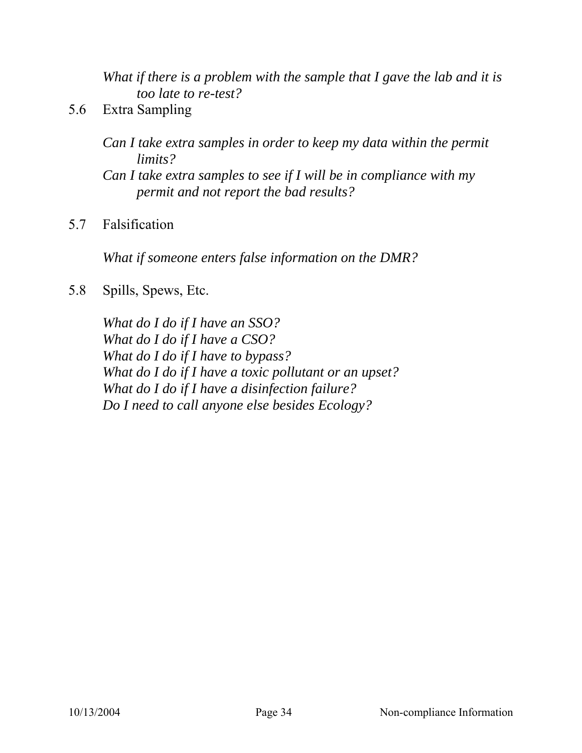*What if there is a problem with the sample that I gave the lab and it is too late to re-test?* 

5.6 Extra Sampling

*Can I take extra samples in order to keep my data within the permit limits?* 

*Can I take extra samples to see if I will be in compliance with my permit and not report the bad results?* 

5.7 Falsification

*What if someone enters false information on the DMR?* 

5.8 Spills, Spews, Etc.

*What do I do if I have an SSO? What do I do if I have a CSO? What do I do if I have to bypass? What do I do if I have a toxic pollutant or an upset? What do I do if I have a disinfection failure? Do I need to call anyone else besides Ecology?*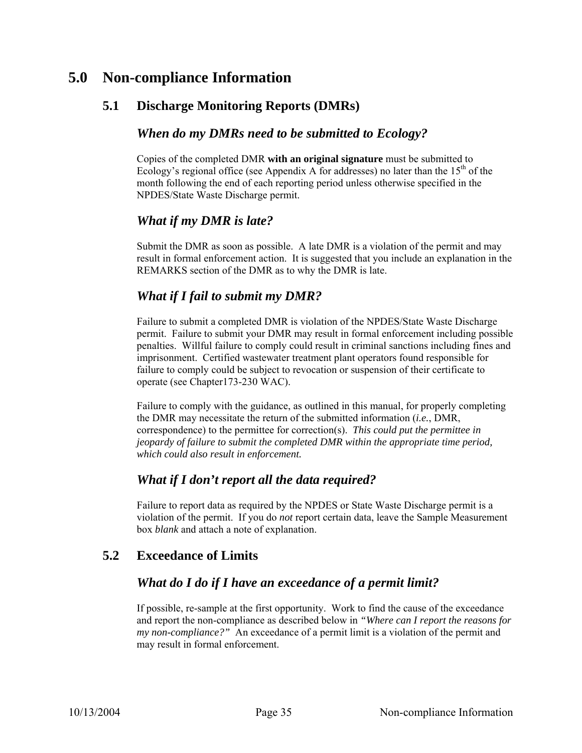## **5.0 Non-compliance Information**

## **5.1 Discharge Monitoring Reports (DMRs)**

#### *When do my DMRs need to be submitted to Ecology?*

Copies of the completed DMR **with an original signature** must be submitted to Ecology's regional office (see Appendix A for addresses) no later than the  $15<sup>th</sup>$  of the month following the end of each reporting period unless otherwise specified in the NPDES/State Waste Discharge permit.

#### *What if my DMR is late?*

Submit the DMR as soon as possible. A late DMR is a violation of the permit and may result in formal enforcement action. It is suggested that you include an explanation in the REMARKS section of the DMR as to why the DMR is late.

## *What if I fail to submit my DMR?*

Failure to submit a completed DMR is violation of the NPDES/State Waste Discharge permit. Failure to submit your DMR may result in formal enforcement including possible penalties. Willful failure to comply could result in criminal sanctions including fines and imprisonment. Certified wastewater treatment plant operators found responsible for failure to comply could be subject to revocation or suspension of their certificate to operate (see Chapter173-230 WAC).

Failure to comply with the guidance, as outlined in this manual, for properly completing the DMR may necessitate the return of the submitted information (*i.e.*, DMR, correspondence) to the permittee for correction(s). *This could put the permittee in jeopardy of failure to submit the completed DMR within the appropriate time period, which could also result in enforcement.* 

## *What if I don't report all the data required?*

Failure to report data as required by the NPDES or State Waste Discharge permit is a violation of the permit. If you do *not* report certain data, leave the Sample Measurement box *blank* and attach a note of explanation.

## **5.2 Exceedance of Limits**

## *What do I do if I have an exceedance of a permit limit?*

If possible, re-sample at the first opportunity. Work to find the cause of the exceedance and report the non-compliance as described below in *"Where can I report the reasons for my non-compliance?"* An exceedance of a permit limit is a violation of the permit and may result in formal enforcement.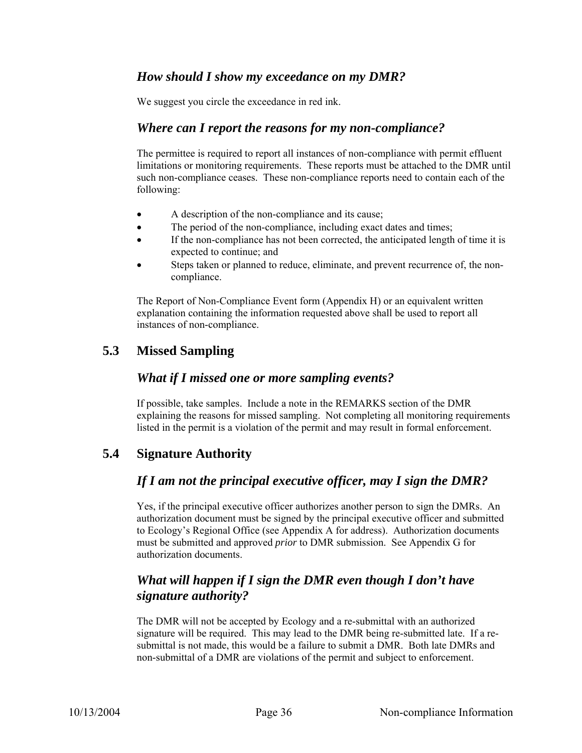#### *How should I show my exceedance on my DMR?*

We suggest you circle the exceedance in red ink.

#### *Where can I report the reasons for my non-compliance?*

The permittee is required to report all instances of non-compliance with permit effluent limitations or monitoring requirements. These reports must be attached to the DMR until such non-compliance ceases. These non-compliance reports need to contain each of the following:

- A description of the non-compliance and its cause;
- The period of the non-compliance, including exact dates and times;
- If the non-compliance has not been corrected, the anticipated length of time it is expected to continue; and
- Steps taken or planned to reduce, eliminate, and prevent recurrence of, the noncompliance.

The Report of Non-Compliance Event form (Appendix H) or an equivalent written explanation containing the information requested above shall be used to report all instances of non-compliance.

#### **5.3 Missed Sampling**

#### *What if I missed one or more sampling events?*

If possible, take samples. Include a note in the REMARKS section of the DMR explaining the reasons for missed sampling. Not completing all monitoring requirements listed in the permit is a violation of the permit and may result in formal enforcement.

## **5.4 Signature Authority**

#### *If I am not the principal executive officer, may I sign the DMR?*

Yes, if the principal executive officer authorizes another person to sign the DMRs. An authorization document must be signed by the principal executive officer and submitted to Ecology's Regional Office (see Appendix A for address). Authorization documents must be submitted and approved *prior* to DMR submission. See Appendix G for authorization documents.

## *What will happen if I sign the DMR even though I don't have signature authority?*

The DMR will not be accepted by Ecology and a re-submittal with an authorized signature will be required. This may lead to the DMR being re-submitted late. If a resubmittal is not made, this would be a failure to submit a DMR. Both late DMRs and non-submittal of a DMR are violations of the permit and subject to enforcement.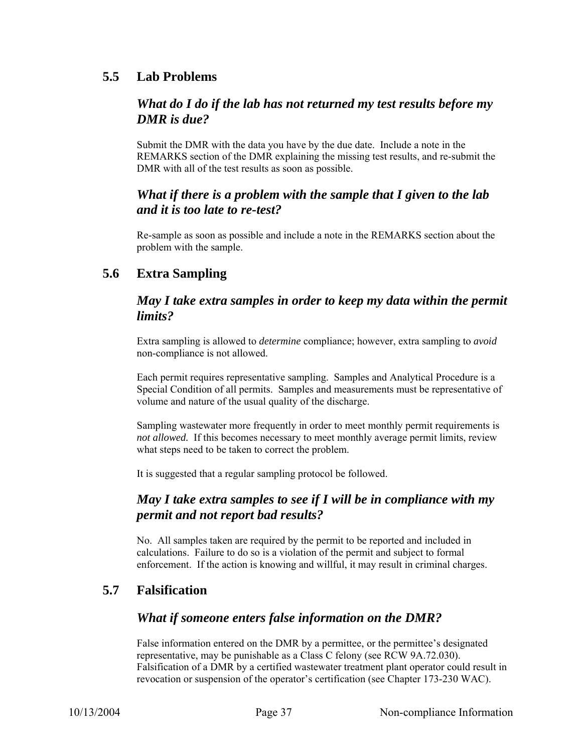### **5.5 Lab Problems**

## *What do I do if the lab has not returned my test results before my DMR is due?*

Submit the DMR with the data you have by the due date. Include a note in the REMARKS section of the DMR explaining the missing test results, and re-submit the DMR with all of the test results as soon as possible.

#### *What if there is a problem with the sample that I given to the lab and it is too late to re-test?*

Re-sample as soon as possible and include a note in the REMARKS section about the problem with the sample.

## **5.6 Extra Sampling**

#### *May I take extra samples in order to keep my data within the permit limits?*

Extra sampling is allowed to *determine* compliance; however, extra sampling to *avoid* non-compliance is not allowed.

Each permit requires representative sampling. Samples and Analytical Procedure is a Special Condition of all permits. Samples and measurements must be representative of volume and nature of the usual quality of the discharge.

Sampling wastewater more frequently in order to meet monthly permit requirements is *not allowed.* If this becomes necessary to meet monthly average permit limits, review what steps need to be taken to correct the problem.

It is suggested that a regular sampling protocol be followed.

#### *May I take extra samples to see if I will be in compliance with my permit and not report bad results?*

No. All samples taken are required by the permit to be reported and included in calculations. Failure to do so is a violation of the permit and subject to formal enforcement. If the action is knowing and willful, it may result in criminal charges.

## **5.7 Falsification**

## *What if someone enters false information on the DMR?*

False information entered on the DMR by a permittee, or the permittee's designated representative, may be punishable as a Class C felony (see RCW 9A.72.030). Falsification of a DMR by a certified wastewater treatment plant operator could result in revocation or suspension of the operator's certification (see Chapter 173-230 WAC).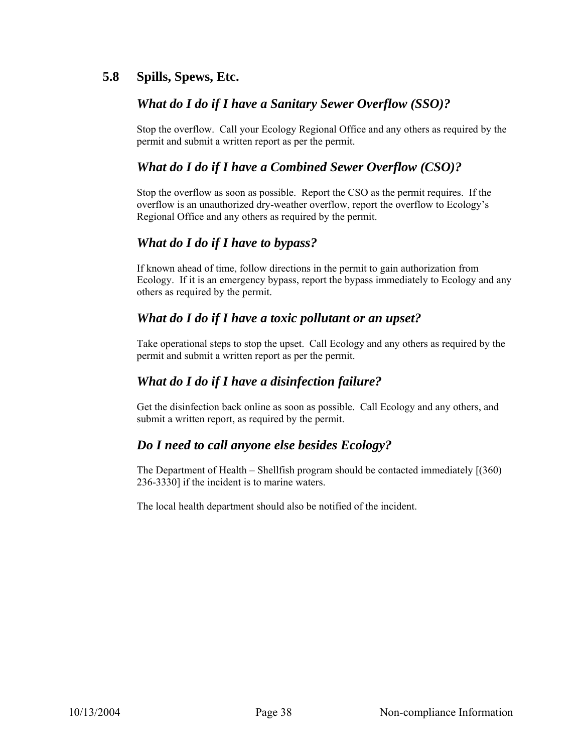## **5.8 Spills, Spews, Etc.**

#### *What do I do if I have a Sanitary Sewer Overflow (SSO)?*

Stop the overflow. Call your Ecology Regional Office and any others as required by the permit and submit a written report as per the permit.

#### *What do I do if I have a Combined Sewer Overflow (CSO)?*

Stop the overflow as soon as possible. Report the CSO as the permit requires. If the overflow is an unauthorized dry-weather overflow, report the overflow to Ecology's Regional Office and any others as required by the permit.

#### *What do I do if I have to bypass?*

If known ahead of time, follow directions in the permit to gain authorization from Ecology. If it is an emergency bypass, report the bypass immediately to Ecology and any others as required by the permit.

#### *What do I do if I have a toxic pollutant or an upset?*

Take operational steps to stop the upset. Call Ecology and any others as required by the permit and submit a written report as per the permit.

#### *What do I do if I have a disinfection failure?*

Get the disinfection back online as soon as possible. Call Ecology and any others, and submit a written report, as required by the permit.

#### *Do I need to call anyone else besides Ecology?*

The Department of Health – Shellfish program should be contacted immediately [(360) 236-3330] if the incident is to marine waters.

The local health department should also be notified of the incident.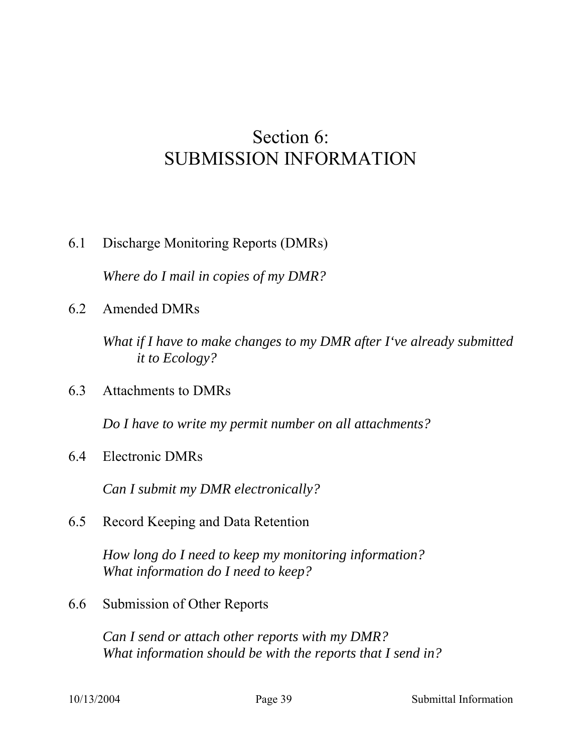# Section 6: SUBMISSION INFORMATION

6.1 Discharge Monitoring Reports (DMRs)

*Where do I mail in copies of my DMR?* 

6.2 Amended DMRs

*What if I have to make changes to my DMR after I've already submitted it to Ecology?* 

6.3 Attachments to DMRs

*Do I have to write my permit number on all attachments?* 

6.4 Electronic DMRs

*Can I submit my DMR electronically?* 

6.5 Record Keeping and Data Retention

*How long do I need to keep my monitoring information? What information do I need to keep?* 

6.6 Submission of Other Reports

*Can I send or attach other reports with my DMR? What information should be with the reports that I send in?*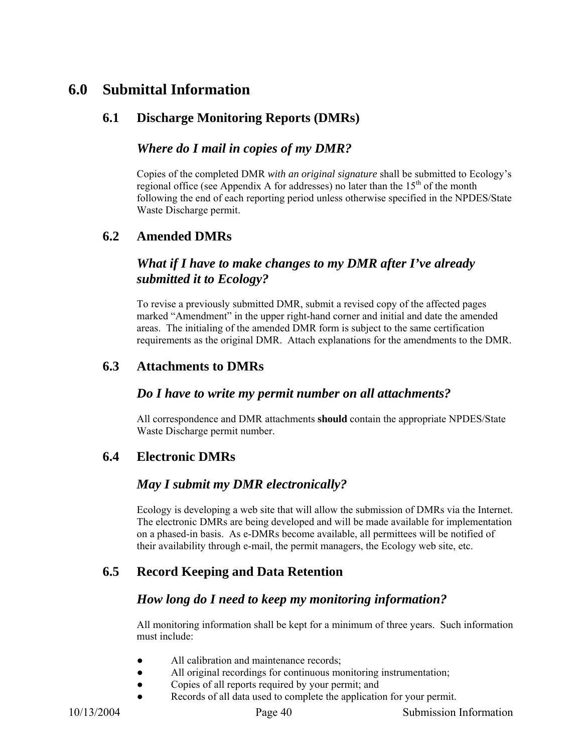## **6.0 Submittal Information**

## **6.1 Discharge Monitoring Reports (DMRs)**

#### *Where do I mail in copies of my DMR?*

Copies of the completed DMR *with an original signature* shall be submitted to Ecology's regional office (see Appendix A for addresses) no later than the  $15<sup>th</sup>$  of the month following the end of each reporting period unless otherwise specified in the NPDES/State Waste Discharge permit.

#### **6.2 Amended DMRs**

#### *What if I have to make changes to my DMR after I've already submitted it to Ecology?*

To revise a previously submitted DMR, submit a revised copy of the affected pages marked "Amendment" in the upper right-hand corner and initial and date the amended areas. The initialing of the amended DMR form is subject to the same certification requirements as the original DMR. Attach explanations for the amendments to the DMR.

#### **6.3 Attachments to DMRs**

#### *Do I have to write my permit number on all attachments?*

All correspondence and DMR attachments **should** contain the appropriate NPDES/State Waste Discharge permit number.

## **6.4 Electronic DMRs**

#### *May I submit my DMR electronically?*

Ecology is developing a web site that will allow the submission of DMRs via the Internet. The electronic DMRs are being developed and will be made available for implementation on a phased-in basis. As e-DMRs become available, all permittees will be notified of their availability through e-mail, the permit managers, the Ecology web site, etc.

## **6.5 Record Keeping and Data Retention**

#### *How long do I need to keep my monitoring information?*

All monitoring information shall be kept for a minimum of three years. Such information must include:

- All calibration and maintenance records:
- All original recordings for continuous monitoring instrumentation;
- Copies of all reports required by your permit; and
- Records of all data used to complete the application for your permit.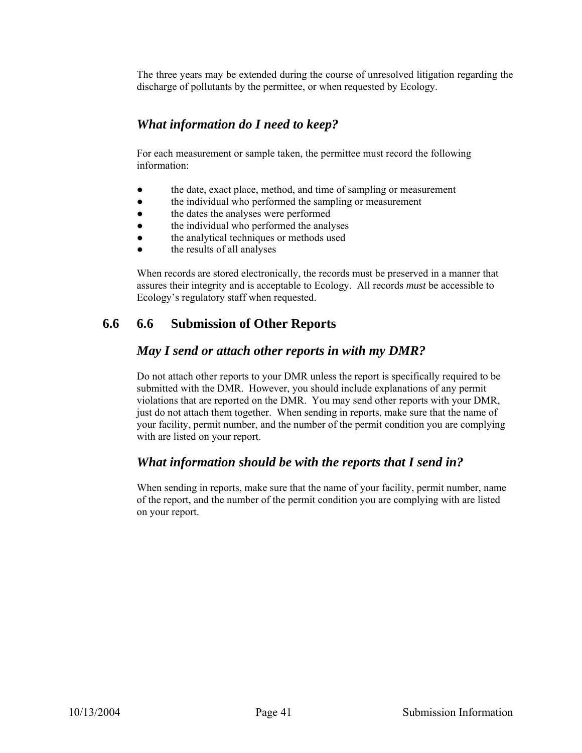The three years may be extended during the course of unresolved litigation regarding the discharge of pollutants by the permittee, or when requested by Ecology.

## *What information do I need to keep?*

For each measurement or sample taken, the permittee must record the following information:

- the date, exact place, method, and time of sampling or measurement
- the individual who performed the sampling or measurement
- the dates the analyses were performed
- the individual who performed the analyses
- the analytical techniques or methods used
- the results of all analyses

When records are stored electronically, the records must be preserved in a manner that assures their integrity and is acceptable to Ecology. All records *must* be accessible to Ecology's regulatory staff when requested.

## **6.6 6.6 Submission of Other Reports**

#### *May I send or attach other reports in with my DMR?*

Do not attach other reports to your DMR unless the report is specifically required to be submitted with the DMR. However, you should include explanations of any permit violations that are reported on the DMR. You may send other reports with your DMR, just do not attach them together. When sending in reports, make sure that the name of your facility, permit number, and the number of the permit condition you are complying with are listed on your report.

#### *What information should be with the reports that I send in?*

When sending in reports, make sure that the name of your facility, permit number, name of the report, and the number of the permit condition you are complying with are listed on your report.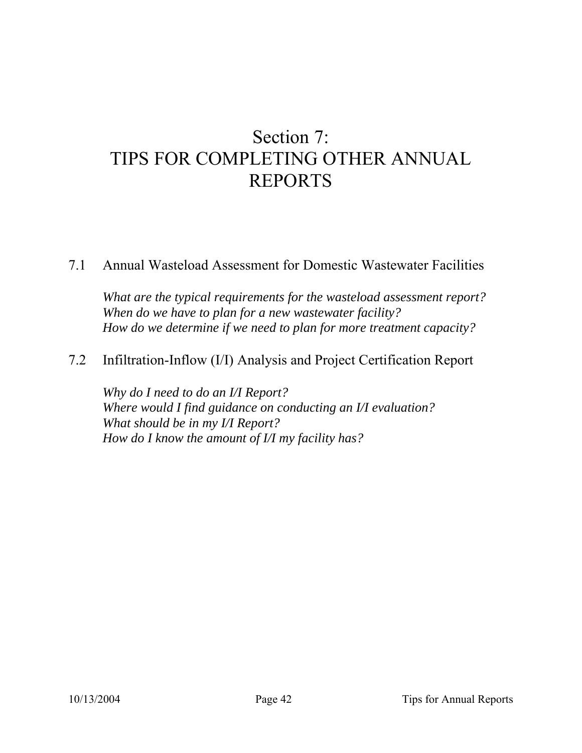# Section 7: TIPS FOR COMPLETING OTHER ANNUAL REPORTS

## 7.1 Annual Wasteload Assessment for Domestic Wastewater Facilities

*What are the typical requirements for the wasteload assessment report? When do we have to plan for a new wastewater facility? How do we determine if we need to plan for more treatment capacity?* 

## 7.2 Infiltration-Inflow (I/I) Analysis and Project Certification Report

*Why do I need to do an I/I Report? Where would I find guidance on conducting an I/I evaluation? What should be in my I/I Report? How do I know the amount of I/I my facility has?*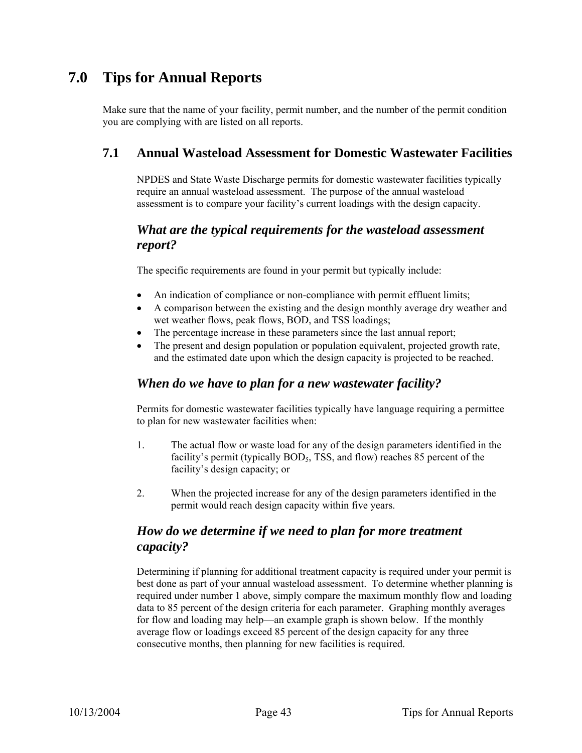## **7.0 Tips for Annual Reports**

Make sure that the name of your facility, permit number, and the number of the permit condition you are complying with are listed on all reports.

## **7.1 Annual Wasteload Assessment for Domestic Wastewater Facilities**

NPDES and State Waste Discharge permits for domestic wastewater facilities typically require an annual wasteload assessment. The purpose of the annual wasteload assessment is to compare your facility's current loadings with the design capacity.

## *What are the typical requirements for the wasteload assessment report?*

The specific requirements are found in your permit but typically include:

- An indication of compliance or non-compliance with permit effluent limits;
- A comparison between the existing and the design monthly average dry weather and wet weather flows, peak flows, BOD, and TSS loadings;
- The percentage increase in these parameters since the last annual report;
- The present and design population or population equivalent, projected growth rate, and the estimated date upon which the design capacity is projected to be reached.

#### *When do we have to plan for a new wastewater facility?*

Permits for domestic wastewater facilities typically have language requiring a permittee to plan for new wastewater facilities when:

- 1. The actual flow or waste load for any of the design parameters identified in the facility's permit (typically BOD<sub>5</sub>, TSS, and flow) reaches 85 percent of the facility's design capacity; or
- 2. When the projected increase for any of the design parameters identified in the permit would reach design capacity within five years.

#### *How do we determine if we need to plan for more treatment capacity?*

Determining if planning for additional treatment capacity is required under your permit is best done as part of your annual wasteload assessment. To determine whether planning is required under number 1 above, simply compare the maximum monthly flow and loading data to 85 percent of the design criteria for each parameter. Graphing monthly averages for flow and loading may help—an example graph is shown below. If the monthly average flow or loadings exceed 85 percent of the design capacity for any three consecutive months, then planning for new facilities is required.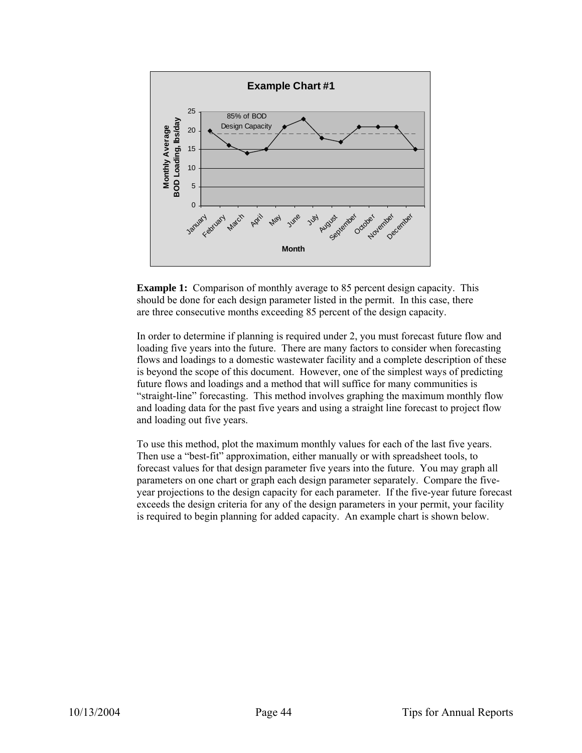

**Example 1:** Comparison of monthly average to 85 percent design capacity. This should be done for each design parameter listed in the permit. In this case, there are three consecutive months exceeding 85 percent of the design capacity.

In order to determine if planning is required under 2, you must forecast future flow and loading five years into the future. There are many factors to consider when forecasting flows and loadings to a domestic wastewater facility and a complete description of these is beyond the scope of this document. However, one of the simplest ways of predicting future flows and loadings and a method that will suffice for many communities is "straight-line" forecasting. This method involves graphing the maximum monthly flow and loading data for the past five years and using a straight line forecast to project flow and loading out five years.

To use this method, plot the maximum monthly values for each of the last five years. Then use a "best-fit" approximation, either manually or with spreadsheet tools, to forecast values for that design parameter five years into the future. You may graph all parameters on one chart or graph each design parameter separately. Compare the fiveyear projections to the design capacity for each parameter. If the five-year future forecast exceeds the design criteria for any of the design parameters in your permit, your facility is required to begin planning for added capacity. An example chart is shown below.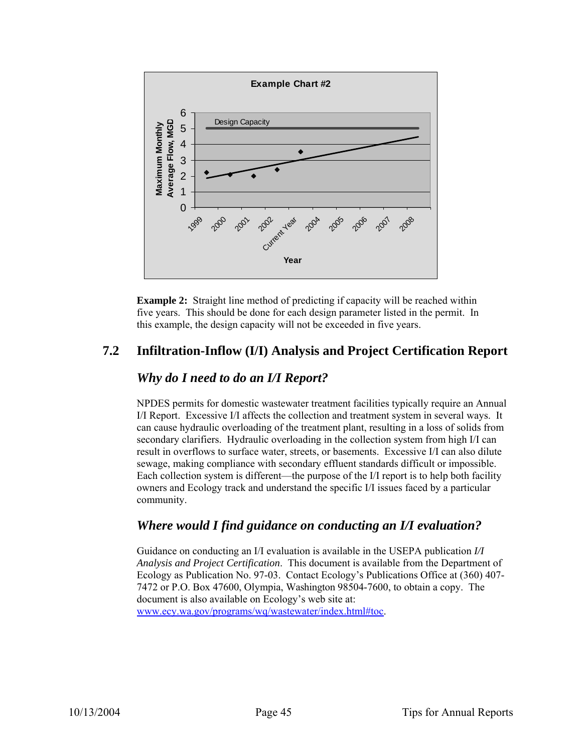

**Example 2:** Straight line method of predicting if capacity will be reached within five years. This should be done for each design parameter listed in the permit. In this example, the design capacity will not be exceeded in five years.

## **7.2 Infiltration-Inflow (I/I) Analysis and Project Certification Report**

## *Why do I need to do an I/I Report?*

NPDES permits for domestic wastewater treatment facilities typically require an Annual I/I Report. Excessive I/I affects the collection and treatment system in several ways. It can cause hydraulic overloading of the treatment plant, resulting in a loss of solids from secondary clarifiers. Hydraulic overloading in the collection system from high I/I can result in overflows to surface water, streets, or basements. Excessive I/I can also dilute sewage, making compliance with secondary effluent standards difficult or impossible. Each collection system is different—the purpose of the I/I report is to help both facility owners and Ecology track and understand the specific I/I issues faced by a particular community.

## *Where would I find guidance on conducting an I/I evaluation?*

Guidance on conducting an I/I evaluation is available in the USEPA publication *I/I Analysis and Project Certification*. This document is available from the Department of Ecology as Publication No. 97-03. Contact Ecology's Publications Office at (360) 407- 7472 or P.O. Box 47600, Olympia, Washington 98504-7600, to obtain a copy. The document is also available on Ecology's web site at: www.ecy.wa.gov/programs/wq/wastewater/index.html#toc.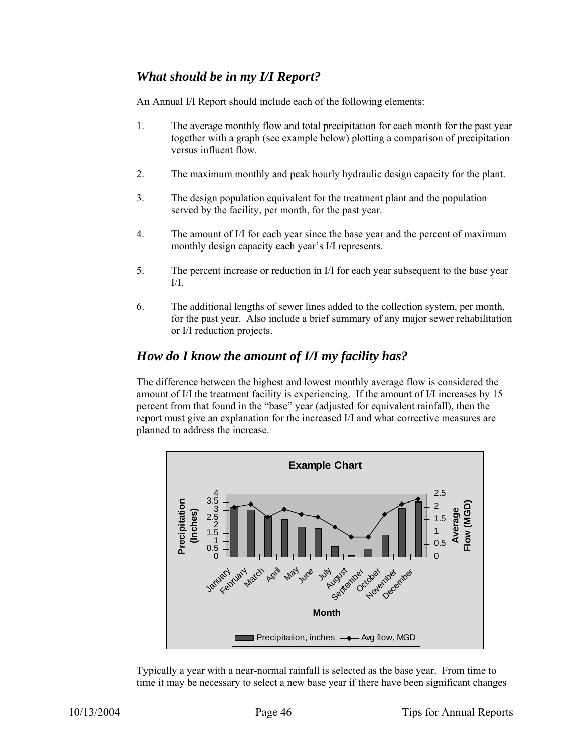## *What should be in my I/I Report?*

An Annual I/I Report should include each of the following elements:

- 1. The average monthly flow and total precipitation for each month for the past year together with a graph (see example below) plotting a comparison of precipitation versus influent flow.
- 2. The maximum monthly and peak hourly hydraulic design capacity for the plant.
- 3. The design population equivalent for the treatment plant and the population served by the facility, per month, for the past year.
- 4. The amount of I/I for each year since the base year and the percent of maximum monthly design capacity each year's I/I represents.
- 5. The percent increase or reduction in I/I for each year subsequent to the base year  $I/I$ .
- 6. The additional lengths of sewer lines added to the collection system, per month, for the past year. Also include a brief summary of any major sewer rehabilitation or I/I reduction projects.

#### *How do I know the amount of I/I my facility has?*

The difference between the highest and lowest monthly average flow is considered the amount of I/I the treatment facility is experiencing. If the amount of I/I increases by 15 percent from that found in the "base" year (adjusted for equivalent rainfall), then the report must give an explanation for the increased I/I and what corrective measures are planned to address the increase.



Typically a year with a near-normal rainfall is selected as the base year. From time to time it may be necessary to select a new base year if there have been significant changes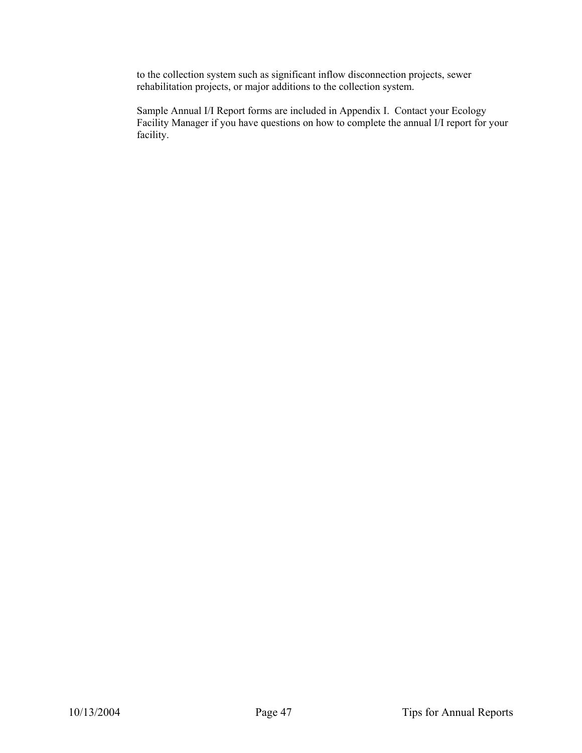to the collection system such as significant inflow disconnection projects, sewer rehabilitation projects, or major additions to the collection system.

Sample Annual I/I Report forms are included in Appendix I. Contact your Ecology Facility Manager if you have questions on how to complete the annual I/I report for your facility.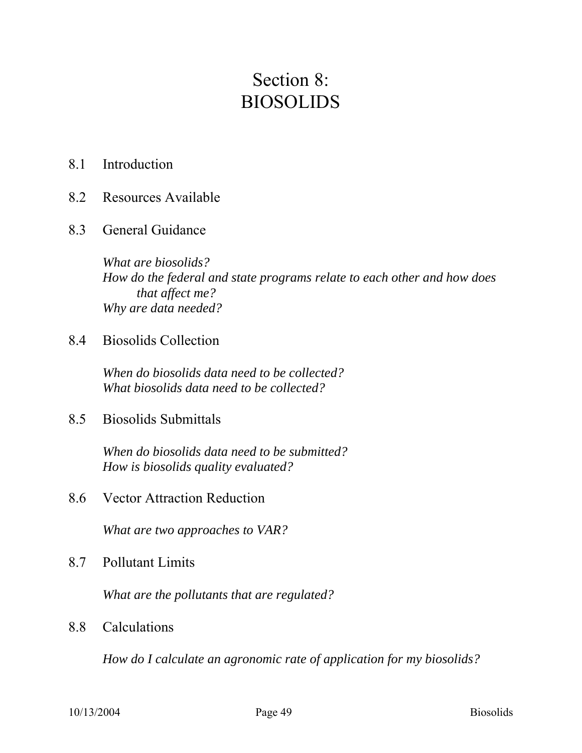# Section 8: BIOSOLIDS

## 8.1 Introduction

- 8.2 Resources Available
- 8.3 General Guidance

*What are biosolids? How do the federal and state programs relate to each other and how does that affect me? Why are data needed?* 

8.4 Biosolids Collection

*When do biosolids data need to be collected? What biosolids data need to be collected?* 

8.5 Biosolids Submittals

*When do biosolids data need to be submitted? How is biosolids quality evaluated?* 

8.6 Vector Attraction Reduction

*What are two approaches to VAR?* 

8.7 Pollutant Limits

*What are the pollutants that are regulated?* 

8.8 Calculations

*How do I calculate an agronomic rate of application for my biosolids?*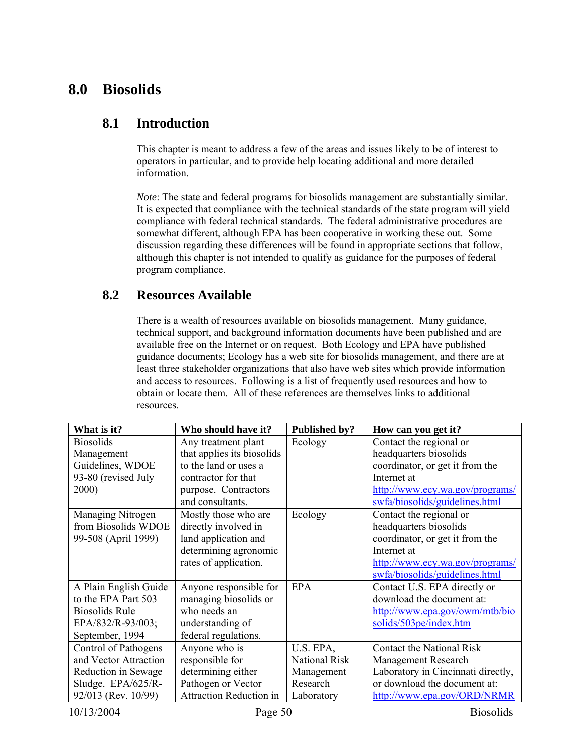## **8.0 Biosolids**

#### **8.1 Introduction**

This chapter is meant to address a few of the areas and issues likely to be of interest to operators in particular, and to provide help locating additional and more detailed information.

*Note*: The state and federal programs for biosolids management are substantially similar. It is expected that compliance with the technical standards of the state program will yield compliance with federal technical standards. The federal administrative procedures are somewhat different, although EPA has been cooperative in working these out. Some discussion regarding these differences will be found in appropriate sections that follow, although this chapter is not intended to qualify as guidance for the purposes of federal program compliance.

#### **8.2 Resources Available**

There is a wealth of resources available on biosolids management. Many guidance, technical support, and background information documents have been published and are available free on the Internet or on request. Both Ecology and EPA have published guidance documents; Ecology has a web site for biosolids management, and there are at least three stakeholder organizations that also have web sites which provide information and access to resources. Following is a list of frequently used resources and how to obtain or locate them. All of these references are themselves links to additional resources.

| What is it?              | Who should have it?            | Published by?        | How can you get it?                |
|--------------------------|--------------------------------|----------------------|------------------------------------|
| <b>Biosolids</b>         | Any treatment plant            | Ecology              | Contact the regional or            |
| Management               | that applies its biosolids     |                      | headquarters biosolids             |
| Guidelines, WDOE         | to the land or uses a          |                      | coordinator, or get it from the    |
| 93-80 (revised July      | contractor for that            |                      | Internet at                        |
| 2000)                    | purpose. Contractors           |                      | http://www.ecy.wa.gov/programs/    |
|                          | and consultants.               |                      | swfa/biosolids/guidelines.html     |
| <b>Managing Nitrogen</b> | Mostly those who are           | Ecology              | Contact the regional or            |
| from Biosolids WDOE      | directly involved in           |                      | headquarters biosolids             |
| 99-508 (April 1999)      | land application and           |                      | coordinator, or get it from the    |
|                          | determining agronomic          |                      | Internet at                        |
|                          | rates of application.          |                      | http://www.ecy.wa.gov/programs/    |
|                          |                                |                      | swfa/biosolids/guidelines.html     |
| A Plain English Guide    | Anyone responsible for         | <b>EPA</b>           | Contact U.S. EPA directly or       |
| to the EPA Part 503      | managing biosolids or          |                      | download the document at:          |
| <b>Biosolids Rule</b>    | who needs an                   |                      | http://www.epa.gov/owm/mtb/bio     |
| EPA/832/R-93/003;        | understanding of               |                      | solids/503pe/index.htm             |
| September, 1994          | federal regulations.           |                      |                                    |
| Control of Pathogens     | Anyone who is                  | U.S. EPA,            | <b>Contact the National Risk</b>   |
| and Vector Attraction    | responsible for                | <b>National Risk</b> | Management Research                |
| Reduction in Sewage      | determining either             | Management           | Laboratory in Cincinnati directly, |
| Sludge. EPA/625/R-       | Pathogen or Vector             | Research             | or download the document at:       |
| 92/013 (Rev. 10/99)      | <b>Attraction Reduction in</b> | Laboratory           | http://www.epa.gov/ORD/NRMR        |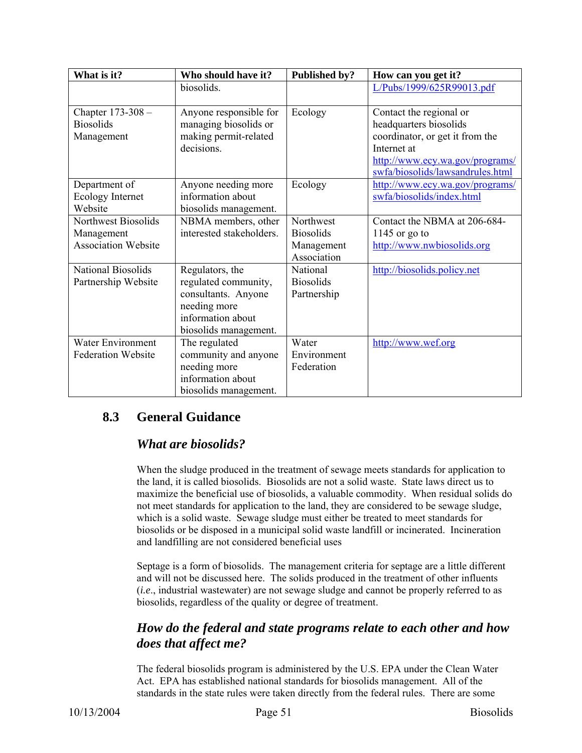| What is it?                                              | Who should have it?                                                                                                          | Published by?                                              | How can you get it?                                                                                                                                                        |
|----------------------------------------------------------|------------------------------------------------------------------------------------------------------------------------------|------------------------------------------------------------|----------------------------------------------------------------------------------------------------------------------------------------------------------------------------|
|                                                          | biosolids.                                                                                                                   |                                                            | L/Pubs/1999/625R99013.pdf                                                                                                                                                  |
| Chapter 173-308 -<br><b>Biosolids</b><br>Management      | Anyone responsible for<br>managing biosolids or<br>making permit-related<br>decisions.                                       | Ecology                                                    | Contact the regional or<br>headquarters biosolids<br>coordinator, or get it from the<br>Internet at<br>http://www.ecy.wa.gov/programs/<br>swfa/biosolids/lawsandrules.html |
| Department of<br>Ecology Internet<br>Website             | Anyone needing more<br>information about<br>biosolids management.                                                            | Ecology                                                    | http://www.ecy.wa.gov/programs/<br>swfa/biosolids/index.html                                                                                                               |
| Northwest Biosolids<br>Management<br>Association Website | NBMA members, other<br>interested stakeholders.                                                                              | Northwest<br><b>Biosolids</b><br>Management<br>Association | Contact the NBMA at 206-684-<br>1145 or go to<br>http://www.nwbiosolids.org                                                                                                |
| <b>National Biosolids</b><br>Partnership Website         | Regulators, the<br>regulated community,<br>consultants. Anyone<br>needing more<br>information about<br>biosolids management. | National<br><b>Biosolids</b><br>Partnership                | http://biosolids.policy.net                                                                                                                                                |
| Water Environment<br><b>Federation Website</b>           | The regulated<br>community and anyone<br>needing more<br>information about<br>biosolids management.                          | Water<br>Environment<br>Federation                         | http://www.wef.org                                                                                                                                                         |

## **8.3 General Guidance**

## *What are biosolids?*

When the sludge produced in the treatment of sewage meets standards for application to the land, it is called biosolids. Biosolids are not a solid waste. State laws direct us to maximize the beneficial use of biosolids, a valuable commodity. When residual solids do not meet standards for application to the land, they are considered to be sewage sludge, which is a solid waste. Sewage sludge must either be treated to meet standards for biosolids or be disposed in a municipal solid waste landfill or incinerated. Incineration and landfilling are not considered beneficial uses

Septage is a form of biosolids. The management criteria for septage are a little different and will not be discussed here. The solids produced in the treatment of other influents (*i.e*., industrial wastewater) are not sewage sludge and cannot be properly referred to as biosolids, regardless of the quality or degree of treatment.

## *How do the federal and state programs relate to each other and how does that affect me?*

The federal biosolids program is administered by the U.S. EPA under the Clean Water Act. EPA has established national standards for biosolids management. All of the standards in the state rules were taken directly from the federal rules. There are some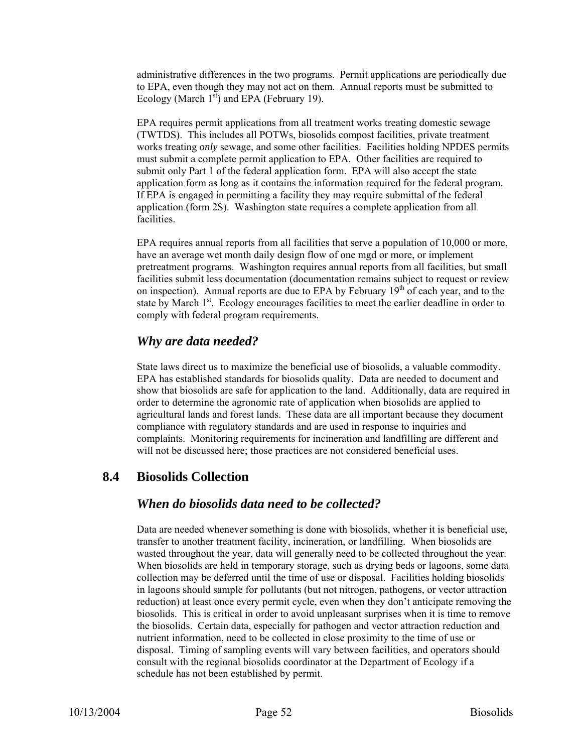administrative differences in the two programs. Permit applications are periodically due to EPA, even though they may not act on them. Annual reports must be submitted to Ecology (March  $1<sup>st</sup>$ ) and EPA (February 19).

EPA requires permit applications from all treatment works treating domestic sewage (TWTDS). This includes all POTWs, biosolids compost facilities, private treatment works treating *only* sewage, and some other facilities. Facilities holding NPDES permits must submit a complete permit application to EPA. Other facilities are required to submit only Part 1 of the federal application form. EPA will also accept the state application form as long as it contains the information required for the federal program. If EPA is engaged in permitting a facility they may require submittal of the federal application (form 2S). Washington state requires a complete application from all facilities.

EPA requires annual reports from all facilities that serve a population of 10,000 or more, have an average wet month daily design flow of one mgd or more, or implement pretreatment programs. Washington requires annual reports from all facilities, but small facilities submit less documentation (documentation remains subject to request or review on inspection). Annual reports are due to EPA by February 19<sup>th</sup> of each year, and to the state by March 1<sup>st</sup>. Ecology encourages facilities to meet the earlier deadline in order to comply with federal program requirements.

#### *Why are data needed?*

State laws direct us to maximize the beneficial use of biosolids, a valuable commodity. EPA has established standards for biosolids quality. Data are needed to document and show that biosolids are safe for application to the land. Additionally, data are required in order to determine the agronomic rate of application when biosolids are applied to agricultural lands and forest lands. These data are all important because they document compliance with regulatory standards and are used in response to inquiries and complaints. Monitoring requirements for incineration and landfilling are different and will not be discussed here; those practices are not considered beneficial uses.

#### **8.4 Biosolids Collection**

#### *When do biosolids data need to be collected?*

Data are needed whenever something is done with biosolids, whether it is beneficial use, transfer to another treatment facility, incineration, or landfilling. When biosolids are wasted throughout the year, data will generally need to be collected throughout the year. When biosolids are held in temporary storage, such as drying beds or lagoons, some data collection may be deferred until the time of use or disposal. Facilities holding biosolids in lagoons should sample for pollutants (but not nitrogen, pathogens, or vector attraction reduction) at least once every permit cycle, even when they don't anticipate removing the biosolids. This is critical in order to avoid unpleasant surprises when it is time to remove the biosolids. Certain data, especially for pathogen and vector attraction reduction and nutrient information, need to be collected in close proximity to the time of use or disposal. Timing of sampling events will vary between facilities, and operators should consult with the regional biosolids coordinator at the Department of Ecology if a schedule has not been established by permit.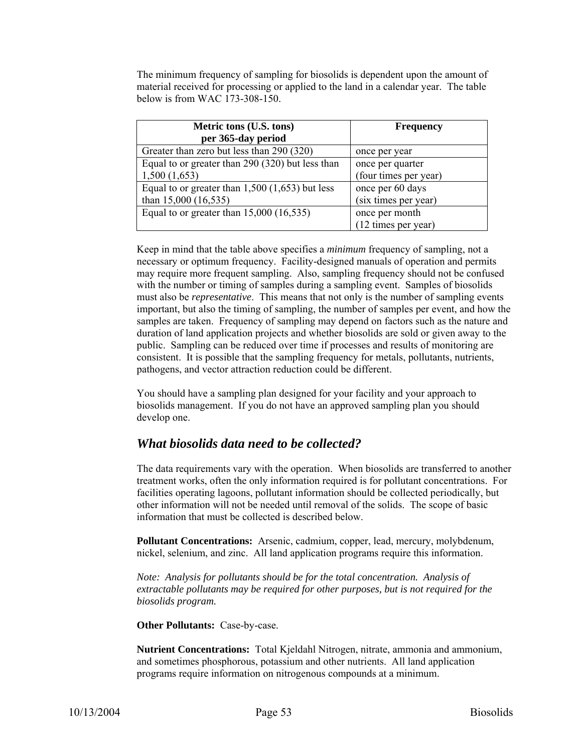The minimum frequency of sampling for biosolids is dependent upon the amount of material received for processing or applied to the land in a calendar year. The table below is from WAC 173-308-150.

| Metric tons (U.S. tons)                           | <b>Frequency</b>      |  |  |  |  |
|---------------------------------------------------|-----------------------|--|--|--|--|
| per 365-day period                                |                       |  |  |  |  |
| Greater than zero but less than 290 (320)         | once per year         |  |  |  |  |
| Equal to or greater than 290 (320) but less than  | once per quarter      |  |  |  |  |
| 1,500(1,653)                                      | (four times per year) |  |  |  |  |
| Equal to or greater than $1,500$ (1,653) but less | once per 60 days      |  |  |  |  |
| than $15,000$ $(16,535)$                          | (six times per year)  |  |  |  |  |
| Equal to or greater than $15,000$ (16,535)        | once per month        |  |  |  |  |
|                                                   | (12 times per year)   |  |  |  |  |

Keep in mind that the table above specifies a *minimum* frequency of sampling, not a necessary or optimum frequency. Facility-designed manuals of operation and permits may require more frequent sampling. Also, sampling frequency should not be confused with the number or timing of samples during a sampling event. Samples of biosolids must also be *representative*. This means that not only is the number of sampling events important, but also the timing of sampling, the number of samples per event, and how the samples are taken. Frequency of sampling may depend on factors such as the nature and duration of land application projects and whether biosolids are sold or given away to the public. Sampling can be reduced over time if processes and results of monitoring are consistent. It is possible that the sampling frequency for metals, pollutants, nutrients, pathogens, and vector attraction reduction could be different.

You should have a sampling plan designed for your facility and your approach to biosolids management. If you do not have an approved sampling plan you should develop one.

#### *What biosolids data need to be collected?*

The data requirements vary with the operation. When biosolids are transferred to another treatment works, often the only information required is for pollutant concentrations. For facilities operating lagoons, pollutant information should be collected periodically, but other information will not be needed until removal of the solids. The scope of basic information that must be collected is described below.

**Pollutant Concentrations:** Arsenic, cadmium, copper, lead, mercury, molybdenum, nickel, selenium, and zinc. All land application programs require this information.

*Note: Analysis for pollutants should be for the total concentration. Analysis of extractable pollutants may be required for other purposes, but is not required for the biosolids program.* 

**Other Pollutants:** Case-by-case.

**Nutrient Concentrations:** Total Kjeldahl Nitrogen, nitrate, ammonia and ammonium, and sometimes phosphorous, potassium and other nutrients. All land application programs require information on nitrogenous compounds at a minimum.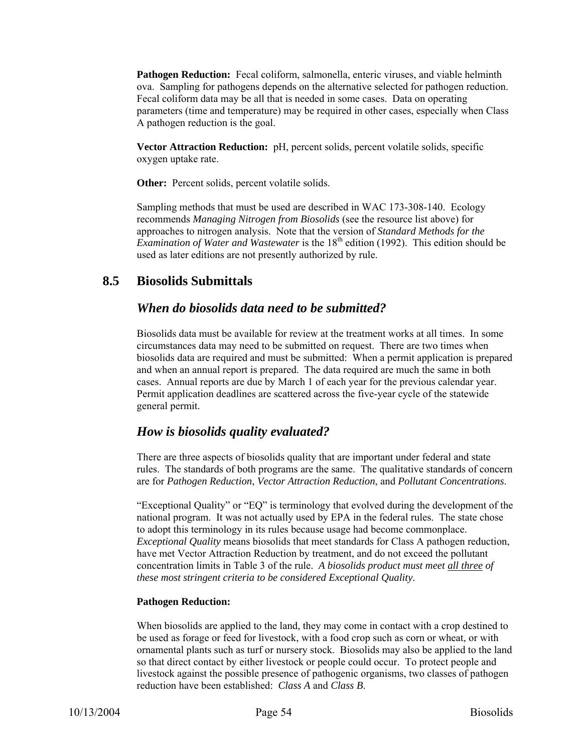**Pathogen Reduction:** Fecal coliform, salmonella, enteric viruses, and viable helminth ova. Sampling for pathogens depends on the alternative selected for pathogen reduction. Fecal coliform data may be all that is needed in some cases. Data on operating parameters (time and temperature) may be required in other cases, especially when Class A pathogen reduction is the goal.

**Vector Attraction Reduction:** pH, percent solids, percent volatile solids, specific oxygen uptake rate.

**Other:** Percent solids, percent volatile solids.

Sampling methods that must be used are described in WAC 173-308-140. Ecology recommends *Managing Nitrogen from Biosolids* (see the resource list above) for approaches to nitrogen analysis. Note that the version of *Standard Methods for the Examination of Water and Wastewater* is the 18<sup>th</sup> edition (1992). This edition should be used as later editions are not presently authorized by rule.

#### **8.5 Biosolids Submittals**

#### *When do biosolids data need to be submitted?*

Biosolids data must be available for review at the treatment works at all times. In some circumstances data may need to be submitted on request. There are two times when biosolids data are required and must be submitted: When a permit application is prepared and when an annual report is prepared. The data required are much the same in both cases. Annual reports are due by March 1 of each year for the previous calendar year. Permit application deadlines are scattered across the five-year cycle of the statewide general permit.

#### *How is biosolids quality evaluated?*

There are three aspects of biosolids quality that are important under federal and state rules. The standards of both programs are the same. The qualitative standards of concern are for *Pathogen Reduction*, *Vector Attraction Reduction*, and *Pollutant Concentrations*.

"Exceptional Quality" or "EQ" is terminology that evolved during the development of the national program. It was not actually used by EPA in the federal rules. The state chose to adopt this terminology in its rules because usage had become commonplace. *Exceptional Quality* means biosolids that meet standards for Class A pathogen reduction, have met Vector Attraction Reduction by treatment, and do not exceed the pollutant concentration limits in Table 3 of the rule. *A biosolids product must meet all three of these most stringent criteria to be considered Exceptional Quality*.

#### **Pathogen Reduction:**

When biosolids are applied to the land, they may come in contact with a crop destined to be used as forage or feed for livestock, with a food crop such as corn or wheat, or with ornamental plants such as turf or nursery stock. Biosolids may also be applied to the land so that direct contact by either livestock or people could occur. To protect people and livestock against the possible presence of pathogenic organisms, two classes of pathogen reduction have been established: *Class A* and *Class B*.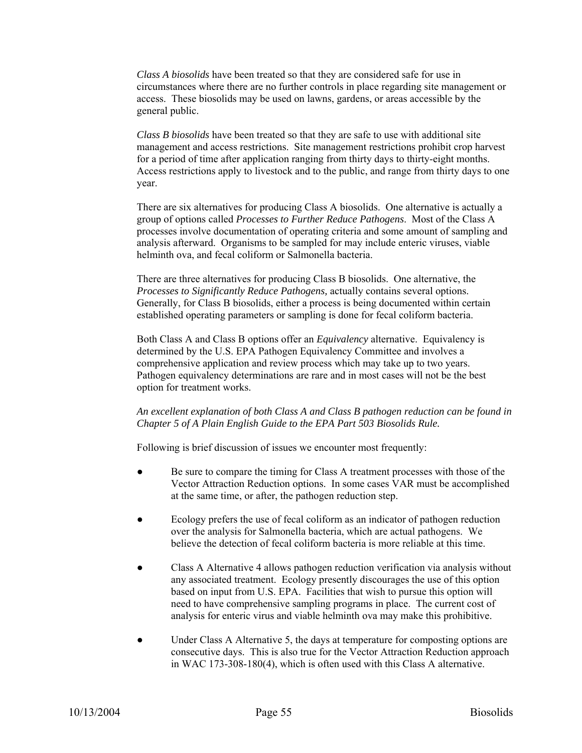*Class A biosolids* have been treated so that they are considered safe for use in circumstances where there are no further controls in place regarding site management or access. These biosolids may be used on lawns, gardens, or areas accessible by the general public.

*Class B biosolids* have been treated so that they are safe to use with additional site management and access restrictions. Site management restrictions prohibit crop harvest for a period of time after application ranging from thirty days to thirty-eight months. Access restrictions apply to livestock and to the public, and range from thirty days to one year.

There are six alternatives for producing Class A biosolids. One alternative is actually a group of options called *Processes to Further Reduce Pathogens*. Most of the Class A processes involve documentation of operating criteria and some amount of sampling and analysis afterward. Organisms to be sampled for may include enteric viruses, viable helminth ova, and fecal coliform or Salmonella bacteria.

There are three alternatives for producing Class B biosolids. One alternative, the *Processes to Significantly Reduce Pathogens,* actually contains several options. Generally, for Class B biosolids, either a process is being documented within certain established operating parameters or sampling is done for fecal coliform bacteria.

Both Class A and Class B options offer an *Equivalency* alternative. Equivalency is determined by the U.S. EPA Pathogen Equivalency Committee and involves a comprehensive application and review process which may take up to two years. Pathogen equivalency determinations are rare and in most cases will not be the best option for treatment works.

#### *An excellent explanation of both Class A and Class B pathogen reduction can be found in Chapter 5 of A Plain English Guide to the EPA Part 503 Biosolids Rule.*

Following is brief discussion of issues we encounter most frequently:

- Be sure to compare the timing for Class A treatment processes with those of the Vector Attraction Reduction options. In some cases VAR must be accomplished at the same time, or after, the pathogen reduction step.
- Ecology prefers the use of fecal coliform as an indicator of pathogen reduction over the analysis for Salmonella bacteria, which are actual pathogens. We believe the detection of fecal coliform bacteria is more reliable at this time.
- Class A Alternative 4 allows pathogen reduction verification via analysis without any associated treatment. Ecology presently discourages the use of this option based on input from U.S. EPA. Facilities that wish to pursue this option will need to have comprehensive sampling programs in place. The current cost of analysis for enteric virus and viable helminth ova may make this prohibitive.
- Under Class A Alternative 5, the days at temperature for composting options are consecutive days. This is also true for the Vector Attraction Reduction approach in WAC 173-308-180(4), which is often used with this Class A alternative.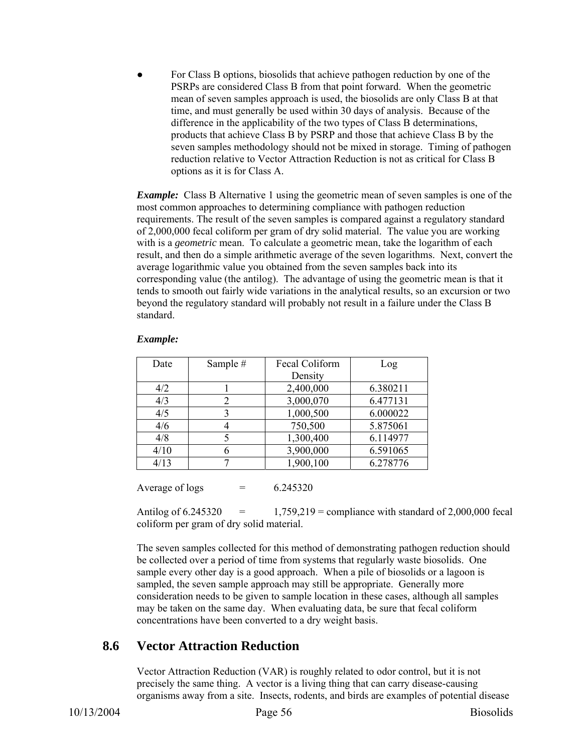For Class B options, biosolids that achieve pathogen reduction by one of the PSRPs are considered Class B from that point forward. When the geometric mean of seven samples approach is used, the biosolids are only Class B at that time, and must generally be used within 30 days of analysis. Because of the difference in the applicability of the two types of Class B determinations, products that achieve Class B by PSRP and those that achieve Class B by the seven samples methodology should not be mixed in storage. Timing of pathogen reduction relative to Vector Attraction Reduction is not as critical for Class B options as it is for Class A.

*Example:* Class B Alternative 1 using the geometric mean of seven samples is one of the most common approaches to determining compliance with pathogen reduction requirements. The result of the seven samples is compared against a regulatory standard of 2,000,000 fecal coliform per gram of dry solid material. The value you are working with is a *geometric* mean. To calculate a geometric mean, take the logarithm of each result, and then do a simple arithmetic average of the seven logarithms. Next, convert the average logarithmic value you obtained from the seven samples back into its corresponding value (the antilog). The advantage of using the geometric mean is that it tends to smooth out fairly wide variations in the analytical results, so an excursion or two beyond the regulatory standard will probably not result in a failure under the Class B standard.

| Date | Sample # | Fecal Coliform | Log      |  |  |
|------|----------|----------------|----------|--|--|
|      |          | Density        |          |  |  |
| 4/2  |          | 2,400,000      | 6.380211 |  |  |
| 4/3  |          | 3,000,070      | 6.477131 |  |  |
| 4/5  |          | 1,000,500      | 6.000022 |  |  |
| 4/6  |          | 750,500        | 5.875061 |  |  |
| 4/8  |          | 1,300,400      | 6.114977 |  |  |
| 4/10 |          | 3,900,000      | 6.591065 |  |  |
| 4/13 |          | 1,900,100      | 6.278776 |  |  |

#### *Example:*

Average of logs  $= 6.245320$ 

Antilog of  $6.245320 = 1,759,219$  = compliance with standard of 2,000,000 fecal coliform per gram of dry solid material.

The seven samples collected for this method of demonstrating pathogen reduction should be collected over a period of time from systems that regularly waste biosolids. One sample every other day is a good approach. When a pile of biosolids or a lagoon is sampled, the seven sample approach may still be appropriate. Generally more consideration needs to be given to sample location in these cases, although all samples may be taken on the same day. When evaluating data, be sure that fecal coliform concentrations have been converted to a dry weight basis.

## **8.6 Vector Attraction Reduction**

Vector Attraction Reduction (VAR) is roughly related to odor control, but it is not precisely the same thing. A vector is a living thing that can carry disease-causing organisms away from a site. Insects, rodents, and birds are examples of potential disease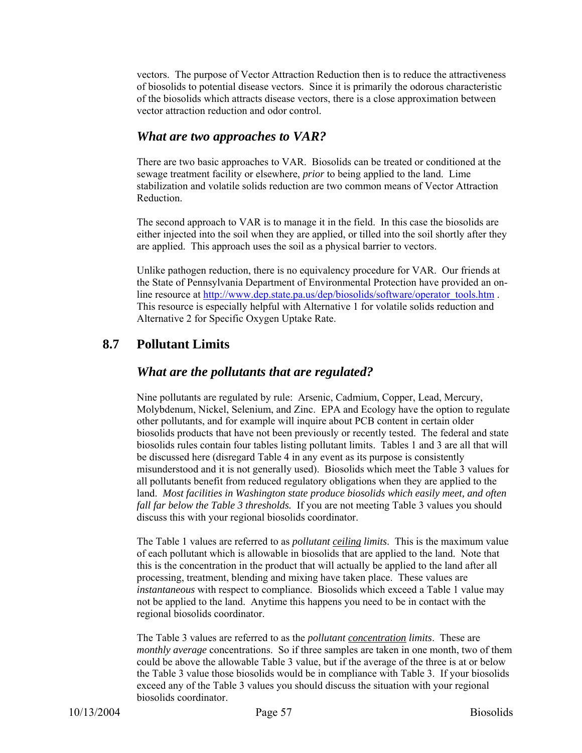vectors. The purpose of Vector Attraction Reduction then is to reduce the attractiveness of biosolids to potential disease vectors. Since it is primarily the odorous characteristic of the biosolids which attracts disease vectors, there is a close approximation between vector attraction reduction and odor control.

#### *What are two approaches to VAR?*

There are two basic approaches to VAR. Biosolids can be treated or conditioned at the sewage treatment facility or elsewhere, *prior* to being applied to the land. Lime stabilization and volatile solids reduction are two common means of Vector Attraction Reduction.

The second approach to VAR is to manage it in the field. In this case the biosolids are either injected into the soil when they are applied, or tilled into the soil shortly after they are applied. This approach uses the soil as a physical barrier to vectors.

Unlike pathogen reduction, there is no equivalency procedure for VAR. Our friends at the State of Pennsylvania Department of Environmental Protection have provided an online resource at http://www.dep.state.pa.us/dep/biosolids/software/operator\_tools.htm . This resource is especially helpful with Alternative 1 for volatile solids reduction and Alternative 2 for Specific Oxygen Uptake Rate.

#### **8.7 Pollutant Limits**

#### *What are the pollutants that are regulated?*

Nine pollutants are regulated by rule: Arsenic, Cadmium, Copper, Lead, Mercury, Molybdenum, Nickel, Selenium, and Zinc. EPA and Ecology have the option to regulate other pollutants, and for example will inquire about PCB content in certain older biosolids products that have not been previously or recently tested. The federal and state biosolids rules contain four tables listing pollutant limits. Tables 1 and 3 are all that will be discussed here (disregard Table 4 in any event as its purpose is consistently misunderstood and it is not generally used). Biosolids which meet the Table 3 values for all pollutants benefit from reduced regulatory obligations when they are applied to the land. *Most facilities in Washington state produce biosolids which easily meet, and often fall far below the Table 3 thresholds.* If you are not meeting Table 3 values you should discuss this with your regional biosolids coordinator.

The Table 1 values are referred to as *pollutant ceiling limits*. This is the maximum value of each pollutant which is allowable in biosolids that are applied to the land. Note that this is the concentration in the product that will actually be applied to the land after all processing, treatment, blending and mixing have taken place. These values are *instantaneous* with respect to compliance. Biosolids which exceed a Table 1 value may not be applied to the land. Anytime this happens you need to be in contact with the regional biosolids coordinator.

The Table 3 values are referred to as the *pollutant concentration limits*. These are *monthly average* concentrations. So if three samples are taken in one month, two of them could be above the allowable Table 3 value, but if the average of the three is at or below the Table 3 value those biosolids would be in compliance with Table 3. If your biosolids exceed any of the Table 3 values you should discuss the situation with your regional biosolids coordinator.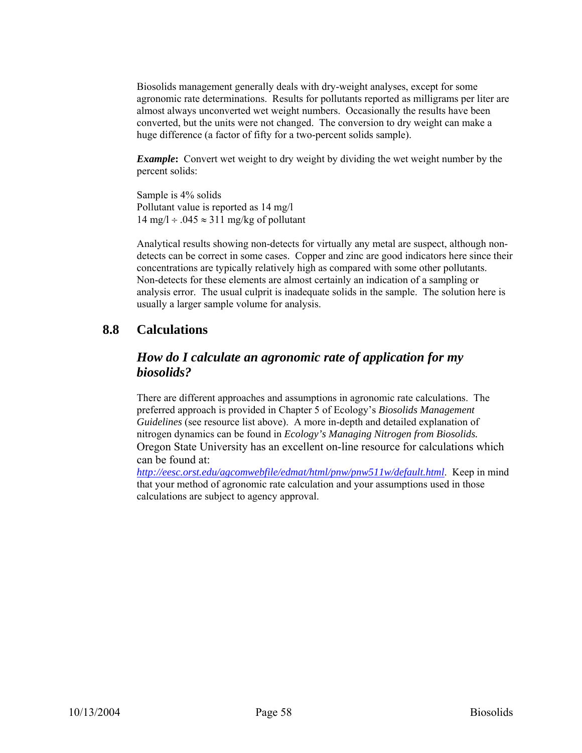Biosolids management generally deals with dry-weight analyses, except for some agronomic rate determinations. Results for pollutants reported as milligrams per liter are almost always unconverted wet weight numbers. Occasionally the results have been converted, but the units were not changed. The conversion to dry weight can make a huge difference (a factor of fifty for a two-percent solids sample).

*Example*: Convert wet weight to dry weight by dividing the wet weight number by the percent solids:

Sample is 4% solids Pollutant value is reported as 14 mg/l  $14 \text{ mg/l} \div .045 \approx 311 \text{ mg/kg}$  of pollutant

Analytical results showing non-detects for virtually any metal are suspect, although nondetects can be correct in some cases. Copper and zinc are good indicators here since their concentrations are typically relatively high as compared with some other pollutants. Non-detects for these elements are almost certainly an indication of a sampling or analysis error. The usual culprit is inadequate solids in the sample. The solution here is usually a larger sample volume for analysis.

#### **8.8 Calculations**

#### *How do I calculate an agronomic rate of application for my biosolids?*

There are different approaches and assumptions in agronomic rate calculations. The preferred approach is provided in Chapter 5 of Ecology's *Biosolids Management Guidelines* (see resource list above). A more in-depth and detailed explanation of nitrogen dynamics can be found in *Ecology's Managing Nitrogen from Biosolids.* Oregon State University has an excellent on-line resource for calculations which can be found at:

*http://eesc.orst.edu/agcomwebfile/edmat/html/pnw/pnw511w/default.html*. Keep in mind that your method of agronomic rate calculation and your assumptions used in those calculations are subject to agency approval.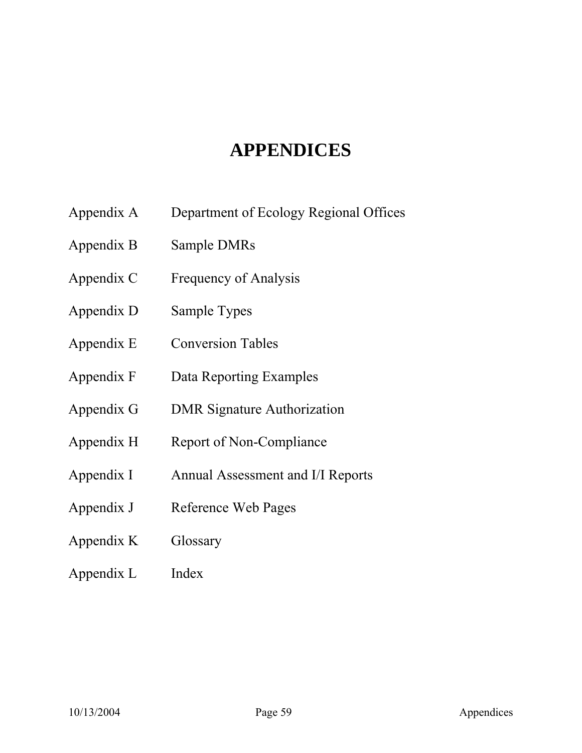# **APPENDICES**

- Appendix A Department of Ecology Regional Offices
- Appendix B Sample DMRs
- Appendix C Frequency of Analysis
- Appendix D Sample Types
- Appendix E Conversion Tables
- Appendix F Data Reporting Examples
- Appendix G DMR Signature Authorization
- Appendix H Report of Non-Compliance
- Appendix I Annual Assessment and I/I Reports
- Appendix J Reference Web Pages
- Appendix K Glossary
- Appendix L Index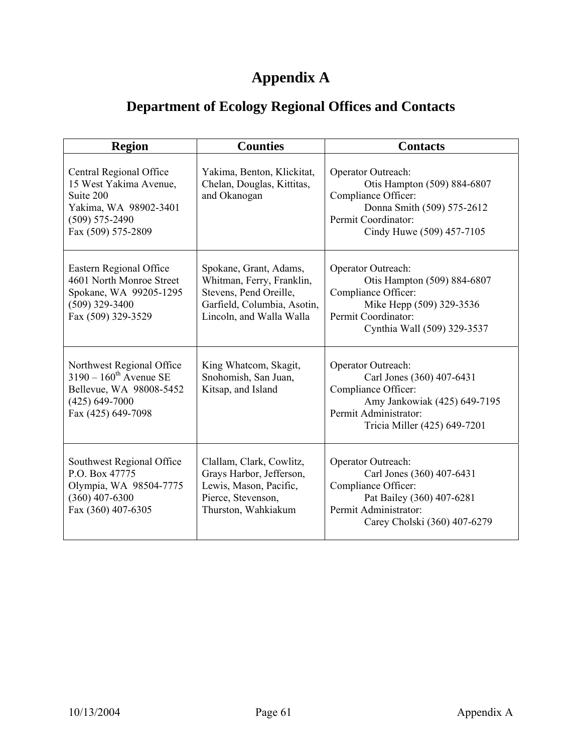# **Appendix A**

# **Department of Ecology Regional Offices and Contacts**

| <b>Region</b>                                                                                                                          | <b>Counties</b>                                                                                                                          | <b>Contacts</b>                                                                                                                                                 |
|----------------------------------------------------------------------------------------------------------------------------------------|------------------------------------------------------------------------------------------------------------------------------------------|-----------------------------------------------------------------------------------------------------------------------------------------------------------------|
| Central Regional Office<br>15 West Yakima Avenue,<br>Suite 200<br>Yakima, WA 98902-3401<br>$(509) 575 - 2490$<br>Fax (509) 575-2809    | Yakima, Benton, Klickitat,<br>Chelan, Douglas, Kittitas,<br>and Okanogan                                                                 | Operator Outreach:<br>Otis Hampton (509) 884-6807<br>Compliance Officer:<br>Donna Smith (509) 575-2612<br>Permit Coordinator:<br>Cindy Huwe (509) 457-7105      |
| Eastern Regional Office<br>4601 North Monroe Street<br>Spokane, WA 99205-1295<br>$(509)$ 329-3400<br>Fax (509) 329-3529                | Spokane, Grant, Adams,<br>Whitman, Ferry, Franklin,<br>Stevens, Pend Oreille,<br>Garfield, Columbia, Asotin,<br>Lincoln, and Walla Walla | Operator Outreach:<br>Otis Hampton (509) 884-6807<br>Compliance Officer:<br>Mike Hepp (509) 329-3536<br>Permit Coordinator:<br>Cynthia Wall (509) 329-3537      |
| Northwest Regional Office<br>$3190 - 160^{\text{th}}$ Avenue SE<br>Bellevue, WA 98008-5452<br>$(425) 649 - 7000$<br>Fax (425) 649-7098 | King Whatcom, Skagit,<br>Snohomish, San Juan,<br>Kitsap, and Island                                                                      | Operator Outreach:<br>Carl Jones (360) 407-6431<br>Compliance Officer:<br>Amy Jankowiak (425) 649-7195<br>Permit Administrator:<br>Tricia Miller (425) 649-7201 |
| Southwest Regional Office<br>P.O. Box 47775<br>Olympia, WA 98504-7775<br>$(360)$ 407-6300<br>Fax (360) 407-6305                        | Clallam, Clark, Cowlitz,<br>Grays Harbor, Jefferson,<br>Lewis, Mason, Pacific,<br>Pierce, Stevenson,<br>Thurston, Wahkiakum              | Operator Outreach:<br>Carl Jones (360) 407-6431<br>Compliance Officer:<br>Pat Bailey (360) 407-6281<br>Permit Administrator:<br>Carey Cholski (360) 407-6279    |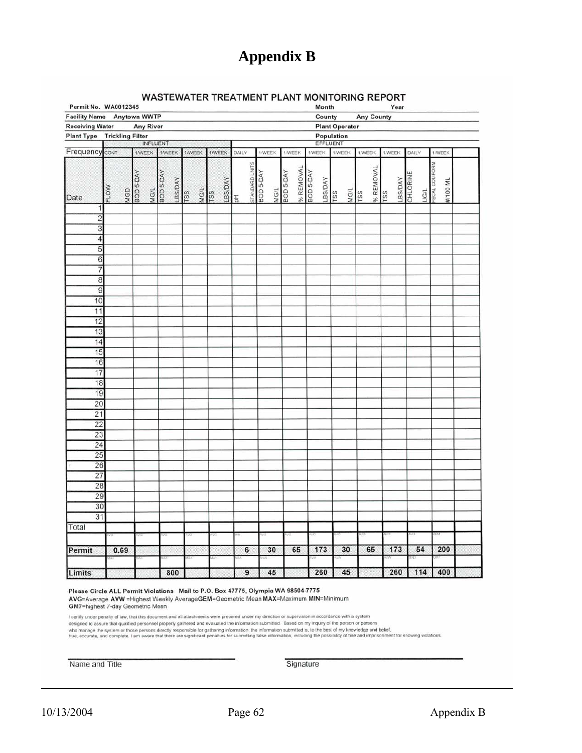# **Appendix B**

| <b>WASTEWATER TREATMENT PLANT MONITORING REPORT</b> |  |  |  |
|-----------------------------------------------------|--|--|--|
|-----------------------------------------------------|--|--|--|

| Permit No. WA0012345                      |                         |                  |                  |                      |                    |        |         |                                      |                  |                   |                        | Month                 |        |      |                   | Year   |                             |                           |  |
|-------------------------------------------|-------------------------|------------------|------------------|----------------------|--------------------|--------|---------|--------------------------------------|------------------|-------------------|------------------------|-----------------------|--------|------|-------------------|--------|-----------------------------|---------------------------|--|
| Facility Name Anytown WWTP                |                         |                  |                  |                      |                    |        |         |                                      |                  |                   |                        | County                |        |      | <b>Any County</b> |        |                             |                           |  |
| <b>Receiving Water</b>                    |                         |                  | <b>Any River</b> |                      |                    |        |         |                                      |                  |                   |                        | <b>Plant Operator</b> |        |      |                   |        |                             |                           |  |
| <b>Plant Type</b>                         | <b>Trickling Filter</b> |                  |                  |                      |                    |        |         |                                      |                  |                   |                        | Population            |        |      |                   |        |                             |                           |  |
|                                           |                         |                  | INFLUENT         |                      |                    |        |         |                                      |                  |                   |                        | EFFLUENT              |        |      |                   |        |                             |                           |  |
| Frequency                                 | CONT                    |                  | <b>1AVEEK</b>    | <b>1/WEEK</b>        | 1/WEEK             | 1/WEEK |         | DAILY                                | 1/WEEK           | 1/WEEK            |                        | 1/WEEK                | 1/WEEK |      | 1/WEEK            | 1/WEEK | DAILY                       | 1/WEEK                    |  |
| Date                                      | FLOW                    | MGD<br>BOD 5-DAY | MG/L             | BOD 5-DAY<br>LBS/DAY | MG/L<br><b>TSS</b> | rss    | LBS/DAY | STANDARD UNITS<br>$_{\rm H}^{\rm H}$ | <b>BOD 5-DAY</b> | MG/L<br>BOD 5-DAY | % REMOVAL<br>BOD 5-DAY | LBS/DAY               | rss    | MG/L | % REMOVAL<br>rss  | rss    | LBS/DAY<br>CHLORINE<br>UG/L | ECAL COLIFORM<br>#/100 ML |  |
| 1                                         |                         |                  |                  |                      |                    |        |         |                                      |                  |                   |                        |                       |        |      |                   |        |                             |                           |  |
| $\overline{\mathbf{c}}$<br>$\overline{3}$ |                         |                  |                  |                      |                    |        |         |                                      |                  |                   |                        |                       |        |      |                   |        |                             |                           |  |
| $\overline{4}$                            |                         |                  |                  |                      |                    |        |         |                                      |                  |                   |                        |                       |        |      |                   |        |                             |                           |  |
| 5                                         |                         |                  |                  |                      |                    |        |         |                                      |                  |                   |                        |                       |        |      |                   |        |                             |                           |  |
| $\overline{6}$                            |                         |                  |                  |                      |                    |        |         |                                      |                  |                   |                        |                       |        |      |                   |        |                             |                           |  |
| 7                                         |                         |                  |                  |                      |                    |        |         |                                      |                  |                   |                        |                       |        |      |                   |        |                             |                           |  |
| $\overline{8}$                            |                         |                  |                  |                      |                    |        |         |                                      |                  |                   |                        |                       |        |      |                   |        |                             |                           |  |
| $\overline{9}$                            |                         |                  |                  |                      |                    |        |         |                                      |                  |                   |                        |                       |        |      |                   |        |                             |                           |  |
| 10                                        |                         |                  |                  |                      |                    |        |         |                                      |                  |                   |                        |                       |        |      |                   |        |                             |                           |  |
| 11<br>12                                  |                         |                  |                  |                      |                    |        |         |                                      |                  |                   |                        |                       |        |      |                   |        |                             |                           |  |
| 13                                        |                         |                  |                  |                      |                    |        |         |                                      |                  |                   |                        |                       |        |      |                   |        |                             |                           |  |
| 14                                        |                         |                  |                  |                      |                    |        |         |                                      |                  |                   |                        |                       |        |      |                   |        |                             |                           |  |
| 15                                        |                         |                  |                  |                      |                    |        |         |                                      |                  |                   |                        |                       |        |      |                   |        |                             |                           |  |
| 16                                        |                         |                  |                  |                      |                    |        |         |                                      |                  |                   |                        |                       |        |      |                   |        |                             |                           |  |
| 17                                        |                         |                  |                  |                      |                    |        |         |                                      |                  |                   |                        |                       |        |      |                   |        |                             |                           |  |
| 18<br>19                                  |                         |                  |                  |                      |                    |        |         |                                      |                  |                   |                        |                       |        |      |                   |        |                             |                           |  |
| $\overline{20}$                           |                         |                  |                  |                      |                    |        |         |                                      |                  |                   |                        |                       |        |      |                   |        |                             |                           |  |
| $\overline{21}$                           |                         |                  |                  |                      |                    |        |         |                                      |                  |                   |                        |                       |        |      |                   |        |                             |                           |  |
| 22                                        |                         |                  |                  |                      |                    |        |         |                                      |                  |                   |                        |                       |        |      |                   |        |                             |                           |  |
| 23                                        |                         |                  |                  |                      |                    |        |         |                                      |                  |                   |                        |                       |        |      |                   |        |                             |                           |  |
| 24                                        |                         |                  |                  |                      |                    |        |         |                                      |                  |                   |                        |                       |        |      |                   |        |                             |                           |  |
| 25                                        |                         |                  |                  |                      |                    |        |         |                                      |                  |                   |                        |                       |        |      |                   |        |                             |                           |  |
| 26<br>27                                  |                         |                  |                  |                      |                    |        |         |                                      |                  |                   |                        |                       |        |      |                   |        |                             |                           |  |
| 28                                        |                         |                  |                  |                      |                    |        |         |                                      |                  |                   |                        |                       |        |      |                   |        |                             |                           |  |
| 29                                        |                         |                  |                  |                      |                    |        |         |                                      |                  |                   |                        |                       |        |      |                   |        |                             |                           |  |
| 30                                        |                         |                  |                  |                      |                    |        |         |                                      |                  |                   |                        |                       |        |      |                   |        |                             |                           |  |
| 31                                        |                         |                  |                  |                      |                    |        |         |                                      |                  |                   |                        |                       |        |      |                   |        |                             |                           |  |
| Total                                     |                         |                  |                  |                      |                    |        |         |                                      |                  |                   |                        |                       |        |      |                   |        |                             |                           |  |
| Permit                                    | 0.69                    |                  |                  |                      |                    |        |         | $6\overline{6}$                      | 30               | 65                |                        | 173                   |        | 30   | 65                | 173    | 54                          | 200                       |  |
|                                           |                         |                  |                  |                      |                    |        |         |                                      |                  |                   |                        |                       |        |      |                   |        |                             |                           |  |
| Limits                                    |                         |                  |                  | 800                  |                    |        |         | 9                                    | 45               |                   |                        | 260                   |        | 45   |                   | 260    | 114                         | 400                       |  |

Please Circle ALL Permit Violations Mail to P.O. Box 47775, Olympia WA 98504-7775 AVG=Average AVW = Highest Weekly AverageGEM=Geometric Mean MAX=Maximum MIN=Minimum<br>GM7=highest 7-day Geometric Mean

I certify under penalty of law, that this document and all attachments were prepared under my direction or supervision in accordance with a system<br>who manage the system or those personnel properly gathered and evaluated th

Name and Title

Signature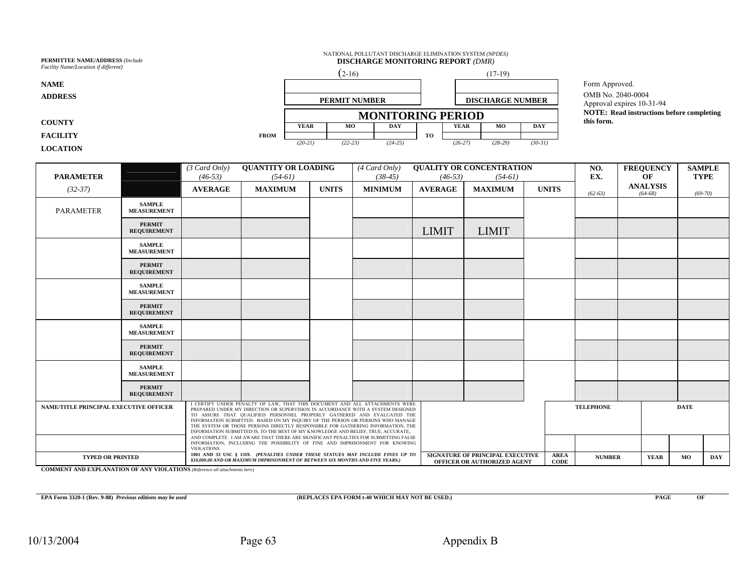| <b>PERMITTEE NAME/ADDRESS (Include</b><br>Facility Name/Location if different) | NATIONAL POLLUTANT DISCHARGE ELIMINATION SYSTEM (NPDES)<br><b>DISCHARGE MONITORING REPORT (DMR)</b> |                      |                          |                                                                |           |           |                         |           |                                                |  |
|--------------------------------------------------------------------------------|-----------------------------------------------------------------------------------------------------|----------------------|--------------------------|----------------------------------------------------------------|-----------|-----------|-------------------------|-----------|------------------------------------------------|--|
|                                                                                |                                                                                                     | $(2-16)$             |                          |                                                                | $(17-19)$ |           |                         |           |                                                |  |
| <b>NAME</b>                                                                    |                                                                                                     |                      |                          |                                                                |           |           |                         |           | Form Approved.                                 |  |
| <b>ADDRESS</b>                                                                 |                                                                                                     | <b>PERMIT NUMBER</b> |                          |                                                                |           |           | <b>DISCHARGE NUMBER</b> |           | OMB No. 2040-0004<br>Approval expires 10-31-94 |  |
|                                                                                |                                                                                                     |                      | <b>MONITORING PERIOD</b> | <b>NOTE:</b> Read instructions before completing<br>this form. |           |           |                         |           |                                                |  |
| <b>COUNTY</b>                                                                  |                                                                                                     | <b>YEAR</b>          | MО                       | <b>DAY</b>                                                     |           | YEAR      | MO                      | DAY       |                                                |  |
| <b>FACILITY</b>                                                                | <b>FROM</b>                                                                                         |                      |                          |                                                                | TO        |           |                         |           |                                                |  |
| <b>LOCATION</b>                                                                |                                                                                                     | $(20-21)$            | $(22-23)$                | $(24-25)$                                                      |           | $(26-27)$ | $(28-29)$               | $(30-31)$ |                                                |  |

| <b>PARAMETER</b>                                                                                                                                                                                                                                                                                |                                     | $(3$ Card Only)<br>$(46-53)$ | <b>QUANTITY OR LOADING</b><br>$(54-61)$                                                                                                                                                                                                                                                                                                                                                                                                                                                                                                                                                   |              | $(4$ Card Only)<br>$(38-45)$                                                                  | $(46-53)$      | <b>QUALITY OR CONCENTRATION</b><br>$(54-61)$ |                              | NO.<br>EX.       | <b>FREQUENCY</b><br>OF       | <b>SAMPLE</b><br><b>TYPE</b> |
|-------------------------------------------------------------------------------------------------------------------------------------------------------------------------------------------------------------------------------------------------------------------------------------------------|-------------------------------------|------------------------------|-------------------------------------------------------------------------------------------------------------------------------------------------------------------------------------------------------------------------------------------------------------------------------------------------------------------------------------------------------------------------------------------------------------------------------------------------------------------------------------------------------------------------------------------------------------------------------------------|--------------|-----------------------------------------------------------------------------------------------|----------------|----------------------------------------------|------------------------------|------------------|------------------------------|------------------------------|
| $(32-37)$                                                                                                                                                                                                                                                                                       |                                     | <b>AVERAGE</b>               | <b>MAXIMUM</b>                                                                                                                                                                                                                                                                                                                                                                                                                                                                                                                                                                            | <b>UNITS</b> | <b>MINIMUM</b>                                                                                | <b>AVERAGE</b> | <b>MAXIMUM</b>                               | <b>UNITS</b>                 | $(62-63)$        | <b>ANALYSIS</b><br>$(64-68)$ | $(69-70)$                    |
| <b>PARAMETER</b>                                                                                                                                                                                                                                                                                | <b>SAMPLE</b><br><b>MEASUREMENT</b> |                              |                                                                                                                                                                                                                                                                                                                                                                                                                                                                                                                                                                                           |              |                                                                                               |                |                                              |                              |                  |                              |                              |
|                                                                                                                                                                                                                                                                                                 | <b>PERMIT</b><br><b>REQUIREMENT</b> |                              |                                                                                                                                                                                                                                                                                                                                                                                                                                                                                                                                                                                           |              |                                                                                               | <b>LIMIT</b>   | <b>LIMIT</b>                                 |                              |                  |                              |                              |
|                                                                                                                                                                                                                                                                                                 | <b>SAMPLE</b><br><b>MEASUREMENT</b> |                              |                                                                                                                                                                                                                                                                                                                                                                                                                                                                                                                                                                                           |              |                                                                                               |                |                                              |                              |                  |                              |                              |
|                                                                                                                                                                                                                                                                                                 | <b>PERMIT</b><br><b>REQUIREMENT</b> |                              |                                                                                                                                                                                                                                                                                                                                                                                                                                                                                                                                                                                           |              |                                                                                               |                |                                              |                              |                  |                              |                              |
|                                                                                                                                                                                                                                                                                                 | <b>SAMPLE</b><br><b>MEASUREMENT</b> |                              |                                                                                                                                                                                                                                                                                                                                                                                                                                                                                                                                                                                           |              |                                                                                               |                |                                              |                              |                  |                              |                              |
|                                                                                                                                                                                                                                                                                                 | <b>PERMIT</b><br><b>REQUIREMENT</b> |                              |                                                                                                                                                                                                                                                                                                                                                                                                                                                                                                                                                                                           |              |                                                                                               |                |                                              |                              |                  |                              |                              |
|                                                                                                                                                                                                                                                                                                 | <b>SAMPLE</b><br><b>MEASUREMENT</b> |                              |                                                                                                                                                                                                                                                                                                                                                                                                                                                                                                                                                                                           |              |                                                                                               |                |                                              |                              |                  |                              |                              |
|                                                                                                                                                                                                                                                                                                 | <b>PERMIT</b><br><b>REQUIREMENT</b> |                              |                                                                                                                                                                                                                                                                                                                                                                                                                                                                                                                                                                                           |              |                                                                                               |                |                                              |                              |                  |                              |                              |
|                                                                                                                                                                                                                                                                                                 | <b>SAMPLE</b><br><b>MEASUREMENT</b> |                              |                                                                                                                                                                                                                                                                                                                                                                                                                                                                                                                                                                                           |              |                                                                                               |                |                                              |                              |                  |                              |                              |
|                                                                                                                                                                                                                                                                                                 | <b>PERMIT</b><br><b>REQUIREMENT</b> |                              |                                                                                                                                                                                                                                                                                                                                                                                                                                                                                                                                                                                           |              |                                                                                               |                |                                              |                              |                  |                              |                              |
| NAME/TITLE PRINCIPAL EXECUTIVE OFFICER                                                                                                                                                                                                                                                          |                                     |                              | I CERTIFY UNDER PENALTY OF LAW, THAT THIS DOCUMENT AND ALL ATTACHMENTS WERE<br>PREPARED UNDER MY DIRECTION OR SUPERVISION IN ACCORDANCE WITH A SYSTEM DESIGNED<br>TO ASSURE THAT QUALIFIED PERSONNEL PROPERLY GATHERED AND EVALUATED THE<br>INFORMATION SUBMITTED. BASED ON MY INQUIRY OF THE PERSON OR PERSONS WHO MANAGE<br>THE SYSTEM OR THOSE PERSONS DIRECTLY RESPONSIBLE FOR GATHERING INFORMATION, THE<br>INFORMATION SUBMITTED IS, TO THE BEST OF MY KNOWLEDGE AND BELIEF, TRUE, ACCURATE,.<br>AND COMPLETE. I AM AWARE THAT THERE ARE SIGNIFICANT PENALTIES FOR SUBMITTING FALSE |              |                                                                                               |                |                                              |                              | <b>TELEPHONE</b> |                              | <b>DATE</b>                  |
| INFORMATION, INCLUDING THE POSSIBILITY OF FINE AND IMPRISONMENT FOR KNOWING<br><b>VIOLATIONS</b><br>1001 AND 33 USC § 1319. (PENALTIES UNDER THESE STATUES MAY INCLUDE FINES UP TO<br><b>TYPED OR PRINTED</b><br>\$10,000.00 AND OR MAXIMUM IMPRISONMENT OF BETWEEN SIX MONTHS AND FIVE YEARS.) |                                     |                              |                                                                                                                                                                                                                                                                                                                                                                                                                                                                                                                                                                                           |              | SIGNATURE OF PRINCIPAL EXECUTIVE<br><b>AREA</b><br><b>CODE</b><br>OFFICER OR AUTHORIZED AGENT |                |                                              | <b>NUMBER</b><br><b>YEAR</b> | <b>DAY</b><br>MO |                              |                              |

**COMMENT AND EXPLANATION OF ANY VIOLATIONS** *(Reference all attachments here)*

**EPA Form 3320-1 (Rev. 9-88)** *Previous editions may be used* **(REPLACES EPA FORM t-40 WHICH MAY NOT BE USED.) PAGE OF**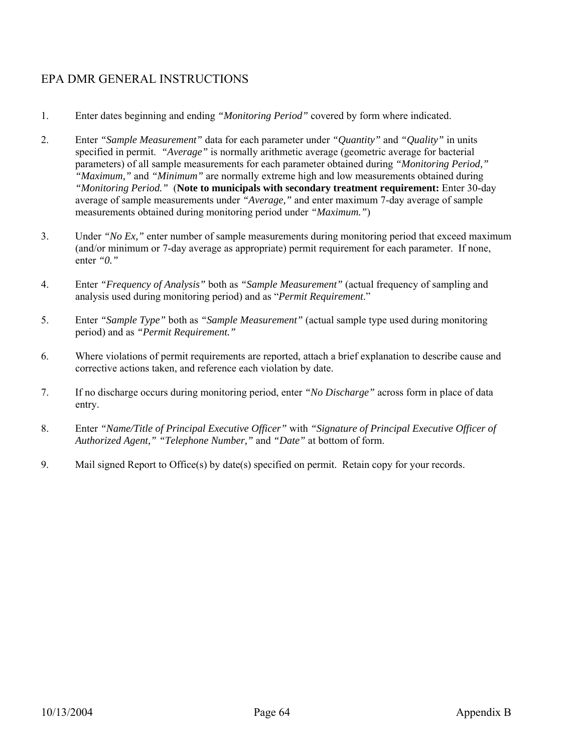## EPA DMR GENERAL INSTRUCTIONS

- 1. Enter dates beginning and ending *"Monitoring Period"* covered by form where indicated.
- 2. Enter *"Sample Measurement"* data for each parameter under *"Quantity"* and *"Quality"* in units specified in permit. *"Average"* is normally arithmetic average (geometric average for bacterial parameters) of all sample measurements for each parameter obtained during *"Monitoring Period," "Maximum,"* and *"Minimum"* are normally extreme high and low measurements obtained during *"Monitoring Period."* (**Note to municipals with secondary treatment requirement:** Enter 30-day average of sample measurements under *"Average,"* and enter maximum 7-day average of sample measurements obtained during monitoring period under *"Maximum."*)
- 3. Under *"No Ex,"* enter number of sample measurements during monitoring period that exceed maximum (and/or minimum or 7-day average as appropriate) permit requirement for each parameter. If none, enter *"0."*
- 4. Enter *"Frequency of Analysis"* both as *"Sample Measurement"* (actual frequency of sampling and analysis used during monitoring period) and as "*Permit Requirement*."
- 5. Enter *"Sample Type"* both as *"Sample Measurement"* (actual sample type used during monitoring period) and as *"Permit Requirement."*
- 6. Where violations of permit requirements are reported, attach a brief explanation to describe cause and corrective actions taken, and reference each violation by date.
- 7. If no discharge occurs during monitoring period, enter *"No Discharge"* across form in place of data entry.
- 8. Enter *"Name/Title of Principal Executive Officer"* with *"Signature of Principal Executive Officer of Authorized Agent," "Telephone Number,"* and *"Date"* at bottom of form.
- 9. Mail signed Report to Office(s) by date(s) specified on permit. Retain copy for your records.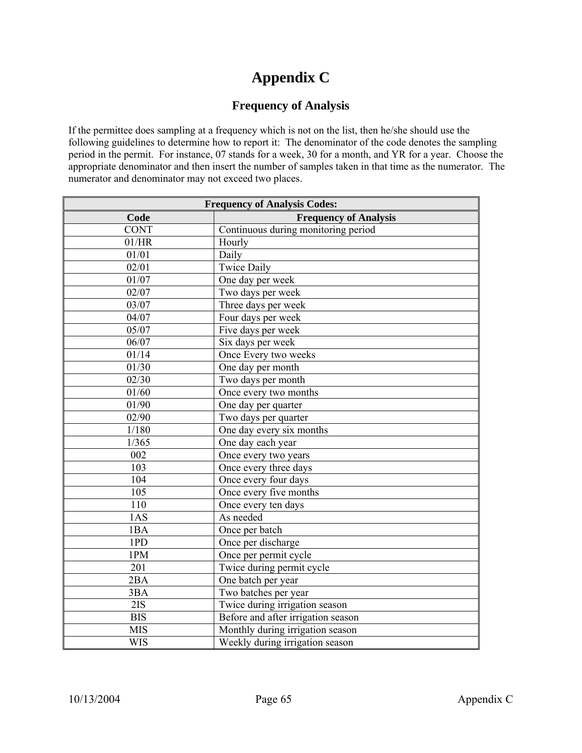# **Appendix C**

#### **Frequency of Analysis**

If the permittee does sampling at a frequency which is not on the list, then he/she should use the following guidelines to determine how to report it: The denominator of the code denotes the sampling period in the permit. For instance, 07 stands for a week, 30 for a month, and YR for a year. Choose the appropriate denominator and then insert the number of samples taken in that time as the numerator. The numerator and denominator may not exceed two places.

| <b>Frequency of Analysis Codes:</b> |                                     |  |  |  |  |  |  |
|-------------------------------------|-------------------------------------|--|--|--|--|--|--|
| Code                                | <b>Frequency of Analysis</b>        |  |  |  |  |  |  |
| <b>CONT</b>                         | Continuous during monitoring period |  |  |  |  |  |  |
| 01/HR                               | Hourly                              |  |  |  |  |  |  |
| 01/01                               | Daily                               |  |  |  |  |  |  |
| 02/01                               | <b>Twice Daily</b>                  |  |  |  |  |  |  |
| 01/07                               | One day per week                    |  |  |  |  |  |  |
| 02/07                               | Two days per week                   |  |  |  |  |  |  |
| 03/07                               | Three days per week                 |  |  |  |  |  |  |
| 04/07                               | Four days per week                  |  |  |  |  |  |  |
| 05/07                               | Five days per week                  |  |  |  |  |  |  |
| 06/07                               | Six days per week                   |  |  |  |  |  |  |
| 01/14                               | Once Every two weeks                |  |  |  |  |  |  |
| 01/30                               | One day per month                   |  |  |  |  |  |  |
| 02/30                               | Two days per month                  |  |  |  |  |  |  |
| 01/60                               | Once every two months               |  |  |  |  |  |  |
| 01/90                               | One day per quarter                 |  |  |  |  |  |  |
| 02/90                               | Two days per quarter                |  |  |  |  |  |  |
| 1/180                               | One day every six months            |  |  |  |  |  |  |
| 1/365                               | One day each year                   |  |  |  |  |  |  |
| 002                                 | Once every two years                |  |  |  |  |  |  |
| 103                                 | Once every three days               |  |  |  |  |  |  |
| 104                                 | Once every four days                |  |  |  |  |  |  |
| 105                                 | Once every five months              |  |  |  |  |  |  |
| 110                                 | Once every ten days                 |  |  |  |  |  |  |
| 1AS                                 | As needed                           |  |  |  |  |  |  |
| 1BA                                 | Once per batch                      |  |  |  |  |  |  |
| 1PD                                 | Once per discharge                  |  |  |  |  |  |  |
| 1PM                                 | Once per permit cycle               |  |  |  |  |  |  |
| 201                                 | Twice during permit cycle           |  |  |  |  |  |  |
| 2BA                                 | One batch per year                  |  |  |  |  |  |  |
| 3BA                                 | Two batches per year                |  |  |  |  |  |  |
| 2IS                                 | Twice during irrigation season      |  |  |  |  |  |  |
| <b>BIS</b>                          | Before and after irrigation season  |  |  |  |  |  |  |
| <b>MIS</b>                          | Monthly during irrigation season    |  |  |  |  |  |  |
| <b>WIS</b>                          | Weekly during irrigation season     |  |  |  |  |  |  |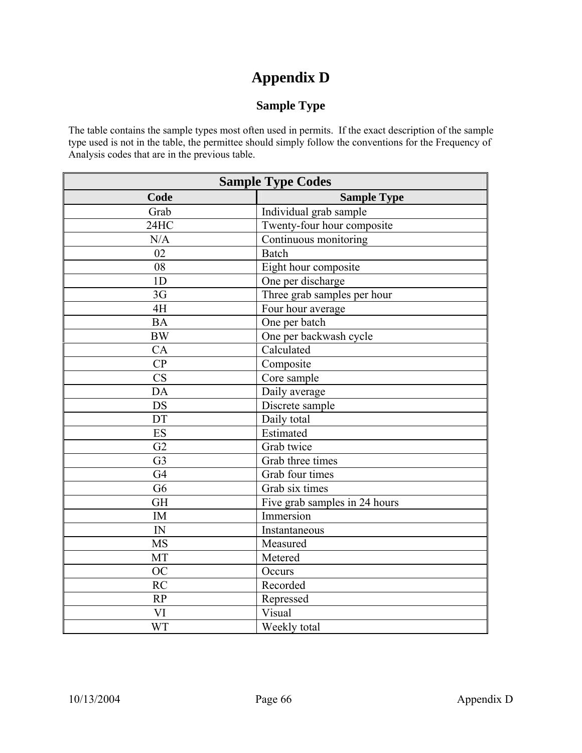## **Appendix D**

## **Sample Type**

The table contains the sample types most often used in permits. If the exact description of the sample type used is not in the table, the permittee should simply follow the conventions for the Frequency of Analysis codes that are in the previous table.

| <b>Sample Type Codes</b> |                               |
|--------------------------|-------------------------------|
| Code                     | <b>Sample Type</b>            |
| Grab                     | Individual grab sample        |
| 24HC                     | Twenty-four hour composite    |
| N/A                      | Continuous monitoring         |
| 02                       | <b>Batch</b>                  |
| 08                       | Eight hour composite          |
| 1 <sub>D</sub>           | One per discharge             |
| 3G                       | Three grab samples per hour   |
| 4H                       | Four hour average             |
| <b>BA</b>                | One per batch                 |
| <b>BW</b>                | One per backwash cycle        |
| CA                       | Calculated                    |
| CP                       | Composite                     |
| CS                       | Core sample                   |
| DA                       | Daily average                 |
| <b>DS</b>                | Discrete sample               |
| DT                       | Daily total                   |
| <b>ES</b>                | Estimated                     |
| G2                       | Grab twice                    |
| G <sub>3</sub>           | Grab three times              |
| G4                       | Grab four times               |
| G <sub>6</sub>           | Grab six times                |
| <b>GH</b>                | Five grab samples in 24 hours |
| <b>IM</b>                | Immersion                     |
| ${\rm IN}$               | Instantaneous                 |
| <b>MS</b>                | Measured                      |
| <b>MT</b>                | Metered                       |
| <b>OC</b>                | Occurs                        |
| <b>RC</b>                | Recorded                      |
| RP                       | Repressed                     |
| VI                       | Visual                        |
| <b>WT</b>                | Weekly total                  |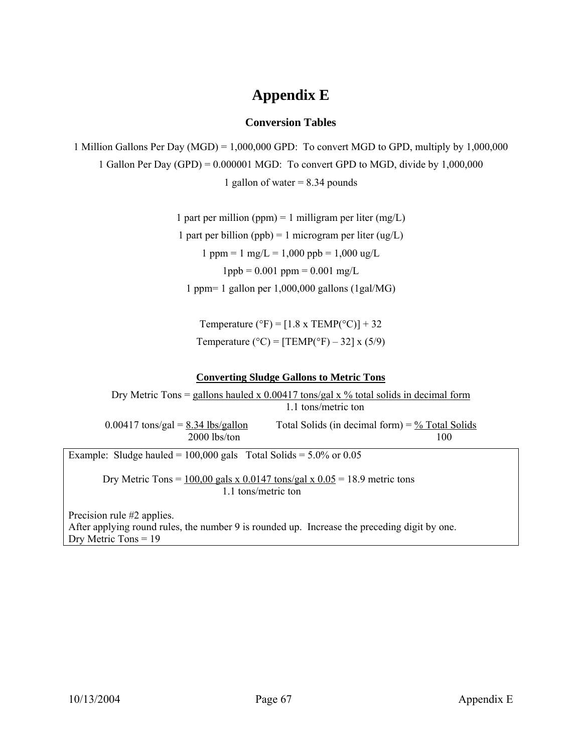# **Appendix E**

## **Conversion Tables**

1 Million Gallons Per Day (MGD) = 1,000,000 GPD: To convert MGD to GPD, multiply by 1,000,000 1 Gallon Per Day (GPD) = 0.000001 MGD: To convert GPD to MGD, divide by 1,000,000 1 gallon of water  $= 8.34$  pounds

> 1 part per million (ppm) = 1 milligram per liter (mg/L) 1 part per billion (ppb) = 1 microgram per liter (ug/L)  $1$  ppm =  $1$  mg/L =  $1,000$  ppb =  $1,000$  ug/L  $1$ ppb = 0.001 ppm = 0.001 mg/L 1 ppm= 1 gallon per 1,000,000 gallons (1gal/MG)

Temperature ( ${}^{\circ}$ F) = [1.8 x TEMP( ${}^{\circ}$ C)] + 32 Temperature ( $^{\circ}$ C) = [TEMP( $^{\circ}$ F) – 32] x (5/9)

## **Converting Sludge Gallons to Metric Tons**

Dry Metric Tons = gallons hauled x  $0.00417$  tons/gal x % total solids in decimal form 1.1 tons/metric ton  $0.00417$  tons/gal =  $8.34$  lbs/gallon Total Solids (in decimal form) =  $\frac{9}{6}$  Total Solids 2000 lbs/ton 100 Example: Sludge hauled =  $100,000$  gals Total Solids =  $5.0\%$  or 0.05 Dry Metric Tons =  $100,00$  gals x 0.0147 tons/gal x 0.05 = 18.9 metric tons 1.1 tons/metric ton Precision rule #2 applies. After applying round rules, the number 9 is rounded up. Increase the preceding digit by one. Dry Metric Tons = 19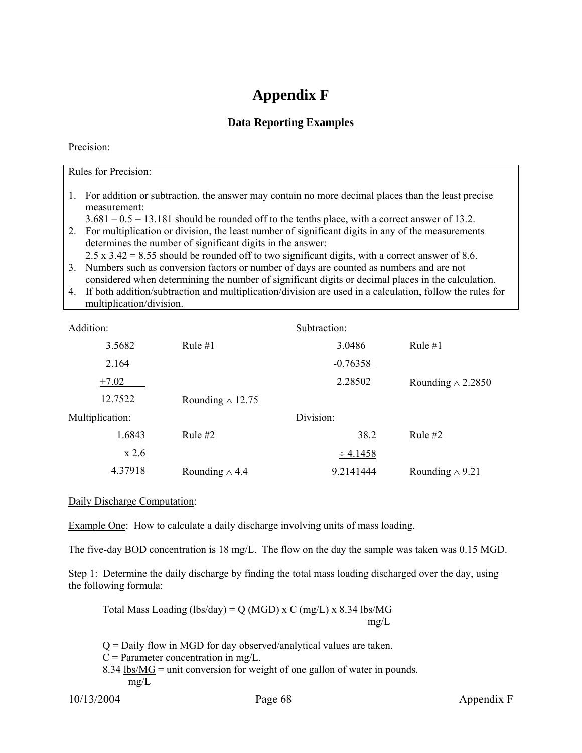## **Appendix F**

## **Data Reporting Examples**

## Precision:

## Rules for Precision:

- 1. For addition or subtraction, the answer may contain no more decimal places than the least precise measurement:
- $3.681 0.5 = 13.181$  should be rounded off to the tenths place, with a correct answer of 13.2.
- 2. For multiplication or division, the least number of significant digits in any of the measurements determines the number of significant digits in the answer:
	- 2.5 x 3.42 = 8.55 should be rounded off to two significant digits, with a correct answer of 8.6.
- 3. Numbers such as conversion factors or number of days are counted as numbers and are not considered when determining the number of significant digits or decimal places in the calculation.
- 4. If both addition/subtraction and multiplication/division are used in a calculation, follow the rules for multiplication/division.

| Addition:       |                         | Subtraction:  |                          |
|-----------------|-------------------------|---------------|--------------------------|
| 3.5682          | Rule $#1$               | 3.0486        | Rule $#1$                |
| 2.164           |                         | $-0.76358$    |                          |
| $+7.02$         |                         | 2.28502       | Rounding $\wedge$ 2.2850 |
| 12.7522         | Rounding $\wedge$ 12.75 |               |                          |
| Multiplication: |                         | Division:     |                          |
| 1.6843          | Rule $#2$               | 38.2          | Rule $#2$                |
| x 2.6           |                         | $\div$ 4.1458 |                          |
| 4.37918         | Rounding $\wedge$ 4.4   | 9.2141444     | Rounding $\wedge$ 9.21   |

## Daily Discharge Computation:

Example One: How to calculate a daily discharge involving units of mass loading.

The five-day BOD concentration is 18 mg/L. The flow on the day the sample was taken was 0.15 MGD.

Step 1: Determine the daily discharge by finding the total mass loading discharged over the day, using the following formula:

Total Mass Loading (lbs/day) = Q (MGD) x C (mg/L) x 8.34  $lbs/MG$ </u> mg/L

 $Q =$  Daily flow in MGD for day observed/analytical values are taken.  $C =$  Parameter concentration in mg/L.

8.34  $\frac{\text{lbs}}{\text{MG}}$  = unit conversion for weight of one gallon of water in pounds. mg/L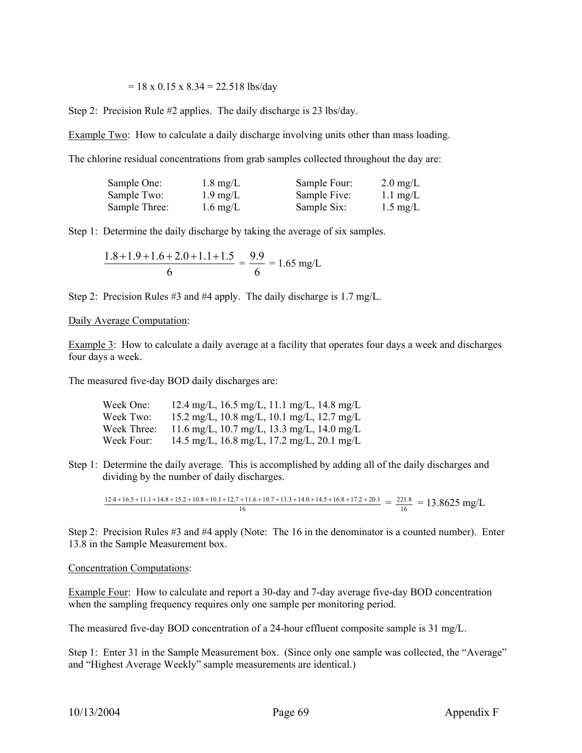#### $= 18 \times 0.15 \times 8.34 = 22.518$  lbs/day

Step 2: Precision Rule #2 applies. The daily discharge is 23 lbs/day.

Example Two: How to calculate a daily discharge involving units other than mass loading.

The chlorine residual concentrations from grab samples collected throughout the day are:

| Sample One:   | $1.8 \text{ mg/L}$ | Sample Four: | $2.0 \text{ mg/L}$ |
|---------------|--------------------|--------------|--------------------|
| Sample Two:   | $1.9 \text{ mg/L}$ | Sample Five: | $1.1 \text{ mg/L}$ |
| Sample Three: | $1.6 \text{ mg/L}$ | Sample Six:  | $1.5 \text{ mg/L}$ |

Step 1: Determine the daily discharge by taking the average of six samples.

$$
\frac{1.8 + 1.9 + 1.6 + 2.0 + 1.1 + 1.5}{6} = \frac{9.9}{6} = 1.65 \text{ mg/L}
$$

Step 2: Precision Rules #3 and #4 apply. The daily discharge is 1.7 mg/L.

#### Daily Average Computation:

Example 3: How to calculate a daily average at a facility that operates four days a week and discharges four days a week.

The measured five-day BOD daily discharges are:

| Week One:   | 12.4 mg/L, 16.5 mg/L, 11.1 mg/L, 14.8 mg/L |
|-------------|--------------------------------------------|
| Week Two:   | 15.2 mg/L, 10.8 mg/L, 10.1 mg/L, 12.7 mg/L |
| Week Three: | 11.6 mg/L, 10.7 mg/L, 13.3 mg/L, 14.0 mg/L |
| Week Four:  | 14.5 mg/L, 16.8 mg/L, 17.2 mg/L, 20.1 mg/L |

Step 1: Determine the daily average. This is accomplished by adding all of the daily discharges and dividing by the number of daily discharges.

 $\frac{12.4 + 16.5 + 11.1 + 14.8 + 15.2 + 10.8 + 10.1 + 12.7 + 11.6 + 10.7 + 13.3 + 14.0 + 14.5 + 16.8 + 17.2 + 20.1}{16} = \frac{221.8}{16} = 13.8625$  mg/L

Step 2: Precision Rules #3 and #4 apply (Note: The 16 in the denominator is a counted number). Enter 13.8 in the Sample Measurement box.

#### Concentration Computations:

Example Four: How to calculate and report a 30-day and 7-day average five-day BOD concentration when the sampling frequency requires only one sample per monitoring period.

The measured five-day BOD concentration of a 24-hour effluent composite sample is 31 mg/L.

Step 1: Enter 31 in the Sample Measurement box. (Since only one sample was collected, the "Average" and "Highest Average Weekly" sample measurements are identical.)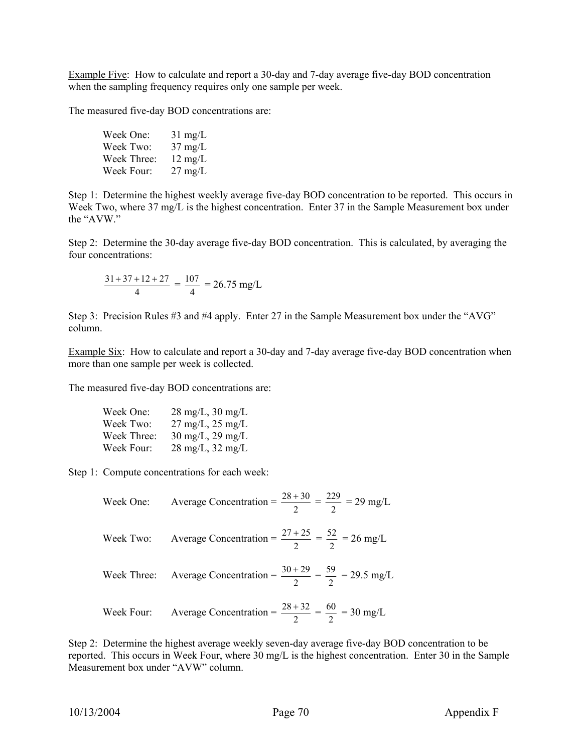Example Five: How to calculate and report a 30-day and 7-day average five-day BOD concentration when the sampling frequency requires only one sample per week.

The measured five-day BOD concentrations are:

| Week One:   | $31 \text{ mg/L}$ |
|-------------|-------------------|
| Week Two:   | $37 \text{ mg/L}$ |
| Week Three: | $12 \text{ mg/L}$ |
| Week Four:  | $27 \text{ mg/L}$ |

Step 1: Determine the highest weekly average five-day BOD concentration to be reported. This occurs in Week Two, where 37 mg/L is the highest concentration. Enter 37 in the Sample Measurement box under the "AVW."

Step 2: Determine the 30-day average five-day BOD concentration. This is calculated, by averaging the four concentrations:

$$
\frac{31+37+12+27}{4} = \frac{107}{4} = 26.75 \text{ mg/L}
$$

Step 3: Precision Rules #3 and #4 apply. Enter 27 in the Sample Measurement box under the "AVG" column.

Example Six: How to calculate and report a 30-day and 7-day average five-day BOD concentration when more than one sample per week is collected.

The measured five-day BOD concentrations are:

| Week One:   | $28 \text{ mg/L}$ , $30 \text{ mg/L}$ |
|-------------|---------------------------------------|
| Week Two:   | $27 \text{ mg/L}$ , $25 \text{ mg/L}$ |
| Week Three: | $30 \text{ mg/L}$ , $29 \text{ mg/L}$ |
| Week Four:  | $28 \text{ mg/L}, 32 \text{ mg/L}$    |

Step 1: Compute concentrations for each week:

$$
\text{Week One:} \qquad \text{Average Concentration} = \frac{28 + 30}{2} = \frac{229}{2} = 29 \text{ mg/L}
$$

$$
\text{Week Two:} \qquad \text{Average Concentration} = \frac{27 + 25}{2} = \frac{52}{2} = 26 \text{ mg/L}
$$

Week Three: Average Concentration = 
$$
\frac{30 + 29}{2} = \frac{59}{2} = 29.5
$$
 mg/L

$$
\text{Week Four:} \qquad \text{Average Concentration} = \frac{28 + 32}{2} = \frac{60}{2} = 30 \text{ mg/L}
$$

Step 2: Determine the highest average weekly seven-day average five-day BOD concentration to be reported. This occurs in Week Four, where 30 mg/L is the highest concentration. Enter 30 in the Sample Measurement box under "AVW" column.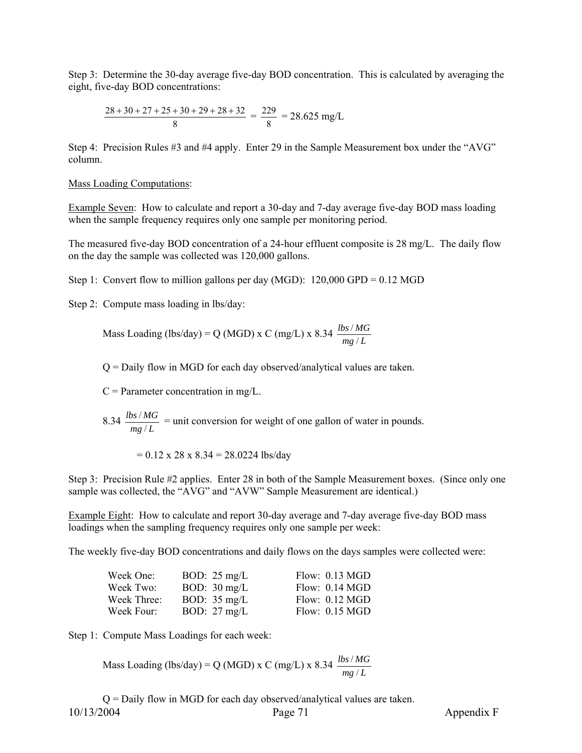Step 3: Determine the 30-day average five-day BOD concentration. This is calculated by averaging the eight, five-day BOD concentrations:

$$
\frac{28 + 30 + 27 + 25 + 30 + 29 + 28 + 32}{8} = \frac{229}{8} = 28.625 \text{ mg/L}
$$

Step 4: Precision Rules #3 and #4 apply. Enter 29 in the Sample Measurement box under the "AVG" column.

#### Mass Loading Computations:

Example Seven: How to calculate and report a 30-day and 7-day average five-day BOD mass loading when the sample frequency requires only one sample per monitoring period.

The measured five-day BOD concentration of a 24-hour effluent composite is 28 mg/L. The daily flow on the day the sample was collected was 120,000 gallons.

Step 1: Convert flow to million gallons per day (MGD):  $120,000$  GPD = 0.12 MGD

Step 2: Compute mass loading in lbs/day:

Mass Loading (lbs/day) = Q (MGD) x C (mg/L) x 8.34  $\frac{\text{loss/m}}{\text{mg/L}}$ *lbs MG* / /

Q = Daily flow in MGD for each day observed/analytical values are taken.

 $C =$  Parameter concentration in mg/L.

 $\frac{8.34 \frac{\mu s}{mg/L}}{mg/L}$ *lbs MG*  $\frac{f}{g/L}$  = unit conversion for weight of one gallon of water in pounds.

 $= 0.12$  x 28 x 8.34 = 28.0224 lbs/day

Step 3: Precision Rule #2 applies. Enter 28 in both of the Sample Measurement boxes. (Since only one sample was collected, the "AVG" and "AVW" Sample Measurement are identical.)

Example Eight: How to calculate and report 30-day average and 7-day average five-day BOD mass loadings when the sampling frequency requires only one sample per week:

The weekly five-day BOD concentrations and daily flows on the days samples were collected were:

| Week One:   | BOD: $25 \text{ mg/L}$ | Flow: 0.13 MGD   |
|-------------|------------------------|------------------|
| Week Two:   | BOD: $30 \text{ mg/L}$ | Flow: $0.14$ MGD |
| Week Three: | BOD: $35 \text{ mg/L}$ | Flow: 0.12 MGD   |
| Week Four:  | BOD: $27 \text{ mg/L}$ | Flow: $0.15$ MGD |

Step 1: Compute Mass Loadings for each week:

Mass Loading (lbs/day) = Q (MGD) x C (mg/L) x 8.34 
$$
\frac{lbs/MG}{mg/L}
$$

10/13/2004 Page 71 Appendix F  $Q =$  Daily flow in MGD for each day observed/analytical values are taken.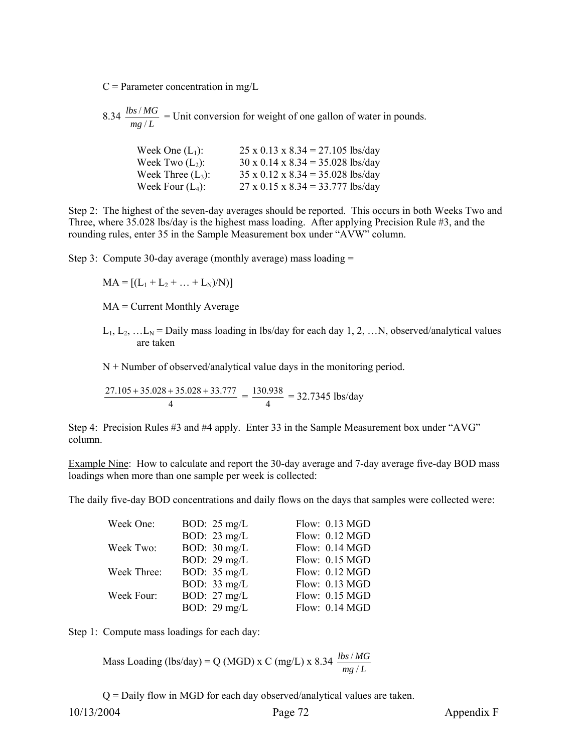$C =$  Parameter concentration in mg/L

 $\frac{8.34 \frac{\mu s}{mg/L}}{mg/L}$ *lbs MG*  $\frac{f}{g/L}$  = Unit conversion for weight of one gallon of water in pounds.

| Week One $(L_1)$ :   | $25 \times 0.13 \times 8.34 = 27.105$ lbs/day |
|----------------------|-----------------------------------------------|
| Week Two $(L_2)$ :   | $30 \times 0.14 \times 8.34 = 35.028$ lbs/day |
| Week Three $(L_3)$ : | $35 \times 0.12 \times 8.34 = 35.028$ lbs/day |
| Week Four $(L_4)$ :  | $27 \times 0.15 \times 8.34 = 33.777$ lbs/day |

Step 2: The highest of the seven-day averages should be reported. This occurs in both Weeks Two and Three, where 35.028 lbs/day is the highest mass loading. After applying Precision Rule #3, and the rounding rules, enter 35 in the Sample Measurement box under "AVW" column.

Step 3: Compute 30-day average (monthly average) mass loading =

$$
MA = [(L_1 + L_2 + ... + L_N)/N)]
$$

MA = Current Monthly Average

 $L_1, L_2, ... L_N$  = Daily mass loading in lbs/day for each day 1, 2, ... N, observed/analytical values are taken

 $N +$  Number of observed/analytical value days in the monitoring period.

$$
\frac{27.105 + 35.028 + 35.028 + 33.777}{4} = \frac{130.938}{4} = 32.7345
$$
 lbs/day

Step 4: Precision Rules #3 and #4 apply. Enter 33 in the Sample Measurement box under "AVG" column.

Example Nine: How to calculate and report the 30-day average and 7-day average five-day BOD mass loadings when more than one sample per week is collected:

The daily five-day BOD concentrations and daily flows on the days that samples were collected were:

| Week One:   | BOD: $25 \text{ mg/L}$ | Flow: 0.13 MGD |
|-------------|------------------------|----------------|
|             | BOD: $23 \text{ mg/L}$ | Flow: 0.12 MGD |
| Week Two:   | BOD: $30 \text{ mg/L}$ | Flow: 0.14 MGD |
|             | BOD: $29 \text{ mg/L}$ | Flow: 0.15 MGD |
| Week Three: | BOD: $35 \text{ mg/L}$ | Flow: 0.12 MGD |
|             | BOD: $33 \text{ mg/L}$ | Flow: 0.13 MGD |
| Week Four:  | BOD: $27 \text{ mg/L}$ | Flow: 0.15 MGD |
|             | BOD: $29 \text{ mg/L}$ | Flow: 0.14 MGD |

Step 1: Compute mass loadings for each day:

Mass Loading (lbs/day) = Q (MGD) x C (mg/L) x 8.34 
$$
\frac{lbs/MG}{mg/L}
$$

Q = Daily flow in MGD for each day observed/analytical values are taken.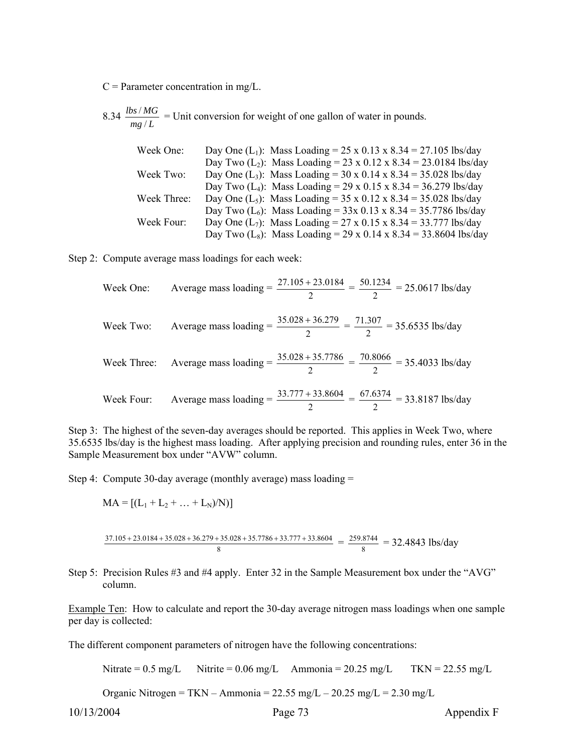$C =$  Parameter concentration in mg/L.

 $\frac{8.34 \frac{\mu s}{mg/L}}{mg/L}$ *lbs MG*  $\frac{f}{g/L}$  = Unit conversion for weight of one gallon of water in pounds.

| Week One:   | Day One (L <sub>1</sub> ): Mass Loading = 25 x 0.13 x 8.34 = 27.105 lbs/day   |
|-------------|-------------------------------------------------------------------------------|
|             | Day Two (L <sub>2</sub> ): Mass Loading = 23 x 0.12 x 8.34 = 23.0184 lbs/day  |
| Week Two:   | Day One $(L_3)$ : Mass Loading = 30 x 0.14 x 8.34 = 35.028 lbs/day            |
|             | Day Two (L <sub>4</sub> ): Mass Loading = 29 x 0.15 x 8.34 = 36.279 lbs/day   |
| Week Three: | Day One (L <sub>5</sub> ): Mass Loading = 35 x 0.12 x 8.34 = 35.028 lbs/day   |
|             | Day Two (L <sub>6</sub> ): Mass Loading = $33x$ 0.13 x 8.34 = 35.7786 lbs/day |
| Week Four:  | Day One $(L_7)$ : Mass Loading = 27 x 0.15 x 8.34 = 33.777 lbs/day            |
|             | Day Two (L <sub>8</sub> ): Mass Loading = 29 x 0.14 x 8.34 = 33.8604 lbs/day  |

Step 2: Compute average mass loadings for each week:

\n Week One: Average mass loading = \n 
$$
\frac{27.105 + 23.0184}{2} = \frac{50.1234}{2} = 25.0617 \, \text{lbs/day}
$$
\n

\n\n Week Two: Average mass loading = \n  $\frac{35.028 + 36.279}{2} = \frac{71.307}{2} = 35.6535 \, \text{lbs/day}$ \n

\n\n Week Three: Average mass loading = \n  $\frac{35.028 + 35.7786}{2} = \frac{70.8066}{2} = 35.4033 \, \text{lbs/day}$ \n

\n\n Week Four: Average mass loading = \n  $\frac{33.777 + 33.8604}{2} = \frac{67.6374}{2} = 33.8187 \, \text{lbs/day}$ \n

Step 3: The highest of the seven-day averages should be reported. This applies in Week Two, where 35.6535 lbs/day is the highest mass loading. After applying precision and rounding rules, enter 36 in the Sample Measurement box under "AVW" column.

Step 4: Compute 30-day average (monthly average) mass loading =

$$
MA = [(L_1 + L_2 + ... + L_N)/N)]
$$

$$
\frac{37.105 + 23.0184 + 35.028 + 36.279 + 35.028 + 35.7786 + 33.777 + 33.8604}{8} = \frac{259.8744}{8} = 32.4843 \text{ lbs/day}
$$

Step 5: Precision Rules #3 and #4 apply. Enter 32 in the Sample Measurement box under the "AVG" column.

Example Ten: How to calculate and report the 30-day average nitrogen mass loadings when one sample per day is collected:

The different component parameters of nitrogen have the following concentrations:

Nitrate =  $0.5 \text{ mg/L}$  Nitrite =  $0.06 \text{ mg/L}$  Ammonia =  $20.25 \text{ mg/L}$  TKN =  $22.55 \text{ mg/L}$ 

Organic Nitrogen = TKN – Ammonia = 22.55 mg/L – 20.25 mg/L = 2.30 mg/L

10/13/2004 Page 73 Appendix F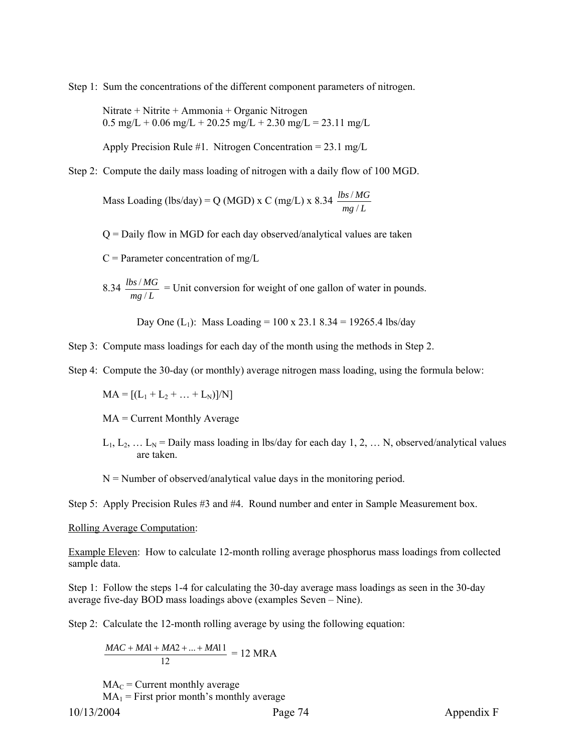Step 1: Sum the concentrations of the different component parameters of nitrogen.

Nitrate + Nitrite + Ammonia + Organic Nitrogen  $0.5 \text{ mg/L} + 0.06 \text{ mg/L} + 20.25 \text{ mg/L} + 2.30 \text{ mg/L} = 23.11 \text{ mg/L}$ 

Apply Precision Rule #1. Nitrogen Concentration =  $23.1 \text{ mg/L}$ 

Step 2: Compute the daily mass loading of nitrogen with a daily flow of 100 MGD.

Mass Loading (lbs/day) = Q (MGD) x C (mg/L) x 8.34  $\frac{\text{loss/m}}{\text{mg/L}}$ *lbs MG* / /

Q = Daily flow in MGD for each day observed/analytical values are taken

 $C =$  Parameter concentration of mg/L

 $\frac{8.34 \frac{\mu s}{mg/L}}{mg/L}$ *lbs MG*  $\frac{f}{g/L}$  = Unit conversion for weight of one gallon of water in pounds.

Day One  $(L_1)$ : Mass Loading = 100 x 23.1 8.34 = 19265.4 lbs/day

Step 3: Compute mass loadings for each day of the month using the methods in Step 2.

Step 4: Compute the 30-day (or monthly) average nitrogen mass loading, using the formula below:

 $MA = [(L_1 + L_2 + ... + L_N)]/N]$ 

MA = Current Monthly Average

 $L_1, L_2, \ldots L_N$  = Daily mass loading in lbs/day for each day 1, 2, ... N, observed/analytical values are taken.

 $N =$  Number of observed/analytical value days in the monitoring period.

Step 5: Apply Precision Rules #3 and #4. Round number and enter in Sample Measurement box.

#### Rolling Average Computation:

Example Eleven: How to calculate 12-month rolling average phosphorus mass loadings from collected sample data.

Step 1: Follow the steps 1-4 for calculating the 30-day average mass loadings as seen in the 30-day average five-day BOD mass loadings above (examples Seven – Nine).

Step 2: Calculate the 12-month rolling average by using the following equation:

$$
\frac{MAC + MA1 + MA2 + ... + MA11}{12} = 12 \text{ MRA}
$$

 $MA_C$  = Current monthly average

10/13/2004 Page 74 Appendix F  $MA_1$  = First prior month's monthly average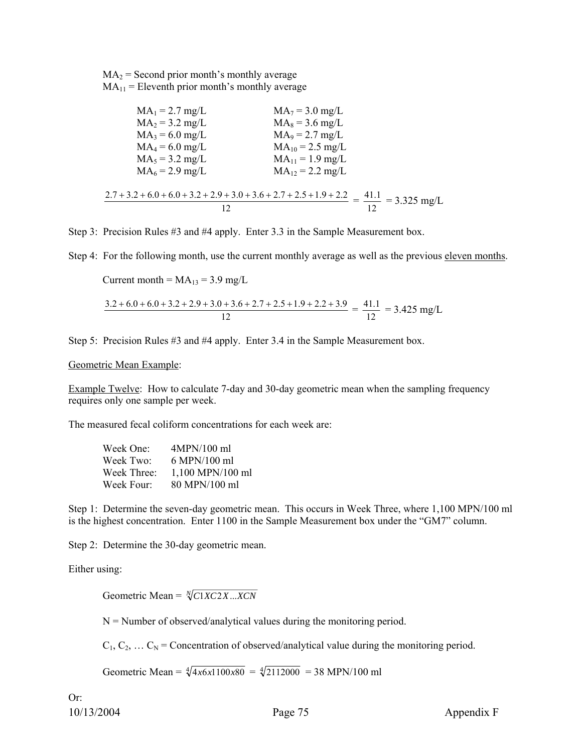$MA<sub>2</sub> = Second prior month's monthly average$  $MA_{11}$  = Eleventh prior month's monthly average

| $MA_1 = 2.7$ mg/L                                                                                       | $MA_7 = 3.0$ mg/L    |  |
|---------------------------------------------------------------------------------------------------------|----------------------|--|
| $MA_2 = 3.2$ mg/L                                                                                       | $MA_8 = 3.6$ mg/L    |  |
| $MA_3 = 6.0$ mg/L                                                                                       | $MA_9 = 2.7$ mg/L    |  |
| $MA_4 = 6.0$ mg/L                                                                                       | $MA_{10} = 2.5$ mg/L |  |
| $MA_5 = 3.2$ mg/L                                                                                       | $MA_{11} = 1.9$ mg/L |  |
| $MA_6 = 2.9$ mg/L                                                                                       | $MA_{12} = 2.2$ mg/L |  |
| $2.7 + 3.2 + 6.0 + 6.0 + 3.2 + 2.9 + 3.0 + 3.6 + 2.7 + 2.5 + 1.9 + 2.2 = \frac{41.1}{1.2} = 3.325$ mg/L |                      |  |
|                                                                                                         |                      |  |

Step 3: Precision Rules #3 and #4 apply. Enter 3.3 in the Sample Measurement box.

Step 4: For the following month, use the current monthly average as well as the previous eleven months.

Current month =  $MA_{13} = 3.9$  mg/L

$$
\frac{3.2 + 6.0 + 6.0 + 3.2 + 2.9 + 3.0 + 3.6 + 2.7 + 2.5 + 1.9 + 2.2 + 3.9}{12} = \frac{41.1}{12} = 3.425 \text{ mg/L}
$$

Step 5: Precision Rules #3 and #4 apply. Enter 3.4 in the Sample Measurement box.

Geometric Mean Example:

Example Twelve: How to calculate 7-day and 30-day geometric mean when the sampling frequency requires only one sample per week.

The measured fecal coliform concentrations for each week are:

| Week One:   | 4MPN/100 ml      |
|-------------|------------------|
| Week Two:   | 6 MPN/100 ml     |
| Week Three: | 1,100 MPN/100 ml |
| Week Four:  | 80 MPN/100 ml    |

Step 1: Determine the seven-day geometric mean. This occurs in Week Three, where 1,100 MPN/100 ml is the highest concentration. Enter 1100 in the Sample Measurement box under the "GM7" column.

Step 2: Determine the 30-day geometric mean.

Either using:

Geometric Mean =  $\sqrt[N]{C1XC2X}$ ...*XCN* 

 $N =$  Number of observed/analytical values during the monitoring period.

 $C_1, C_2, \ldots C_N$  = Concentration of observed/analytical value during the monitoring period.

Geometric Mean =  $\sqrt[4]{4x6x1100x80}$  =  $\sqrt[4]{2112000}$  = 38 MPN/100 ml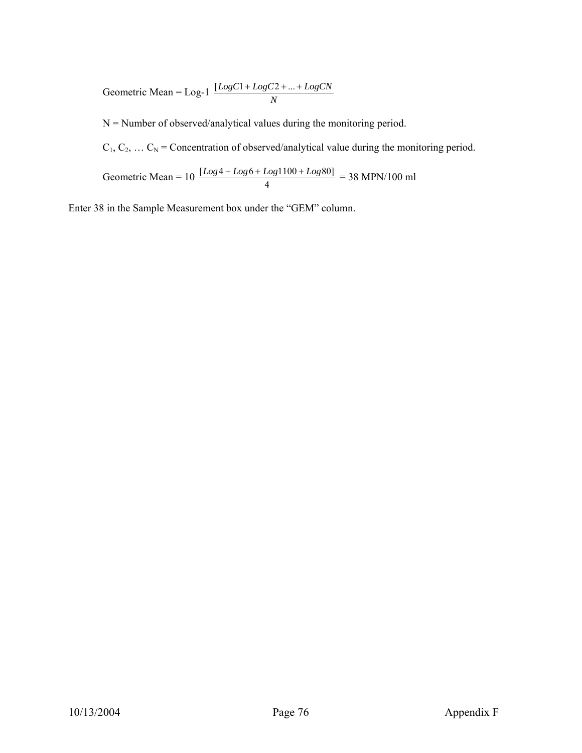Geometric Mean =  $\text{Log-1} \frac{[LogC1 + LogC2 + ... + LogCN]}{N}$ 

 $N =$  Number of observed/analytical values during the monitoring period.

 $C_1, C_2, \ldots C_N$  = Concentration of observed/analytical value during the monitoring period.

Geometric Mean =  $10 \frac{[Log 4 + Log 6 + Log 1100 + Log 80]}{4} = 38 \text{ MPN}/100 \text{ ml}$ 

Enter 38 in the Sample Measurement box under the "GEM" column.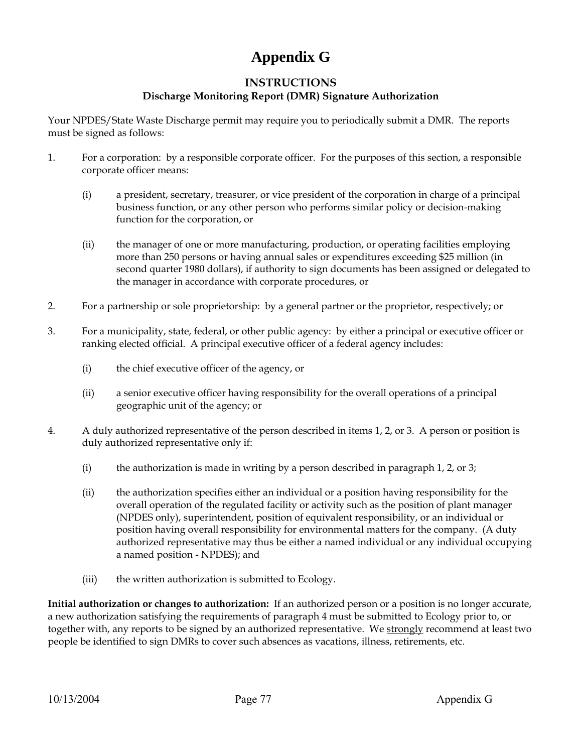# **Appendix G**

## **INSTRUCTIONS Discharge Monitoring Report (DMR) Signature Authorization**

Your NPDES/State Waste Discharge permit may require you to periodically submit a DMR. The reports must be signed as follows:

- 1. For a corporation: by a responsible corporate officer. For the purposes of this section, a responsible corporate officer means:
	- (i) a president, secretary, treasurer, or vice president of the corporation in charge of a principal business function, or any other person who performs similar policy or decision-making function for the corporation, or
	- (ii) the manager of one or more manufacturing, production, or operating facilities employing more than 250 persons or having annual sales or expenditures exceeding \$25 million (in second quarter 1980 dollars), if authority to sign documents has been assigned or delegated to the manager in accordance with corporate procedures, or
- 2. For a partnership or sole proprietorship: by a general partner or the proprietor, respectively; or
- 3. For a municipality, state, federal, or other public agency: by either a principal or executive officer or ranking elected official. A principal executive officer of a federal agency includes:
	- (i) the chief executive officer of the agency, or
	- (ii) a senior executive officer having responsibility for the overall operations of a principal geographic unit of the agency; or
- 4. A duly authorized representative of the person described in items 1, 2, or 3. A person or position is duly authorized representative only if:
	- (i) the authorization is made in writing by a person described in paragraph 1, 2, or 3;
	- (ii) the authorization specifies either an individual or a position having responsibility for the overall operation of the regulated facility or activity such as the position of plant manager (NPDES only), superintendent, position of equivalent responsibility, or an individual or position having overall responsibility for environmental matters for the company. (A duty authorized representative may thus be either a named individual or any individual occupying a named position - NPDES); and
	- (iii) the written authorization is submitted to Ecology.

**Initial authorization or changes to authorization:** If an authorized person or a position is no longer accurate, a new authorization satisfying the requirements of paragraph 4 must be submitted to Ecology prior to, or together with, any reports to be signed by an authorized representative. We strongly recommend at least two people be identified to sign DMRs to cover such absences as vacations, illness, retirements, etc.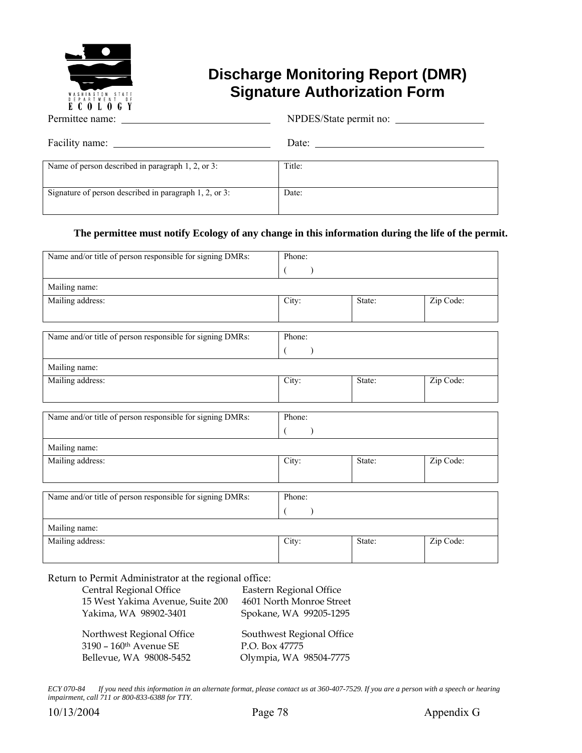

## **Discharge Monitoring Report (DMR) Signature Authorization Form**

|                                                        | NPDES/State permit no: |
|--------------------------------------------------------|------------------------|
|                                                        | Date: $\qquad \qquad$  |
| Name of person described in paragraph 1, 2, or 3:      | Title:                 |
| Signature of person described in paragraph 1, 2, or 3: | Date:                  |

## **The permittee must notify Ecology of any change in this information during the life of the permit.**

| Name and/or title of person responsible for signing DMRs: | Phone: |           |           |  |  |  |  |  |  |
|-----------------------------------------------------------|--------|-----------|-----------|--|--|--|--|--|--|
|                                                           |        |           |           |  |  |  |  |  |  |
| Mailing name:                                             |        |           |           |  |  |  |  |  |  |
| Mailing address:                                          | City:  | State:    | Zip Code: |  |  |  |  |  |  |
| Name and/or title of person responsible for signing DMRs: | Phone: |           |           |  |  |  |  |  |  |
|                                                           |        |           |           |  |  |  |  |  |  |
| Mailing name:                                             |        |           |           |  |  |  |  |  |  |
| Mailing address:                                          | City:  | State:    | Zip Code: |  |  |  |  |  |  |
|                                                           |        |           |           |  |  |  |  |  |  |
| Name and/or title of person responsible for signing DMRs: | Phone: |           |           |  |  |  |  |  |  |
|                                                           |        |           |           |  |  |  |  |  |  |
| Mailing name:                                             |        |           |           |  |  |  |  |  |  |
| Mailing address:                                          | City:  | State:    | Zip Code: |  |  |  |  |  |  |
|                                                           |        |           |           |  |  |  |  |  |  |
| Name and/or title of person responsible for signing DMRs: | Phone: |           |           |  |  |  |  |  |  |
|                                                           |        |           |           |  |  |  |  |  |  |
| Mailing name:                                             |        |           |           |  |  |  |  |  |  |
| Mailing address:                                          | City:  | Zip Code: |           |  |  |  |  |  |  |
|                                                           |        |           |           |  |  |  |  |  |  |

Return to Permit Administrator at the regional office:

| Central Regional Office            | Eastern Regional Office   |
|------------------------------------|---------------------------|
| 15 West Yakima Avenue, Suite 200   | 4601 North Monroe Street  |
| Yakima, WA 98902-3401              | Spokane, WA 99205-1295    |
| Northwest Regional Office          | Southwest Regional Office |
| 3190 - 160 <sup>th</sup> Avenue SE | P.O. Box 47775            |
| Bellevue, WA 98008-5452            | Olympia, WA 98504-7775    |

*ECY 070-84 If you need this information in an alternate format, please contact us at 360-407-7529. If you are a person with a speech or hearing impairment, call 711 or 800-833-6388 for TTY.*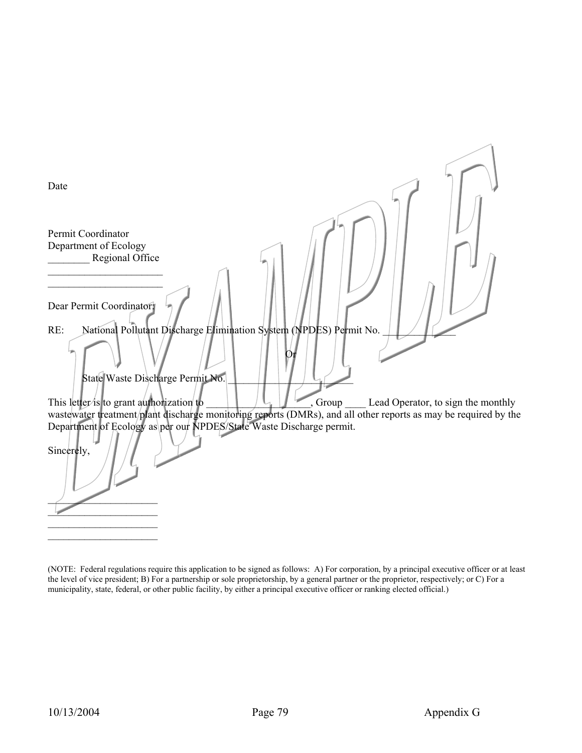| Date                                                                                                                                                                                    |
|-----------------------------------------------------------------------------------------------------------------------------------------------------------------------------------------|
|                                                                                                                                                                                         |
| Permit Coordinator<br>Department of Ecology                                                                                                                                             |
| Regional Office                                                                                                                                                                         |
|                                                                                                                                                                                         |
|                                                                                                                                                                                         |
| Dear Permit Coordinator                                                                                                                                                                 |
|                                                                                                                                                                                         |
| National Pollutant Discharge Elimination System (NPDES) Permit No.<br>RE:                                                                                                               |
|                                                                                                                                                                                         |
| State Waste Discharge Permit No.                                                                                                                                                        |
|                                                                                                                                                                                         |
| This letter is to grant authorization to<br>Lead Operator, to sign the monthly<br>, Group                                                                                               |
| wastewater treatment/plant discharge monitoring reports (DMRs), and all other reports as may be required by the<br>Department of Ecology as per our NPDES/State Waste Discharge permit. |
| Sincerely,                                                                                                                                                                              |
|                                                                                                                                                                                         |
|                                                                                                                                                                                         |
|                                                                                                                                                                                         |

(NOTE: Federal regulations require this application to be signed as follows: A) For corporation, by a principal executive officer or at least the level of vice president; B) For a partnership or sole proprietorship, by a general partner or the proprietor, respectively; or C) For a municipality, state, federal, or other public facility, by either a principal executive officer or ranking elected official.)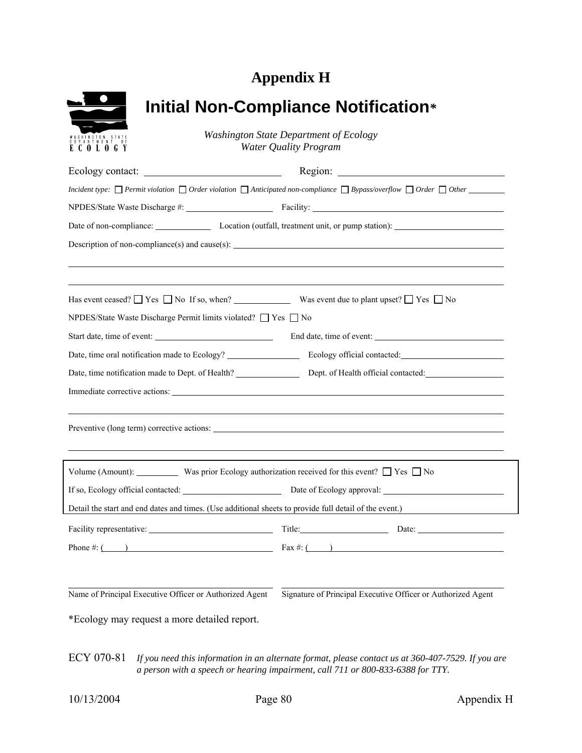# **Appendix H**

| WASHINGTON STATE                                      |
|-------------------------------------------------------|
| $\top$<br>EPAR<br>TMEN<br>Ō<br>F<br>D<br>C<br>E<br>ſ. |

# **Initial Non-Compliance Notification***\**

*Washington State Department of Ecology Water Quality Program*

|                                                                                                                                                                                                                                | Date of non-compliance: Location (outfall, treatment unit, or pump station):                           |
|--------------------------------------------------------------------------------------------------------------------------------------------------------------------------------------------------------------------------------|--------------------------------------------------------------------------------------------------------|
|                                                                                                                                                                                                                                |                                                                                                        |
|                                                                                                                                                                                                                                |                                                                                                        |
| Has event ceased? $\Box$ Yes $\Box$ No If so, when? Was event due to plant upset? $\Box$ Yes $\Box$ No                                                                                                                         |                                                                                                        |
| NPDES/State Waste Discharge Permit limits violated? □ Yes □ No                                                                                                                                                                 |                                                                                                        |
|                                                                                                                                                                                                                                |                                                                                                        |
|                                                                                                                                                                                                                                |                                                                                                        |
|                                                                                                                                                                                                                                |                                                                                                        |
| Immediate corrective actions: University of the contract of the contract of the contract of the contract of the contract of the contract of the contract of the contract of the contract of the contract of the contract of th |                                                                                                        |
|                                                                                                                                                                                                                                |                                                                                                        |
| Volume (Amount): Was prior Ecology authorization received for this event? $\Box$ Yes $\Box$ No                                                                                                                                 |                                                                                                        |
|                                                                                                                                                                                                                                | If so, Ecology official contacted: Date of Ecology approval: 2008. [2013]                              |
|                                                                                                                                                                                                                                | Detail the start and end dates and times. (Use additional sheets to provide full detail of the event.) |
|                                                                                                                                                                                                                                |                                                                                                        |
|                                                                                                                                                                                                                                | Phone #: ( ) Fax #: ( ) Fax #: ( )                                                                     |
|                                                                                                                                                                                                                                |                                                                                                        |
| Name of Principal Executive Officer or Authorized Agent                                                                                                                                                                        | Signature of Principal Executive Officer or Authorized Agent                                           |
| *Ecology may request a more detailed report.                                                                                                                                                                                   |                                                                                                        |

ECY 070-81 *If you need this information in an alternate format, please contact us at 360-407-7529. If you are a person with a speech or hearing impairment, call 711 or 800-833-6388 for TTY.*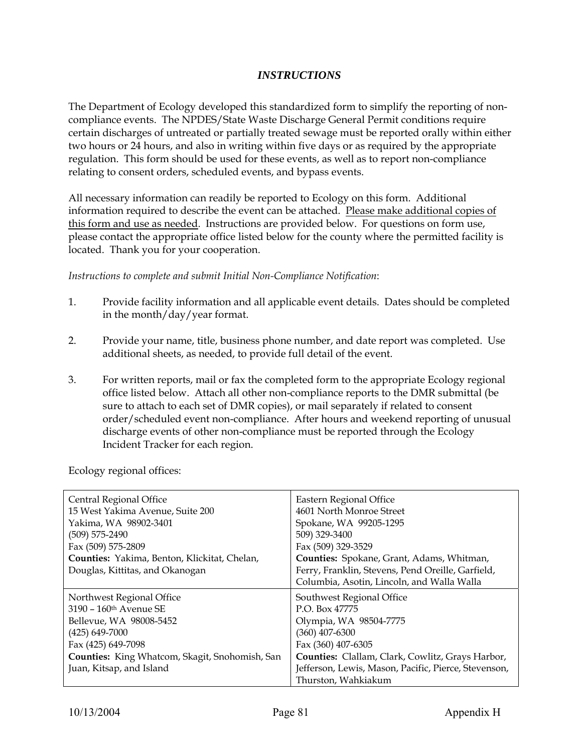## *INSTRUCTIONS*

The Department of Ecology developed this standardized form to simplify the reporting of noncompliance events. The NPDES/State Waste Discharge General Permit conditions require certain discharges of untreated or partially treated sewage must be reported orally within either two hours or 24 hours, and also in writing within five days or as required by the appropriate regulation. This form should be used for these events, as well as to report non-compliance relating to consent orders, scheduled events, and bypass events.

All necessary information can readily be reported to Ecology on this form. Additional information required to describe the event can be attached. Please make additional copies of this form and use as needed. Instructions are provided below. For questions on form use, please contact the appropriate office listed below for the county where the permitted facility is located. Thank you for your cooperation.

*Instructions to complete and submit Initial Non-Compliance Notification*:

- 1. Provide facility information and all applicable event details. Dates should be completed in the month/day/year format.
- 2. Provide your name, title, business phone number, and date report was completed. Use additional sheets, as needed, to provide full detail of the event.
- 3. For written reports, mail or fax the completed form to the appropriate Ecology regional office listed below. Attach all other non-compliance reports to the DMR submittal (be sure to attach to each set of DMR copies), or mail separately if related to consent order/scheduled event non-compliance. After hours and weekend reporting of unusual discharge events of other non-compliance must be reported through the Ecology Incident Tracker for each region.

Central Regional Office 15 West Yakima Avenue, Suite 200 Yakima, WA 98902-3401 (509) 575-2490 Fax (509) 575-2809 **Counties:** Yakima, Benton, Klickitat, Chelan, Douglas, Kittitas, and Okanogan Eastern Regional Office 4601 North Monroe Street Spokane, WA 99205-1295 509) 329-3400 Fax (509) 329-3529 **Counties:** Spokane, Grant, Adams, Whitman, Ferry, Franklin, Stevens, Pend Oreille, Garfield, Columbia, Asotin, Lincoln, and Walla Walla Northwest Regional Office 3190 – 160th Avenue SE Bellevue, WA 98008-5452 (425) 649-7000 Fax (425) 649-7098 **Counties:** King Whatcom, Skagit, Snohomish, San Juan, Kitsap, and Island Southwest Regional Office P.O. Box 47775 Olympia, WA 98504-7775 (360) 407-6300 Fax (360) 407-6305 **Counties:** Clallam, Clark, Cowlitz, Grays Harbor, Jefferson, Lewis, Mason, Pacific, Pierce, Stevenson, Thurston, Wahkiakum

Ecology regional offices: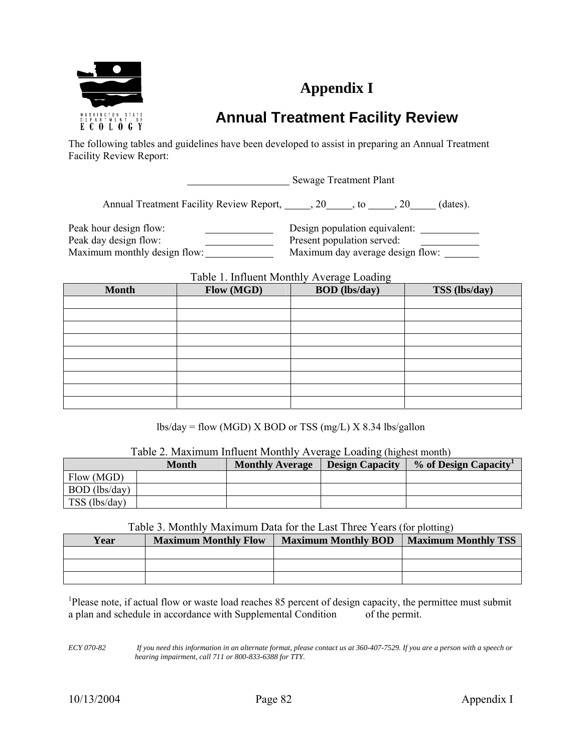

# **Appendix I**

# **Annual Treatment Facility Review**

The following tables and guidelines have been developed to assist in preparing an Annual Treatment Facility Review Report:

Sewage Treatment Plant

Annual Treatment Facility Review Report, 20, to 20, 20, dates).

Peak hour design flow: Design population equivalent: Peak day design flow: Present population served: Maximum monthly design flow: Maximum day average design flow:

Table 1. Influent Monthly Average Loading

| <b>Month</b> | Flow (MGD) | $\sim$ $\sim$<br><b>BOD</b> (lbs/day) | TSS (lbs/day) |  |  |  |  |
|--------------|------------|---------------------------------------|---------------|--|--|--|--|
|              |            |                                       |               |  |  |  |  |
|              |            |                                       |               |  |  |  |  |
|              |            |                                       |               |  |  |  |  |
|              |            |                                       |               |  |  |  |  |
|              |            |                                       |               |  |  |  |  |
|              |            |                                       |               |  |  |  |  |
|              |            |                                       |               |  |  |  |  |
|              |            |                                       |               |  |  |  |  |
|              |            |                                       |               |  |  |  |  |

 $\text{lbs/day} = \text{flow (MGD)} \times \text{BOD}$  or TSS (mg/L)  $\text{X } 8.34$  lbs/gallon

| Table 2. Maximum Influent Monthly Average Loading (highest month) |  |  |
|-------------------------------------------------------------------|--|--|
|                                                                   |  |  |

|               | <b>Month</b> | <b>Monthly Average</b> | <b>Design Capacity</b> | % of Design Capacity |
|---------------|--------------|------------------------|------------------------|----------------------|
| Flow (MGD)    |              |                        |                        |                      |
| BOD (lbs/day) |              |                        |                        |                      |
| TSS (lbs/day) |              |                        |                        |                      |

## Table 3. Monthly Maximum Data for the Last Three Years (for plotting)

| Year | <b>Maximum Monthly Flow</b> | <b>Maximum Monthly BOD</b> | <b>Maximum Monthly TSS</b> |
|------|-----------------------------|----------------------------|----------------------------|
|      |                             |                            |                            |
|      |                             |                            |                            |
|      |                             |                            |                            |

<sup>1</sup>Please note, if actual flow or waste load reaches 85 percent of design capacity, the permittee must submit a plan and schedule in accordance with Supplemental Condition of the permit.

*ECY 070-82 If you need this information in an alternate format, please contact us at 360-407-7529. If you are a person with a speech or hearing impairment, call 711 or 800-833-6388 for TTY.*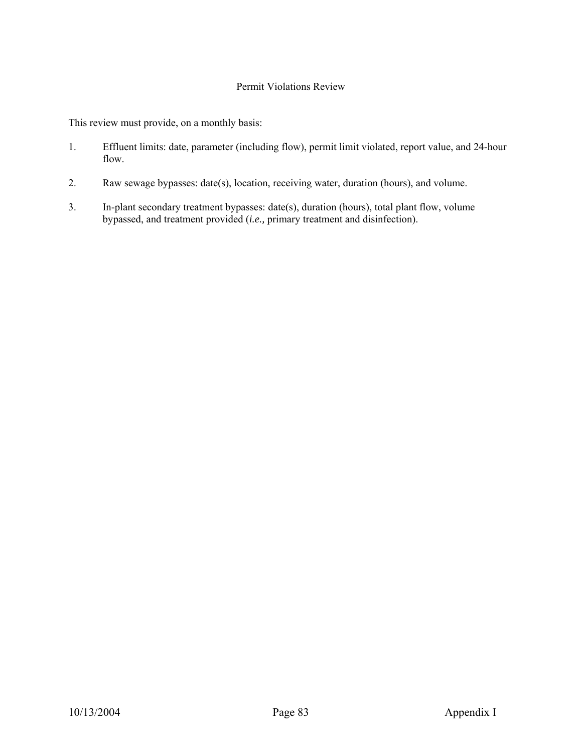## Permit Violations Review

This review must provide, on a monthly basis:

- 1. Effluent limits: date, parameter (including flow), permit limit violated, report value, and 24-hour flow.
- 2. Raw sewage bypasses: date(s), location, receiving water, duration (hours), and volume.
- 3. In-plant secondary treatment bypasses: date(s), duration (hours), total plant flow, volume bypassed, and treatment provided (*i.e.,* primary treatment and disinfection).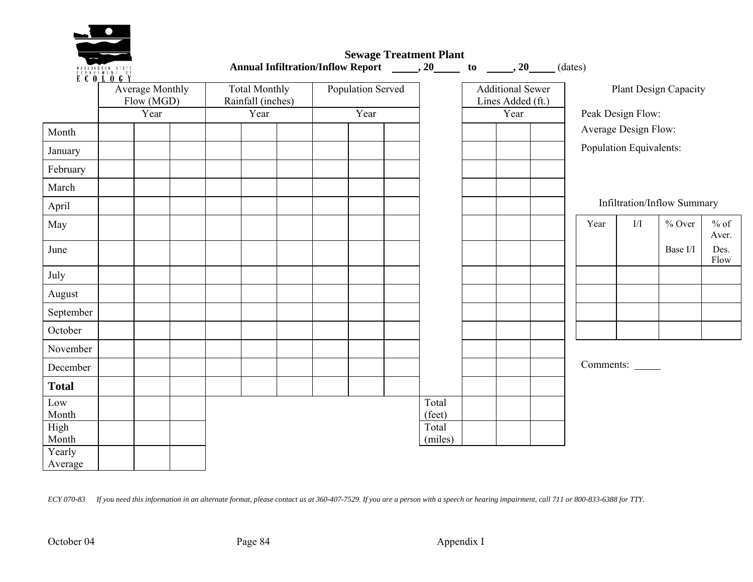

 **Sewage Treatment Plant**  Annual Infiltration/Inflow Report \_\_\_\_\_\_, 20\_\_\_\_\_\_ to \_\_\_\_\_, 20\_\_\_\_(dates)

|                   | E C O <u>L O G Y</u> | <b>Average Monthly</b><br>Flow (MGD) | Population Served<br><b>Additional Sewer</b><br><b>Total Monthly</b><br>Rainfall (inches)<br>Lines Added (ft.) |  |      |  |  |                  |  | Plant Design Capacity |  |                         |           |                             |                 |
|-------------------|----------------------|--------------------------------------|----------------------------------------------------------------------------------------------------------------|--|------|--|--|------------------|--|-----------------------|--|-------------------------|-----------|-----------------------------|-----------------|
|                   |                      | Year                                 | Year                                                                                                           |  | Year |  |  | Year             |  | Peak Design Flow:     |  |                         |           |                             |                 |
| Month             |                      |                                      |                                                                                                                |  |      |  |  |                  |  |                       |  | Average Design Flow:    |           |                             |                 |
| January           |                      |                                      |                                                                                                                |  |      |  |  |                  |  |                       |  | Population Equivalents: |           |                             |                 |
| February          |                      |                                      |                                                                                                                |  |      |  |  |                  |  |                       |  |                         |           |                             |                 |
| March             |                      |                                      |                                                                                                                |  |      |  |  |                  |  |                       |  |                         |           |                             |                 |
| April             |                      |                                      |                                                                                                                |  |      |  |  |                  |  |                       |  |                         |           | Infiltration/Inflow Summary |                 |
| May               |                      |                                      |                                                                                                                |  |      |  |  |                  |  |                       |  | Year                    | I/I       | $%$ Over                    | $%$ of<br>Aver. |
| June              |                      |                                      |                                                                                                                |  |      |  |  |                  |  |                       |  |                         |           | Base I/I                    | Des.<br>Flow    |
| July              |                      |                                      |                                                                                                                |  |      |  |  |                  |  |                       |  |                         |           |                             |                 |
| August            |                      |                                      |                                                                                                                |  |      |  |  |                  |  |                       |  |                         |           |                             |                 |
| September         |                      |                                      |                                                                                                                |  |      |  |  |                  |  |                       |  |                         |           |                             |                 |
| October           |                      |                                      |                                                                                                                |  |      |  |  |                  |  |                       |  |                         |           |                             |                 |
| November          |                      |                                      |                                                                                                                |  |      |  |  |                  |  |                       |  |                         |           |                             |                 |
| December          |                      |                                      |                                                                                                                |  |      |  |  |                  |  |                       |  |                         | Comments: |                             |                 |
| <b>Total</b>      |                      |                                      |                                                                                                                |  |      |  |  |                  |  |                       |  |                         |           |                             |                 |
| Low<br>Month      |                      |                                      |                                                                                                                |  |      |  |  | Total<br>(feet)  |  |                       |  |                         |           |                             |                 |
| High<br>Month     |                      |                                      |                                                                                                                |  |      |  |  | Total<br>(miles) |  |                       |  |                         |           |                             |                 |
| Yearly<br>Average |                      |                                      |                                                                                                                |  |      |  |  |                  |  |                       |  |                         |           |                             |                 |

*ECY 070-83 If you need this information in an alternate format, please contact us at 360-407-7529. If you are a person with a speech or hearing impairment, call 711 or 800-833-6388 for TTY.*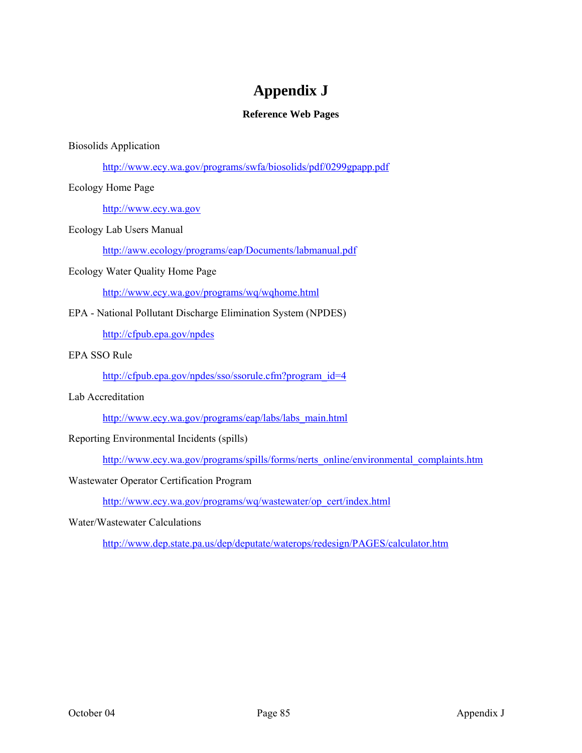## **Appendix J**

## **Reference Web Pages**

### Biosolids Application

http://www.ecy.wa.gov/programs/swfa/biosolids/pdf/0299gpapp.pdf

### Ecology Home Page

http://www.ecy.wa.gov

### Ecology Lab Users Manual

http://aww.ecology/programs/eap/Documents/labmanual.pdf

### Ecology Water Quality Home Page

http://www.ecy.wa.gov/programs/wq/wqhome.html

## EPA - National Pollutant Discharge Elimination System (NPDES)

http://cfpub.epa.gov/npdes

## EPA SSO Rule

http://cfpub.epa.gov/npdes/sso/ssorule.cfm?program\_id=4

### Lab Accreditation

http://www.ecy.wa.gov/programs/eap/labs/labs\_main.html

## Reporting Environmental Incidents (spills)

http://www.ecy.wa.gov/programs/spills/forms/nerts\_online/environmental\_complaints.htm

## Wastewater Operator Certification Program

http://www.ecy.wa.gov/programs/wq/wastewater/op\_cert/index.html

### Water/Wastewater Calculations

http://www.dep.state.pa.us/dep/deputate/waterops/redesign/PAGES/calculator.htm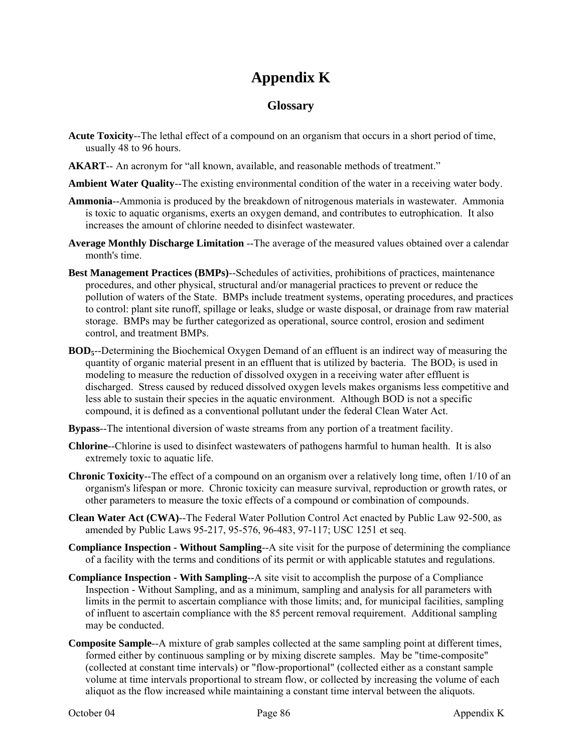# **Appendix K**

## **Glossary**

- **Acute Toxicity**--The lethal effect of a compound on an organism that occurs in a short period of time, usually 48 to 96 hours.
- **AKART**-- An acronym for "all known, available, and reasonable methods of treatment."
- **Ambient Water Quality**--The existing environmental condition of the water in a receiving water body.
- **Ammonia**--Ammonia is produced by the breakdown of nitrogenous materials in wastewater. Ammonia is toxic to aquatic organisms, exerts an oxygen demand, and contributes to eutrophication. It also increases the amount of chlorine needed to disinfect wastewater.
- **Average Monthly Discharge Limitation** --The average of the measured values obtained over a calendar month's time.
- **Best Management Practices (BMPs)**--Schedules of activities, prohibitions of practices, maintenance procedures, and other physical, structural and/or managerial practices to prevent or reduce the pollution of waters of the State. BMPs include treatment systems, operating procedures, and practices to control: plant site runoff, spillage or leaks, sludge or waste disposal, or drainage from raw material storage. BMPs may be further categorized as operational, source control, erosion and sediment control, and treatment BMPs.
- **BOD5**--Determining the Biochemical Oxygen Demand of an effluent is an indirect way of measuring the quantity of organic material present in an effluent that is utilized by bacteria. The  $BOD<sub>5</sub>$  is used in modeling to measure the reduction of dissolved oxygen in a receiving water after effluent is discharged. Stress caused by reduced dissolved oxygen levels makes organisms less competitive and less able to sustain their species in the aquatic environment. Although BOD is not a specific compound, it is defined as a conventional pollutant under the federal Clean Water Act.
- **Bypass**--The intentional diversion of waste streams from any portion of a treatment facility.
- **Chlorine**--Chlorine is used to disinfect wastewaters of pathogens harmful to human health. It is also extremely toxic to aquatic life.
- **Chronic Toxicity**--The effect of a compound on an organism over a relatively long time, often 1/10 of an organism's lifespan or more. Chronic toxicity can measure survival, reproduction or growth rates, or other parameters to measure the toxic effects of a compound or combination of compounds.
- **Clean Water Act (CWA)**--The Federal Water Pollution Control Act enacted by Public Law 92-500, as amended by Public Laws 95-217, 95-576, 96-483, 97-117; USC 1251 et seq.
- **Compliance Inspection Without Sampling**--A site visit for the purpose of determining the compliance of a facility with the terms and conditions of its permit or with applicable statutes and regulations.
- **Compliance Inspection With Sampling**--A site visit to accomplish the purpose of a Compliance Inspection - Without Sampling, and as a minimum, sampling and analysis for all parameters with limits in the permit to ascertain compliance with those limits; and, for municipal facilities, sampling of influent to ascertain compliance with the 85 percent removal requirement. Additional sampling may be conducted.
- **Composite Sample**--A mixture of grab samples collected at the same sampling point at different times, formed either by continuous sampling or by mixing discrete samples. May be "time-composite" (collected at constant time intervals) or "flow-proportional" (collected either as a constant sample volume at time intervals proportional to stream flow, or collected by increasing the volume of each aliquot as the flow increased while maintaining a constant time interval between the aliquots.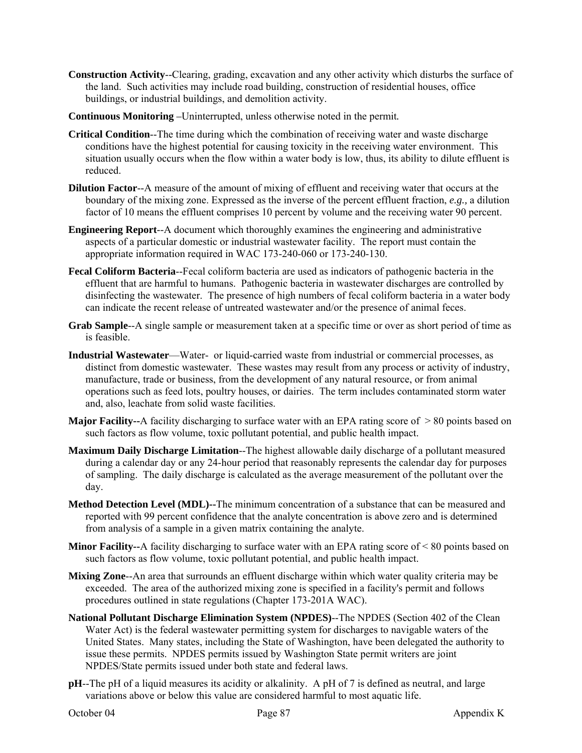- **Construction Activity**--Clearing, grading, excavation and any other activity which disturbs the surface of the land. Such activities may include road building, construction of residential houses, office buildings, or industrial buildings, and demolition activity.
- **Continuous Monitoring** *–*Uninterrupted, unless otherwise noted in the permit*.*
- **Critical Condition**--The time during which the combination of receiving water and waste discharge conditions have the highest potential for causing toxicity in the receiving water environment. This situation usually occurs when the flow within a water body is low, thus, its ability to dilute effluent is reduced.
- **Dilution Factor--A** measure of the amount of mixing of effluent and receiving water that occurs at the boundary of the mixing zone. Expressed as the inverse of the percent effluent fraction, *e.g.,* a dilution factor of 10 means the effluent comprises 10 percent by volume and the receiving water 90 percent.
- **Engineering Report**--A document which thoroughly examines the engineering and administrative aspects of a particular domestic or industrial wastewater facility. The report must contain the appropriate information required in WAC 173-240-060 or 173-240-130.
- **Fecal Coliform Bacteria**--Fecal coliform bacteria are used as indicators of pathogenic bacteria in the effluent that are harmful to humans. Pathogenic bacteria in wastewater discharges are controlled by disinfecting the wastewater. The presence of high numbers of fecal coliform bacteria in a water body can indicate the recent release of untreated wastewater and/or the presence of animal feces.
- **Grab Sample**--A single sample or measurement taken at a specific time or over as short period of time as is feasible.
- **Industrial Wastewater**—Water- or liquid-carried waste from industrial or commercial processes, as distinct from domestic wastewater. These wastes may result from any process or activity of industry, manufacture, trade or business, from the development of any natural resource, or from animal operations such as feed lots, poultry houses, or dairies. The term includes contaminated storm water and, also, leachate from solid waste facilities.
- **Major Facility--**A facility discharging to surface water with an EPA rating score of > 80 points based on such factors as flow volume, toxic pollutant potential, and public health impact.
- **Maximum Daily Discharge Limitation**--The highest allowable daily discharge of a pollutant measured during a calendar day or any 24-hour period that reasonably represents the calendar day for purposes of sampling. The daily discharge is calculated as the average measurement of the pollutant over the day.
- **Method Detection Level (MDL)--**The minimum concentration of a substance that can be measured and reported with 99 percent confidence that the analyte concentration is above zero and is determined from analysis of a sample in a given matrix containing the analyte.
- **Minor Facility--**A facility discharging to surface water with an EPA rating score of < 80 points based on such factors as flow volume, toxic pollutant potential, and public health impact.
- **Mixing Zone**--An area that surrounds an effluent discharge within which water quality criteria may be exceeded. The area of the authorized mixing zone is specified in a facility's permit and follows procedures outlined in state regulations (Chapter 173-201A WAC).
- **National Pollutant Discharge Elimination System (NPDES)**--The NPDES (Section 402 of the Clean Water Act) is the federal wastewater permitting system for discharges to navigable waters of the United States. Many states, including the State of Washington, have been delegated the authority to issue these permits. NPDES permits issued by Washington State permit writers are joint NPDES/State permits issued under both state and federal laws.
- **pH**--The pH of a liquid measures its acidity or alkalinity. A pH of 7 is defined as neutral, and large variations above or below this value are considered harmful to most aquatic life.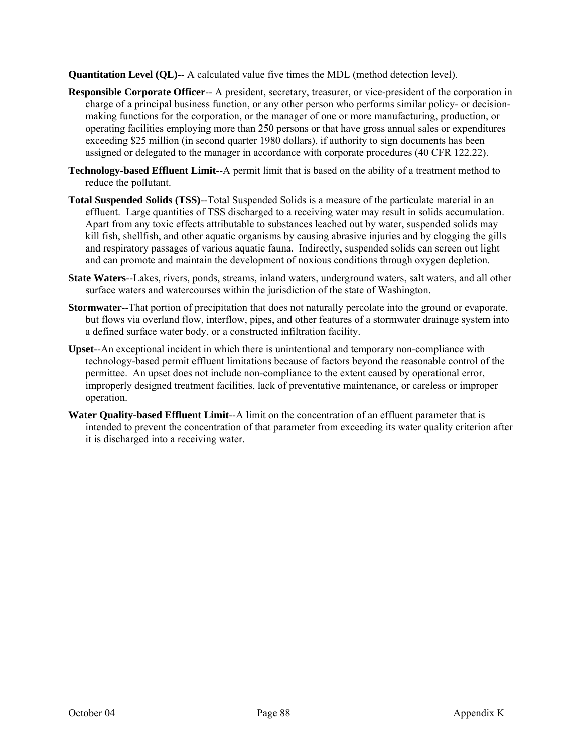**Quantitation Level (QL)--** A calculated value five times the MDL (method detection level).

- **Responsible Corporate Officer**-- A president, secretary, treasurer, or vice-president of the corporation in charge of a principal business function, or any other person who performs similar policy- or decisionmaking functions for the corporation, or the manager of one or more manufacturing, production, or operating facilities employing more than 250 persons or that have gross annual sales or expenditures exceeding \$25 million (in second quarter 1980 dollars), if authority to sign documents has been assigned or delegated to the manager in accordance with corporate procedures (40 CFR 122.22).
- **Technology-based Effluent Limit**--A permit limit that is based on the ability of a treatment method to reduce the pollutant.
- **Total Suspended Solids (TSS)**--Total Suspended Solids is a measure of the particulate material in an effluent. Large quantities of TSS discharged to a receiving water may result in solids accumulation. Apart from any toxic effects attributable to substances leached out by water, suspended solids may kill fish, shellfish, and other aquatic organisms by causing abrasive injuries and by clogging the gills and respiratory passages of various aquatic fauna. Indirectly, suspended solids can screen out light and can promote and maintain the development of noxious conditions through oxygen depletion.
- **State Waters**--Lakes, rivers, ponds, streams, inland waters, underground waters, salt waters, and all other surface waters and watercourses within the jurisdiction of the state of Washington.
- **Stormwater**--That portion of precipitation that does not naturally percolate into the ground or evaporate, but flows via overland flow, interflow, pipes, and other features of a stormwater drainage system into a defined surface water body, or a constructed infiltration facility.
- **Upset**--An exceptional incident in which there is unintentional and temporary non-compliance with technology-based permit effluent limitations because of factors beyond the reasonable control of the permittee. An upset does not include non-compliance to the extent caused by operational error, improperly designed treatment facilities, lack of preventative maintenance, or careless or improper operation.
- **Water Quality-based Effluent Limit**--A limit on the concentration of an effluent parameter that is intended to prevent the concentration of that parameter from exceeding its water quality criterion after it is discharged into a receiving water.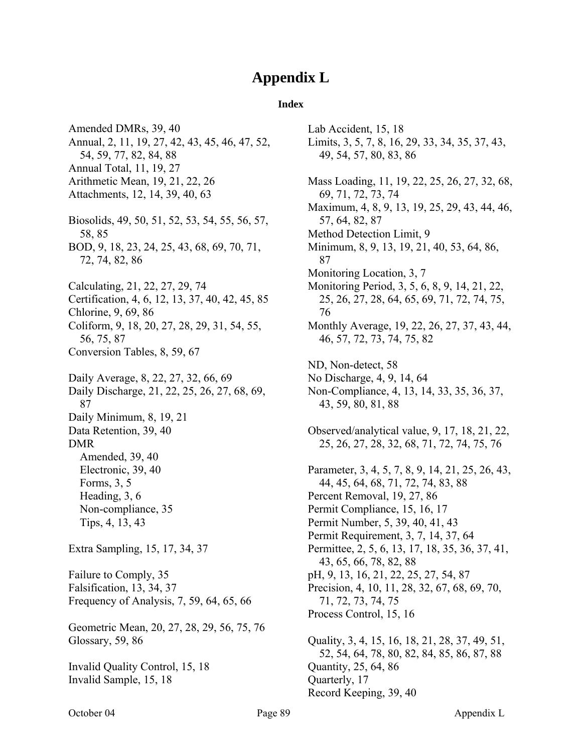## **Appendix L**

#### **Index**

Amended DMRs, 39, 40 Annual, 2, 11, 19, 27, 42, 43, 45, 46, 47, 52, 54, 59, 77, 82, 84, 88 Annual Total, 11, 19, 27 Arithmetic Mean, 19, 21, 22, 26 Attachments, 12, 14, 39, 40, 63 Biosolids, 49, 50, 51, 52, 53, 54, 55, 56, 57, 58, 85 BOD, 9, 18, 23, 24, 25, 43, 68, 69, 70, 71, 72, 74, 82, 86 Calculating, 21, 22, 27, 29, 74 Certification, 4, 6, 12, 13, 37, 40, 42, 45, 85 Chlorine, 9, 69, 86 Coliform, 9, 18, 20, 27, 28, 29, 31, 54, 55, 56, 75, 87 Conversion Tables, 8, 59, 67 Daily Average, 8, 22, 27, 32, 66, 69 Daily Discharge, 21, 22, 25, 26, 27, 68, 69, 87 Daily Minimum, 8, 19, 21 Data Retention, 39, 40 DMR Amended, 39, 40 Electronic, 39, 40 Forms, 3, 5 Heading, 3, 6 Non-compliance, 35 Tips, 4, 13, 43 Extra Sampling, 15, 17, 34, 37 Failure to Comply, 35 Falsification, 13, 34, 37 Frequency of Analysis, 7, 59, 64, 65, 66 Geometric Mean, 20, 27, 28, 29, 56, 75, 76 Glossary, 59, 86 Invalid Quality Control, 15, 18 Invalid Sample, 15, 18

Lab Accident, 15, 18 Limits, 3, 5, 7, 8, 16, 29, 33, 34, 35, 37, 43, 49, 54, 57, 80, 83, 86 Mass Loading, 11, 19, 22, 25, 26, 27, 32, 68, 69, 71, 72, 73, 74 Maximum, 4, 8, 9, 13, 19, 25, 29, 43, 44, 46, 57, 64, 82, 87 Method Detection Limit, 9 Minimum, 8, 9, 13, 19, 21, 40, 53, 64, 86, 87 Monitoring Location, 3, 7 Monitoring Period, 3, 5, 6, 8, 9, 14, 21, 22, 25, 26, 27, 28, 64, 65, 69, 71, 72, 74, 75, 76 Monthly Average, 19, 22, 26, 27, 37, 43, 44, 46, 57, 72, 73, 74, 75, 82 ND, Non-detect, 58 No Discharge, 4, 9, 14, 64 Non-Compliance, 4, 13, 14, 33, 35, 36, 37, 43, 59, 80, 81, 88 Observed/analytical value, 9, 17, 18, 21, 22, 25, 26, 27, 28, 32, 68, 71, 72, 74, 75, 76 Parameter, 3, 4, 5, 7, 8, 9, 14, 21, 25, 26, 43, 44, 45, 64, 68, 71, 72, 74, 83, 88 Percent Removal, 19, 27, 86 Permit Compliance, 15, 16, 17 Permit Number, 5, 39, 40, 41, 43 Permit Requirement, 3, 7, 14, 37, 64 Permittee, 2, 5, 6, 13, 17, 18, 35, 36, 37, 41, 43, 65, 66, 78, 82, 88 pH, 9, 13, 16, 21, 22, 25, 27, 54, 87 Precision, 4, 10, 11, 28, 32, 67, 68, 69, 70, 71, 72, 73, 74, 75 Process Control, 15, 16 Quality, 3, 4, 15, 16, 18, 21, 28, 37, 49, 51, 52, 54, 64, 78, 80, 82, 84, 85, 86, 87, 88 Quantity, 25, 64, 86 Quarterly, 17

Record Keeping, 39, 40